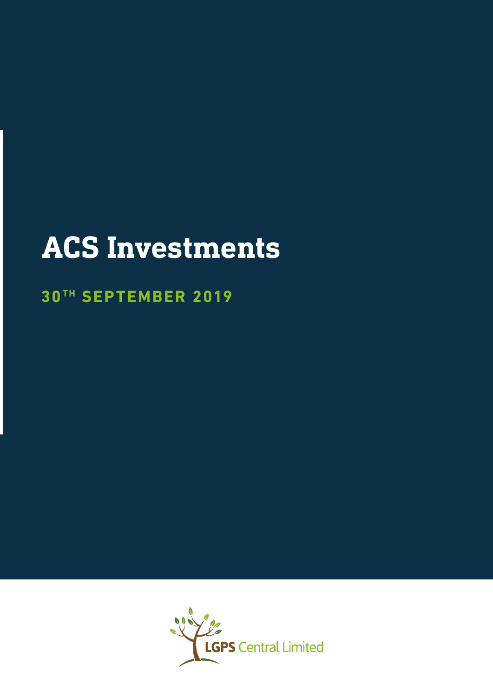# **ACS Investments**

## **30 TH SEPTEMBER 2019**

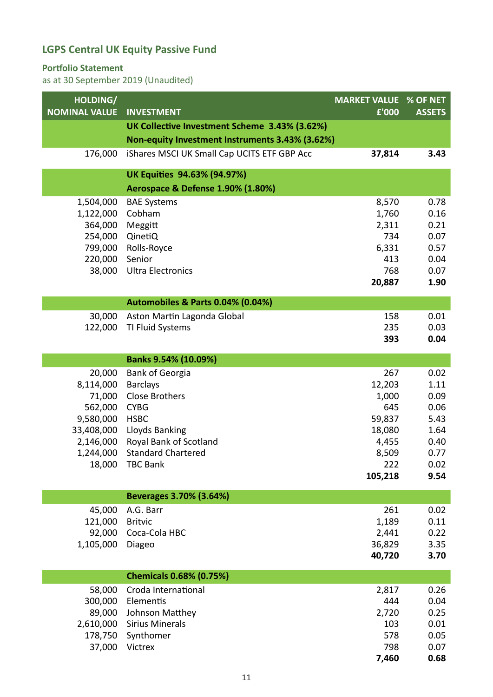#### **Portfolio Statement**

| HOLDING/<br><b>NOMINAL VALUE</b> | <b>INVESTMENT</b>                               | <b>MARKET VALUE % OF NET</b><br>£'000 | <b>ASSETS</b> |
|----------------------------------|-------------------------------------------------|---------------------------------------|---------------|
|                                  | UK Collective Investment Scheme 3.43% (3.62%)   |                                       |               |
|                                  | Non-equity Investment Instruments 3.43% (3.62%) |                                       |               |
|                                  |                                                 |                                       |               |
| 176,000                          | iShares MSCI UK Small Cap UCITS ETF GBP Acc     | 37,814                                | 3.43          |
|                                  | UK Equities 94.63% (94.97%)                     |                                       |               |
|                                  | Aerospace & Defense 1.90% (1.80%)               |                                       |               |
| 1,504,000                        | <b>BAE Systems</b>                              | 8,570                                 | 0.78          |
| 1,122,000                        | Cobham                                          | 1,760                                 | 0.16          |
| 364,000                          | Meggitt                                         | 2,311                                 | 0.21          |
| 254,000                          | QinetiQ                                         | 734                                   | 0.07          |
| 799,000                          | Rolls-Royce                                     | 6,331                                 | 0.57          |
| 220,000                          | Senior                                          | 413                                   | 0.04          |
| 38,000                           | <b>Ultra Electronics</b>                        | 768                                   | 0.07          |
|                                  |                                                 | 20,887                                | 1.90          |
|                                  | Automobiles & Parts 0.04% (0.04%)               |                                       |               |
| 30,000                           | Aston Martin Lagonda Global                     | 158                                   | 0.01          |
| 122,000                          | TI Fluid Systems                                | 235                                   | 0.03          |
|                                  |                                                 | 393                                   | 0.04          |
|                                  | Banks 9.54% (10.09%)                            |                                       |               |
| 20,000                           | <b>Bank of Georgia</b>                          | 267                                   | 0.02          |
| 8,114,000                        | <b>Barclays</b>                                 | 12,203                                | 1.11          |
| 71,000                           | <b>Close Brothers</b>                           | 1,000                                 | 0.09          |
| 562,000                          | <b>CYBG</b>                                     | 645                                   | 0.06          |
| 9,580,000                        | <b>HSBC</b>                                     | 59,837                                | 5.43          |
| 33,408,000                       | Lloyds Banking                                  | 18,080                                | 1.64          |
| 2,146,000                        | Royal Bank of Scotland                          | 4,455                                 | 0.40          |
| 1,244,000                        | <b>Standard Chartered</b>                       | 8,509                                 | 0.77          |
|                                  | 18,000 TBC Bank                                 | 222                                   | 0.02          |
|                                  |                                                 | 105,218                               | 9.54          |
|                                  | Beverages 3.70% (3.64%)                         |                                       |               |
| 45,000                           | A.G. Barr                                       | 261                                   | 0.02          |
| 121,000                          | <b>Britvic</b>                                  | 1,189                                 | 0.11          |
| 92,000                           | Coca-Cola HBC                                   | 2,441                                 | 0.22          |
| 1,105,000                        | Diageo                                          | 36,829                                | 3.35          |
|                                  |                                                 | 40,720                                | 3.70          |
|                                  | <b>Chemicals 0.68% (0.75%)</b>                  |                                       |               |
| 58,000                           | Croda International                             | 2,817                                 | 0.26          |
| 300,000                          | Elementis                                       | 444                                   | 0.04          |
| 89,000                           | Johnson Matthey                                 | 2,720                                 | 0.25          |
| 2,610,000                        | <b>Sirius Minerals</b>                          | 103                                   | 0.01          |
| 178,750                          | Synthomer                                       | 578                                   | 0.05          |
| 37,000                           | Victrex                                         | 798                                   | 0.07          |
|                                  |                                                 | 7,460                                 | 0.68          |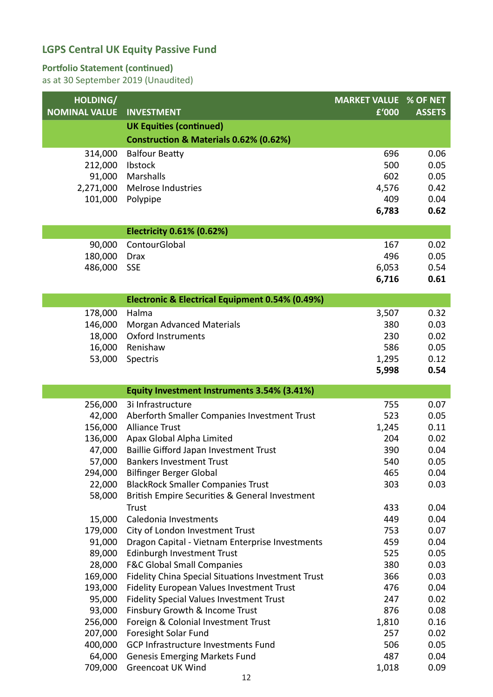#### **Portfolio Statement (continued)**

| HOLDING/             |                                                                  | <b>MARKET VALUE % OF NET</b> |               |
|----------------------|------------------------------------------------------------------|------------------------------|---------------|
| <b>NOMINAL VALUE</b> | <b>INVESTMENT</b>                                                | £'000                        | <b>ASSETS</b> |
|                      | <b>UK Equities (continued)</b>                                   |                              |               |
|                      | Construction & Materials 0.62% (0.62%)                           |                              |               |
| 314,000              | <b>Balfour Beatty</b>                                            | 696                          | 0.06          |
| 212,000              | Ibstock                                                          | 500                          | 0.05          |
| 91,000               | Marshalls                                                        | 602                          | 0.05          |
| 2,271,000            | Melrose Industries                                               | 4,576                        | 0.42          |
| 101,000              | Polypipe                                                         | 409                          | 0.04          |
|                      |                                                                  | 6,783                        | 0.62          |
|                      | <b>Electricity 0.61% (0.62%)</b>                                 |                              |               |
| 90,000               | ContourGlobal                                                    | 167                          | 0.02          |
| 180,000              | <b>Drax</b>                                                      | 496                          | 0.05          |
| 486,000              | <b>SSE</b>                                                       | 6,053                        | 0.54          |
|                      |                                                                  | 6,716                        | 0.61          |
|                      | Electronic & Electrical Equipment 0.54% (0.49%)                  |                              |               |
| 178,000              | Halma                                                            | 3,507                        | 0.32          |
| 146,000              | Morgan Advanced Materials                                        | 380                          | 0.03          |
| 18,000               | <b>Oxford Instruments</b>                                        | 230                          | 0.02          |
| 16,000               | Renishaw                                                         | 586                          | 0.05          |
| 53,000               | Spectris                                                         | 1,295                        | 0.12          |
|                      |                                                                  | 5,998                        | 0.54          |
|                      | Equity Investment Instruments 3.54% (3.41%)                      |                              |               |
| 256,000              | 3i Infrastructure                                                | 755                          | 0.07          |
| 42,000               | Aberforth Smaller Companies Investment Trust                     | 523                          | 0.05          |
| 156,000              | <b>Alliance Trust</b>                                            | 1,245                        | 0.11          |
| 136,000              | Apax Global Alpha Limited                                        | 204                          | 0.02          |
| 47,000               | Baillie Gifford Japan Investment Trust                           | 390                          | 0.04          |
| 57,000               | <b>Bankers Investment Trust</b>                                  | 540                          | 0.05          |
|                      | 294,000 Bilfinger Berger Global                                  | 465                          | 0.04          |
| 22,000               | <b>BlackRock Smaller Companies Trust</b>                         | 303                          | 0.03          |
| 58,000               | British Empire Securities & General Investment                   |                              |               |
|                      | <b>Trust</b>                                                     | 433                          | 0.04          |
| 15,000               | Caledonia Investments                                            | 449                          | 0.04          |
| 179,000              | City of London Investment Trust                                  | 753                          | 0.07          |
| 91,000               | Dragon Capital - Vietnam Enterprise Investments                  | 459                          | 0.04          |
| 89,000               | Edinburgh Investment Trust                                       | 525                          | 0.05          |
| 28,000               | <b>F&amp;C Global Small Companies</b>                            | 380                          | 0.03          |
| 169,000              | Fidelity China Special Situations Investment Trust               | 366                          | 0.03          |
| 193,000              | Fidelity European Values Investment Trust                        | 476                          | 0.04          |
| 95,000               | <b>Fidelity Special Values Investment Trust</b>                  | 247                          | 0.02          |
| 93,000               | Finsbury Growth & Income Trust                                   | 876                          | 0.08          |
| 256,000              | Foreign & Colonial Investment Trust                              | 1,810                        | 0.16          |
| 207,000              | Foresight Solar Fund                                             | 257                          | 0.02          |
| 400,000              | GCP Infrastructure Investments Fund                              | 506                          | 0.05          |
|                      |                                                                  |                              |               |
| 64,000<br>709,000    | <b>Genesis Emerging Markets Fund</b><br><b>Greencoat UK Wind</b> | 487<br>1,018                 | 0.04<br>0.09  |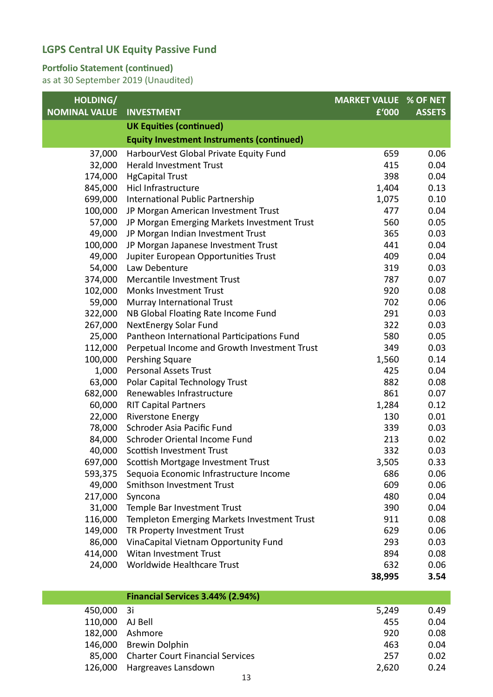#### **Portfolio Statement (continued)**

| HOLDING/             |                                                  | <b>MARKET VALUE % OF NET</b> |               |
|----------------------|--------------------------------------------------|------------------------------|---------------|
| <b>NOMINAL VALUE</b> | <b>INVESTMENT</b>                                | £'000                        | <b>ASSETS</b> |
|                      | <b>UK Equities (continued)</b>                   |                              |               |
|                      | <b>Equity Investment Instruments (continued)</b> |                              |               |
| 37,000               | HarbourVest Global Private Equity Fund           | 659                          | 0.06          |
| 32,000               | <b>Herald Investment Trust</b>                   | 415                          | 0.04          |
| 174,000              | <b>HgCapital Trust</b>                           | 398                          | 0.04          |
| 845,000              | Hicl Infrastructure                              | 1,404                        | 0.13          |
| 699,000              | International Public Partnership                 | 1,075                        | 0.10          |
| 100,000              | JP Morgan American Investment Trust              | 477                          | 0.04          |
| 57,000               | JP Morgan Emerging Markets Investment Trust      | 560                          | 0.05          |
| 49,000               | JP Morgan Indian Investment Trust                | 365                          | 0.03          |
| 100,000              | JP Morgan Japanese Investment Trust              | 441                          | 0.04          |
| 49,000               | Jupiter European Opportunities Trust             | 409                          | 0.04          |
| 54,000               | Law Debenture                                    | 319                          | 0.03          |
| 374,000              | Mercantile Investment Trust                      | 787                          | 0.07          |
| 102,000              | <b>Monks Investment Trust</b>                    | 920                          | 0.08          |
| 59,000               | Murray International Trust                       | 702                          | 0.06          |
| 322,000              | NB Global Floating Rate Income Fund              | 291                          | 0.03          |
| 267,000              | <b>NextEnergy Solar Fund</b>                     | 322                          | 0.03          |
| 25,000               | Pantheon International Participations Fund       | 580                          | 0.05          |
| 112,000              | Perpetual Income and Growth Investment Trust     | 349                          | 0.03          |
| 100,000              | Pershing Square                                  | 1,560                        | 0.14          |
| 1,000                | <b>Personal Assets Trust</b>                     | 425                          | 0.04          |
| 63,000               | Polar Capital Technology Trust                   | 882                          | 0.08          |
| 682,000              | Renewables Infrastructure                        | 861                          | 0.07          |
| 60,000               | <b>RIT Capital Partners</b>                      | 1,284                        | 0.12          |
| 22,000               | <b>Riverstone Energy</b>                         | 130                          | 0.01          |
| 78,000               | Schroder Asia Pacific Fund                       | 339                          | 0.03          |
| 84,000               | Schroder Oriental Income Fund                    | 213                          | 0.02          |
| 40,000               | Scottish Investment Trust                        | 332                          | 0.03          |
|                      | 697,000 Scottish Mortgage Investment Trust       | 3,505                        | 0.33          |
| 593,375              | Sequoia Economic Infrastructure Income           | 686                          | 0.06          |
| 49,000               | Smithson Investment Trust                        | 609                          | 0.06          |
| 217,000              | Syncona                                          | 480                          | 0.04          |
| 31,000               | Temple Bar Investment Trust                      | 390                          | 0.04          |
| 116,000              | Templeton Emerging Markets Investment Trust      | 911                          | 0.08          |
| 149,000              | TR Property Investment Trust                     | 629                          | 0.06          |
| 86,000               | VinaCapital Vietnam Opportunity Fund             | 293                          | 0.03          |
| 414,000              | Witan Investment Trust                           | 894                          | 0.08          |
| 24,000               | Worldwide Healthcare Trust                       | 632                          | 0.06          |
|                      |                                                  | 38,995                       | 3.54          |
|                      | Financial Services 3.44% (2.94%)                 |                              |               |
|                      |                                                  |                              |               |

| 450,000 3i      |                                         | 5,249 | 0.49 |
|-----------------|-----------------------------------------|-------|------|
| 110,000 AJ Bell |                                         | 455   | 0.04 |
|                 | 182,000 Ashmore                         | 920   | 0.08 |
|                 | 146,000 Brewin Dolphin                  | 463   | 0.04 |
|                 | 85,000 Charter Court Financial Services | 257   | 0.02 |
|                 | 126,000 Hargreaves Lansdown             | 2,620 | 0.24 |
|                 |                                         |       |      |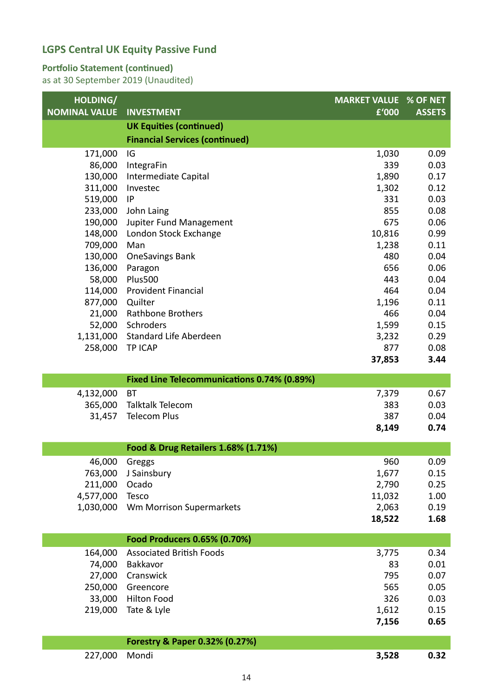#### **Portfolio Statement (continued)**

| HOLDING/<br><b>NOMINAL VALUE</b> | <b>INVESTMENT</b>                           | <b>MARKET VALUE % OF NET</b><br>£'000 | <b>ASSETS</b> |
|----------------------------------|---------------------------------------------|---------------------------------------|---------------|
|                                  | <b>UK Equities (continued)</b>              |                                       |               |
|                                  | <b>Financial Services (continued)</b>       |                                       |               |
| 171,000                          | IG                                          | 1,030                                 | 0.09          |
| 86,000                           | IntegraFin                                  | 339                                   | 0.03          |
| 130,000                          | Intermediate Capital                        | 1,890                                 | 0.17          |
| 311,000                          | Investec                                    | 1,302                                 | 0.12          |
| 519,000                          | IP                                          | 331                                   | 0.03          |
| 233,000                          | John Laing                                  | 855                                   | 0.08          |
| 190,000                          | Jupiter Fund Management                     | 675                                   | 0.06          |
| 148,000                          | London Stock Exchange                       | 10,816                                | 0.99          |
| 709,000<br>130,000               | Man<br><b>OneSavings Bank</b>               | 1,238<br>480                          | 0.11<br>0.04  |
| 136,000                          | Paragon                                     | 656                                   | 0.06          |
| 58,000                           | <b>Plus500</b>                              | 443                                   | 0.04          |
| 114,000                          | <b>Provident Financial</b>                  | 464                                   | 0.04          |
| 877,000                          | Quilter                                     | 1,196                                 | 0.11          |
| 21,000                           | <b>Rathbone Brothers</b>                    | 466                                   | 0.04          |
| 52,000                           | Schroders                                   | 1,599                                 | 0.15          |
| 1,131,000                        | Standard Life Aberdeen                      | 3,232                                 | 0.29          |
| 258,000                          | <b>TP ICAP</b>                              | 877                                   | 0.08          |
|                                  |                                             | 37,853                                | 3.44          |
|                                  | Fixed Line Telecommunications 0.74% (0.89%) |                                       |               |
|                                  | <b>BT</b>                                   |                                       | 0.67          |
| 4,132,000<br>365,000             | <b>Talktalk Telecom</b>                     | 7,379<br>383                          | 0.03          |
| 31,457                           | <b>Telecom Plus</b>                         | 387                                   | 0.04          |
|                                  |                                             | 8,149                                 | 0.74          |
|                                  |                                             |                                       |               |
|                                  | Food & Drug Retailers 1.68% (1.71%)         |                                       |               |
| 46,000                           | Greggs                                      | 960                                   | 0.09          |
| 763,000                          | J Sainsbury                                 | 1,677                                 | 0.15          |
| 211,000                          | Ocado                                       | 2,790                                 | 0.25          |
| 4,577,000                        | <b>Tesco</b>                                | 11,032                                | 1.00          |
|                                  | 1,030,000 Wm Morrison Supermarkets          | 2,063                                 | 0.19          |
|                                  |                                             | 18,522                                | 1.68          |
|                                  | Food Producers 0.65% (0.70%)                |                                       |               |
| 164,000                          | <b>Associated British Foods</b>             | 3,775                                 | 0.34          |
| 74,000                           | Bakkavor                                    | 83                                    | 0.01          |
| 27,000                           | Cranswick                                   | 795                                   | 0.07          |
| 250,000                          | Greencore                                   | 565                                   | 0.05          |
| 33,000                           | <b>Hilton Food</b>                          | 326                                   | 0.03          |
| 219,000                          | Tate & Lyle                                 | 1,612                                 | 0.15          |
|                                  |                                             | 7,156                                 | 0.65          |
|                                  | Forestry & Paper 0.32% (0.27%)              |                                       |               |
| 227,000                          | Mondi                                       | 3,528                                 | 0.32          |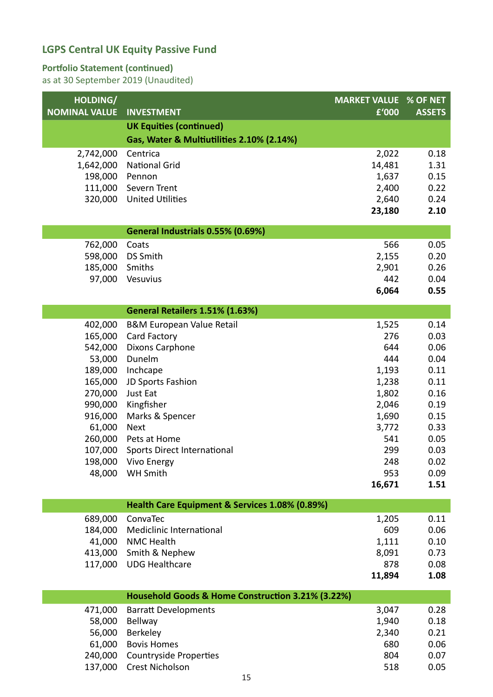#### **Portfolio Statement (continued)**

| <b>UK Equities (continued)</b><br>Gas, Water & Multiutilities 2.10% (2.14%)<br>2,022<br>0.18<br>2,742,000<br>Centrica<br>1,642,000<br><b>National Grid</b><br>14,481<br>1.31<br>1,637<br>198,000<br>0.15<br>Pennon<br>111,000<br>Severn Trent<br>2,400<br>0.22<br>320,000<br><b>United Utilities</b><br>2,640<br>0.24<br>23,180<br>2.10<br>General Industrials 0.55% (0.69%)<br>566<br>0.05<br>Coats<br>762,000<br>598,000<br><b>DS Smith</b><br>2,155<br>0.20<br>185,000<br>Smiths<br>2,901<br>0.26<br>97,000<br>Vesuvius<br>442<br>0.04<br>6,064<br>0.55<br>General Retailers 1.51% (1.63%)<br>402,000<br><b>B&amp;M European Value Retail</b><br>1,525<br>0.14<br>165,000<br>Card Factory<br>276<br>0.03<br>542,000<br>Dixons Carphone<br>644<br>0.06<br>Dunelm<br>0.04<br>53,000<br>444<br>189,000<br>Inchcape<br>1,193<br>0.11<br>165,000<br>JD Sports Fashion<br>0.11<br>1,238<br>270,000<br>Just Eat<br>1,802<br>0.16<br>990,000<br>Kingfisher<br>2,046<br>0.19<br>916,000<br>1,690<br>Marks & Spencer<br>0.15<br>61,000<br>3,772<br>0.33<br><b>Next</b><br>260,000<br>541<br>0.05<br>Pets at Home<br>107,000<br>0.03<br>Sports Direct International<br>299<br>198,000<br>248<br>Vivo Energy<br>0.02<br>48,000<br>WH Smith<br>953<br>0.09<br>16,671<br>1.51<br>Health Care Equipment & Services 1.08% (0.89%)<br>689,000<br>ConvaTec<br>1,205<br>0.11<br>609<br>184,000<br>Mediclinic International<br>0.06<br>41,000<br><b>NMC Health</b><br>1,111<br>0.10<br>8,091<br>413,000<br>Smith & Nephew<br>0.73<br>878<br>117,000<br><b>UDG Healthcare</b><br>0.08<br>11,894<br>1.08<br>Household Goods & Home Construction 3.21% (3.22%)<br><b>Barratt Developments</b><br>3,047<br>0.28<br>471,000<br>1,940<br>58,000<br><b>Bellway</b><br>0.18<br>2,340<br>56,000<br>Berkeley<br>0.21<br>680<br>61,000<br><b>Bovis Homes</b><br>0.06<br>240,000<br>804<br><b>Countryside Properties</b><br>0.07 | HOLDING/             |                   | <b>MARKET VALUE % OF NET</b> |               |
|-----------------------------------------------------------------------------------------------------------------------------------------------------------------------------------------------------------------------------------------------------------------------------------------------------------------------------------------------------------------------------------------------------------------------------------------------------------------------------------------------------------------------------------------------------------------------------------------------------------------------------------------------------------------------------------------------------------------------------------------------------------------------------------------------------------------------------------------------------------------------------------------------------------------------------------------------------------------------------------------------------------------------------------------------------------------------------------------------------------------------------------------------------------------------------------------------------------------------------------------------------------------------------------------------------------------------------------------------------------------------------------------------------------------------------------------------------------------------------------------------------------------------------------------------------------------------------------------------------------------------------------------------------------------------------------------------------------------------------------------------------------------------------------------------------------------------------------------------------------------------------------------------------|----------------------|-------------------|------------------------------|---------------|
|                                                                                                                                                                                                                                                                                                                                                                                                                                                                                                                                                                                                                                                                                                                                                                                                                                                                                                                                                                                                                                                                                                                                                                                                                                                                                                                                                                                                                                                                                                                                                                                                                                                                                                                                                                                                                                                                                                     | <b>NOMINAL VALUE</b> | <b>INVESTMENT</b> | £'000                        | <b>ASSETS</b> |
|                                                                                                                                                                                                                                                                                                                                                                                                                                                                                                                                                                                                                                                                                                                                                                                                                                                                                                                                                                                                                                                                                                                                                                                                                                                                                                                                                                                                                                                                                                                                                                                                                                                                                                                                                                                                                                                                                                     |                      |                   |                              |               |
|                                                                                                                                                                                                                                                                                                                                                                                                                                                                                                                                                                                                                                                                                                                                                                                                                                                                                                                                                                                                                                                                                                                                                                                                                                                                                                                                                                                                                                                                                                                                                                                                                                                                                                                                                                                                                                                                                                     |                      |                   |                              |               |
|                                                                                                                                                                                                                                                                                                                                                                                                                                                                                                                                                                                                                                                                                                                                                                                                                                                                                                                                                                                                                                                                                                                                                                                                                                                                                                                                                                                                                                                                                                                                                                                                                                                                                                                                                                                                                                                                                                     |                      |                   |                              |               |
|                                                                                                                                                                                                                                                                                                                                                                                                                                                                                                                                                                                                                                                                                                                                                                                                                                                                                                                                                                                                                                                                                                                                                                                                                                                                                                                                                                                                                                                                                                                                                                                                                                                                                                                                                                                                                                                                                                     |                      |                   |                              |               |
|                                                                                                                                                                                                                                                                                                                                                                                                                                                                                                                                                                                                                                                                                                                                                                                                                                                                                                                                                                                                                                                                                                                                                                                                                                                                                                                                                                                                                                                                                                                                                                                                                                                                                                                                                                                                                                                                                                     |                      |                   |                              |               |
|                                                                                                                                                                                                                                                                                                                                                                                                                                                                                                                                                                                                                                                                                                                                                                                                                                                                                                                                                                                                                                                                                                                                                                                                                                                                                                                                                                                                                                                                                                                                                                                                                                                                                                                                                                                                                                                                                                     |                      |                   |                              |               |
|                                                                                                                                                                                                                                                                                                                                                                                                                                                                                                                                                                                                                                                                                                                                                                                                                                                                                                                                                                                                                                                                                                                                                                                                                                                                                                                                                                                                                                                                                                                                                                                                                                                                                                                                                                                                                                                                                                     |                      |                   |                              |               |
|                                                                                                                                                                                                                                                                                                                                                                                                                                                                                                                                                                                                                                                                                                                                                                                                                                                                                                                                                                                                                                                                                                                                                                                                                                                                                                                                                                                                                                                                                                                                                                                                                                                                                                                                                                                                                                                                                                     |                      |                   |                              |               |
|                                                                                                                                                                                                                                                                                                                                                                                                                                                                                                                                                                                                                                                                                                                                                                                                                                                                                                                                                                                                                                                                                                                                                                                                                                                                                                                                                                                                                                                                                                                                                                                                                                                                                                                                                                                                                                                                                                     |                      |                   |                              |               |
|                                                                                                                                                                                                                                                                                                                                                                                                                                                                                                                                                                                                                                                                                                                                                                                                                                                                                                                                                                                                                                                                                                                                                                                                                                                                                                                                                                                                                                                                                                                                                                                                                                                                                                                                                                                                                                                                                                     |                      |                   |                              |               |
|                                                                                                                                                                                                                                                                                                                                                                                                                                                                                                                                                                                                                                                                                                                                                                                                                                                                                                                                                                                                                                                                                                                                                                                                                                                                                                                                                                                                                                                                                                                                                                                                                                                                                                                                                                                                                                                                                                     |                      |                   |                              |               |
|                                                                                                                                                                                                                                                                                                                                                                                                                                                                                                                                                                                                                                                                                                                                                                                                                                                                                                                                                                                                                                                                                                                                                                                                                                                                                                                                                                                                                                                                                                                                                                                                                                                                                                                                                                                                                                                                                                     |                      |                   |                              |               |
|                                                                                                                                                                                                                                                                                                                                                                                                                                                                                                                                                                                                                                                                                                                                                                                                                                                                                                                                                                                                                                                                                                                                                                                                                                                                                                                                                                                                                                                                                                                                                                                                                                                                                                                                                                                                                                                                                                     |                      |                   |                              |               |
|                                                                                                                                                                                                                                                                                                                                                                                                                                                                                                                                                                                                                                                                                                                                                                                                                                                                                                                                                                                                                                                                                                                                                                                                                                                                                                                                                                                                                                                                                                                                                                                                                                                                                                                                                                                                                                                                                                     |                      |                   |                              |               |
|                                                                                                                                                                                                                                                                                                                                                                                                                                                                                                                                                                                                                                                                                                                                                                                                                                                                                                                                                                                                                                                                                                                                                                                                                                                                                                                                                                                                                                                                                                                                                                                                                                                                                                                                                                                                                                                                                                     |                      |                   |                              |               |
|                                                                                                                                                                                                                                                                                                                                                                                                                                                                                                                                                                                                                                                                                                                                                                                                                                                                                                                                                                                                                                                                                                                                                                                                                                                                                                                                                                                                                                                                                                                                                                                                                                                                                                                                                                                                                                                                                                     |                      |                   |                              |               |
|                                                                                                                                                                                                                                                                                                                                                                                                                                                                                                                                                                                                                                                                                                                                                                                                                                                                                                                                                                                                                                                                                                                                                                                                                                                                                                                                                                                                                                                                                                                                                                                                                                                                                                                                                                                                                                                                                                     |                      |                   |                              |               |
|                                                                                                                                                                                                                                                                                                                                                                                                                                                                                                                                                                                                                                                                                                                                                                                                                                                                                                                                                                                                                                                                                                                                                                                                                                                                                                                                                                                                                                                                                                                                                                                                                                                                                                                                                                                                                                                                                                     |                      |                   |                              |               |
|                                                                                                                                                                                                                                                                                                                                                                                                                                                                                                                                                                                                                                                                                                                                                                                                                                                                                                                                                                                                                                                                                                                                                                                                                                                                                                                                                                                                                                                                                                                                                                                                                                                                                                                                                                                                                                                                                                     |                      |                   |                              |               |
|                                                                                                                                                                                                                                                                                                                                                                                                                                                                                                                                                                                                                                                                                                                                                                                                                                                                                                                                                                                                                                                                                                                                                                                                                                                                                                                                                                                                                                                                                                                                                                                                                                                                                                                                                                                                                                                                                                     |                      |                   |                              |               |
|                                                                                                                                                                                                                                                                                                                                                                                                                                                                                                                                                                                                                                                                                                                                                                                                                                                                                                                                                                                                                                                                                                                                                                                                                                                                                                                                                                                                                                                                                                                                                                                                                                                                                                                                                                                                                                                                                                     |                      |                   |                              |               |
|                                                                                                                                                                                                                                                                                                                                                                                                                                                                                                                                                                                                                                                                                                                                                                                                                                                                                                                                                                                                                                                                                                                                                                                                                                                                                                                                                                                                                                                                                                                                                                                                                                                                                                                                                                                                                                                                                                     |                      |                   |                              |               |
|                                                                                                                                                                                                                                                                                                                                                                                                                                                                                                                                                                                                                                                                                                                                                                                                                                                                                                                                                                                                                                                                                                                                                                                                                                                                                                                                                                                                                                                                                                                                                                                                                                                                                                                                                                                                                                                                                                     |                      |                   |                              |               |
|                                                                                                                                                                                                                                                                                                                                                                                                                                                                                                                                                                                                                                                                                                                                                                                                                                                                                                                                                                                                                                                                                                                                                                                                                                                                                                                                                                                                                                                                                                                                                                                                                                                                                                                                                                                                                                                                                                     |                      |                   |                              |               |
|                                                                                                                                                                                                                                                                                                                                                                                                                                                                                                                                                                                                                                                                                                                                                                                                                                                                                                                                                                                                                                                                                                                                                                                                                                                                                                                                                                                                                                                                                                                                                                                                                                                                                                                                                                                                                                                                                                     |                      |                   |                              |               |
|                                                                                                                                                                                                                                                                                                                                                                                                                                                                                                                                                                                                                                                                                                                                                                                                                                                                                                                                                                                                                                                                                                                                                                                                                                                                                                                                                                                                                                                                                                                                                                                                                                                                                                                                                                                                                                                                                                     |                      |                   |                              |               |
|                                                                                                                                                                                                                                                                                                                                                                                                                                                                                                                                                                                                                                                                                                                                                                                                                                                                                                                                                                                                                                                                                                                                                                                                                                                                                                                                                                                                                                                                                                                                                                                                                                                                                                                                                                                                                                                                                                     |                      |                   |                              |               |
|                                                                                                                                                                                                                                                                                                                                                                                                                                                                                                                                                                                                                                                                                                                                                                                                                                                                                                                                                                                                                                                                                                                                                                                                                                                                                                                                                                                                                                                                                                                                                                                                                                                                                                                                                                                                                                                                                                     |                      |                   |                              |               |
|                                                                                                                                                                                                                                                                                                                                                                                                                                                                                                                                                                                                                                                                                                                                                                                                                                                                                                                                                                                                                                                                                                                                                                                                                                                                                                                                                                                                                                                                                                                                                                                                                                                                                                                                                                                                                                                                                                     |                      |                   |                              |               |
|                                                                                                                                                                                                                                                                                                                                                                                                                                                                                                                                                                                                                                                                                                                                                                                                                                                                                                                                                                                                                                                                                                                                                                                                                                                                                                                                                                                                                                                                                                                                                                                                                                                                                                                                                                                                                                                                                                     |                      |                   |                              |               |
|                                                                                                                                                                                                                                                                                                                                                                                                                                                                                                                                                                                                                                                                                                                                                                                                                                                                                                                                                                                                                                                                                                                                                                                                                                                                                                                                                                                                                                                                                                                                                                                                                                                                                                                                                                                                                                                                                                     |                      |                   |                              |               |
|                                                                                                                                                                                                                                                                                                                                                                                                                                                                                                                                                                                                                                                                                                                                                                                                                                                                                                                                                                                                                                                                                                                                                                                                                                                                                                                                                                                                                                                                                                                                                                                                                                                                                                                                                                                                                                                                                                     |                      |                   |                              |               |
|                                                                                                                                                                                                                                                                                                                                                                                                                                                                                                                                                                                                                                                                                                                                                                                                                                                                                                                                                                                                                                                                                                                                                                                                                                                                                                                                                                                                                                                                                                                                                                                                                                                                                                                                                                                                                                                                                                     |                      |                   |                              |               |
|                                                                                                                                                                                                                                                                                                                                                                                                                                                                                                                                                                                                                                                                                                                                                                                                                                                                                                                                                                                                                                                                                                                                                                                                                                                                                                                                                                                                                                                                                                                                                                                                                                                                                                                                                                                                                                                                                                     |                      |                   |                              |               |
|                                                                                                                                                                                                                                                                                                                                                                                                                                                                                                                                                                                                                                                                                                                                                                                                                                                                                                                                                                                                                                                                                                                                                                                                                                                                                                                                                                                                                                                                                                                                                                                                                                                                                                                                                                                                                                                                                                     |                      |                   |                              |               |
|                                                                                                                                                                                                                                                                                                                                                                                                                                                                                                                                                                                                                                                                                                                                                                                                                                                                                                                                                                                                                                                                                                                                                                                                                                                                                                                                                                                                                                                                                                                                                                                                                                                                                                                                                                                                                                                                                                     |                      |                   |                              |               |
|                                                                                                                                                                                                                                                                                                                                                                                                                                                                                                                                                                                                                                                                                                                                                                                                                                                                                                                                                                                                                                                                                                                                                                                                                                                                                                                                                                                                                                                                                                                                                                                                                                                                                                                                                                                                                                                                                                     |                      |                   |                              |               |
|                                                                                                                                                                                                                                                                                                                                                                                                                                                                                                                                                                                                                                                                                                                                                                                                                                                                                                                                                                                                                                                                                                                                                                                                                                                                                                                                                                                                                                                                                                                                                                                                                                                                                                                                                                                                                                                                                                     |                      |                   |                              |               |
|                                                                                                                                                                                                                                                                                                                                                                                                                                                                                                                                                                                                                                                                                                                                                                                                                                                                                                                                                                                                                                                                                                                                                                                                                                                                                                                                                                                                                                                                                                                                                                                                                                                                                                                                                                                                                                                                                                     |                      |                   |                              |               |
|                                                                                                                                                                                                                                                                                                                                                                                                                                                                                                                                                                                                                                                                                                                                                                                                                                                                                                                                                                                                                                                                                                                                                                                                                                                                                                                                                                                                                                                                                                                                                                                                                                                                                                                                                                                                                                                                                                     |                      |                   |                              |               |
|                                                                                                                                                                                                                                                                                                                                                                                                                                                                                                                                                                                                                                                                                                                                                                                                                                                                                                                                                                                                                                                                                                                                                                                                                                                                                                                                                                                                                                                                                                                                                                                                                                                                                                                                                                                                                                                                                                     |                      |                   |                              |               |
|                                                                                                                                                                                                                                                                                                                                                                                                                                                                                                                                                                                                                                                                                                                                                                                                                                                                                                                                                                                                                                                                                                                                                                                                                                                                                                                                                                                                                                                                                                                                                                                                                                                                                                                                                                                                                                                                                                     |                      |                   |                              |               |
|                                                                                                                                                                                                                                                                                                                                                                                                                                                                                                                                                                                                                                                                                                                                                                                                                                                                                                                                                                                                                                                                                                                                                                                                                                                                                                                                                                                                                                                                                                                                                                                                                                                                                                                                                                                                                                                                                                     | 137,000              | Crest Nicholson   | 518                          | 0.05          |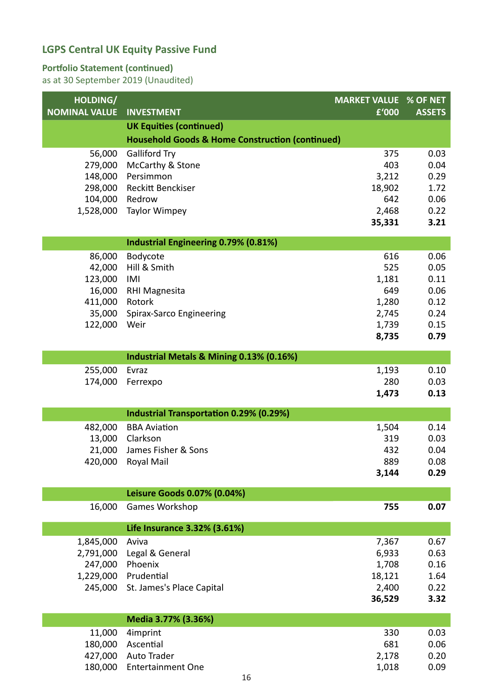#### **Portfolio Statement (continued)**

| HOLDING/<br><b>NOMINAL VALUE</b> | <b>INVESTMENT</b>                                          | <b>MARKET VALUE % OF NET</b><br>f'000 | <b>ASSETS</b> |
|----------------------------------|------------------------------------------------------------|---------------------------------------|---------------|
|                                  | <b>UK Equities (continued)</b>                             |                                       |               |
|                                  | <b>Household Goods &amp; Home Construction (continued)</b> |                                       |               |
| 56,000                           | <b>Galliford Try</b>                                       | 375                                   | 0.03          |
| 279,000                          | McCarthy & Stone                                           | 403                                   | 0.04          |
| 148,000                          | Persimmon                                                  | 3,212                                 | 0.29          |
| 298,000                          | Reckitt Benckiser                                          | 18,902                                | 1.72          |
| 104,000                          | Redrow                                                     | 642                                   | 0.06          |
| 1,528,000                        | <b>Taylor Wimpey</b>                                       | 2,468                                 | 0.22          |
|                                  |                                                            | 35,331                                | 3.21          |
|                                  | <b>Industrial Engineering 0.79% (0.81%)</b>                |                                       |               |
| 86,000                           | Bodycote                                                   | 616                                   | 0.06          |
| 42,000                           | Hill & Smith                                               | 525                                   | 0.05          |
| 123,000                          | IMI                                                        | 1,181                                 | 0.11          |
| 16,000                           | <b>RHI Magnesita</b>                                       | 649                                   | 0.06          |
| 411,000                          | Rotork                                                     | 1,280                                 | 0.12          |
| 35,000                           | Spirax-Sarco Engineering                                   | 2,745                                 | 0.24          |
| 122,000                          | Weir                                                       | 1,739<br>8,735                        | 0.15<br>0.79  |
|                                  |                                                            |                                       |               |
|                                  | Industrial Metals & Mining 0.13% (0.16%)                   |                                       |               |
| 255,000                          | Evraz                                                      | 1,193                                 | 0.10          |
| 174,000                          | Ferrexpo                                                   | 280                                   | 0.03          |
|                                  |                                                            | 1,473                                 | 0.13          |
|                                  | <b>Industrial Transportation 0.29% (0.29%)</b>             |                                       |               |
| 482,000                          | <b>BBA Aviation</b>                                        | 1,504                                 | 0.14          |
| 13,000                           | Clarkson                                                   | 319                                   | 0.03          |
| 21,000                           | James Fisher & Sons                                        | 432                                   | 0.04          |
| 420,000                          | Royal Mail                                                 | 889                                   | 0.08          |
|                                  |                                                            | 3,144                                 | 0.29          |
|                                  | Leisure Goods 0.07% (0.04%)                                |                                       |               |
| 16,000                           | Games Workshop                                             | 755                                   | 0.07          |
|                                  | Life Insurance 3.32% (3.61%)                               |                                       |               |
| 1,845,000                        | Aviva                                                      | 7,367                                 | 0.67          |
| 2,791,000                        | Legal & General                                            | 6,933                                 | 0.63          |
| 247,000                          | Phoenix                                                    | 1,708                                 | 0.16          |
| 1,229,000                        | Prudential                                                 | 18,121                                | 1.64          |
| 245,000                          | St. James's Place Capital                                  | 2,400                                 | 0.22          |
|                                  |                                                            | 36,529                                | 3.32          |
|                                  | Media 3.77% (3.36%)                                        |                                       |               |
| 11,000                           | 4imprint                                                   | 330                                   | 0.03          |
| 180,000                          | Ascential                                                  | 681                                   | 0.06          |
| 427,000                          | Auto Trader                                                | 2,178                                 | 0.20          |
| 180,000                          | <b>Entertainment One</b>                                   | 1,018                                 | 0.09          |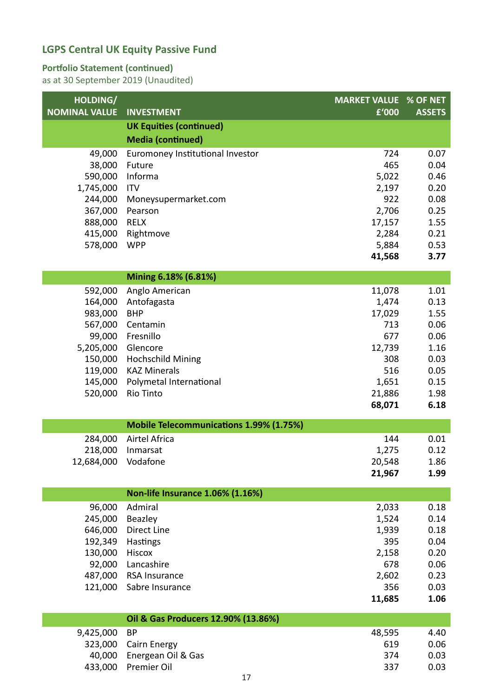#### **Portfolio Statement (continued)**

| HOLDING/             |                                         | <b>MARKET VALUE % OF NET</b> |               |
|----------------------|-----------------------------------------|------------------------------|---------------|
| <b>NOMINAL VALUE</b> | <b>INVESTMENT</b>                       | £'000                        | <b>ASSETS</b> |
|                      | <b>UK Equities (continued)</b>          |                              |               |
|                      | <b>Media (continued)</b>                |                              |               |
| 49,000               | Euromoney Institutional Investor        | 724                          | 0.07          |
| 38,000<br>590,000    | Future<br>Informa                       | 465<br>5,022                 | 0.04<br>0.46  |
| 1,745,000            | <b>ITV</b>                              | 2,197                        | 0.20          |
| 244,000              | Moneysupermarket.com                    | 922                          | 0.08          |
| 367,000              | Pearson                                 | 2,706                        | 0.25          |
| 888,000              | <b>RELX</b>                             | 17,157                       | 1.55          |
| 415,000              | Rightmove                               | 2,284                        | 0.21          |
| 578,000              | <b>WPP</b>                              | 5,884                        | 0.53          |
|                      |                                         | 41,568                       | 3.77          |
|                      | Mining 6.18% (6.81%)                    |                              |               |
| 592,000              | Anglo American                          | 11,078                       | 1.01          |
| 164,000              | Antofagasta                             | 1,474                        | 0.13          |
| 983,000              | <b>BHP</b>                              | 17,029                       | 1.55          |
| 567,000              | Centamin                                | 713                          | 0.06          |
| 99,000               | Fresnillo                               | 677                          | 0.06          |
| 5,205,000<br>150,000 | Glencore<br><b>Hochschild Mining</b>    | 12,739<br>308                | 1.16<br>0.03  |
| 119,000              | <b>KAZ Minerals</b>                     | 516                          | 0.05          |
| 145,000              | Polymetal International                 | 1,651                        | 0.15          |
| 520,000              | Rio Tinto                               | 21,886                       | 1.98          |
|                      |                                         | 68,071                       | 6.18          |
|                      | Mobile Telecommunications 1.99% (1.75%) |                              |               |
| 284,000              | <b>Airtel Africa</b>                    | 144                          | 0.01          |
| 218,000              | Inmarsat                                | 1,275                        | 0.12          |
| 12,684,000           | Vodafone                                | 20,548                       | 1.86          |
|                      |                                         | 21,967                       | 1.99          |
|                      | Non-life Insurance 1.06% (1.16%)        |                              |               |
| 96,000               | Admiral                                 | 2,033                        | 0.18          |
| 245,000              | Beazley                                 | 1,524                        | 0.14          |
| 646,000              | Direct Line                             | 1,939                        | 0.18          |
| 192,349              | Hastings                                | 395                          | 0.04          |
| 130,000<br>92,000    | <b>Hiscox</b><br>Lancashire             | 2,158<br>678                 | 0.20<br>0.06  |
| 487,000              | <b>RSA Insurance</b>                    | 2,602                        | 0.23          |
| 121,000              | Sabre Insurance                         | 356                          | 0.03          |
|                      |                                         | 11,685                       | 1.06          |
|                      | Oil & Gas Producers 12.90% (13.86%)     |                              |               |
| 9,425,000            | <b>BP</b>                               | 48,595                       | 4.40          |
| 323,000              | Cairn Energy                            | 619                          | 0.06          |
| 40,000               | Energean Oil & Gas                      | 374                          | 0.03          |
| 433,000              | Premier Oil                             | 337                          | 0.03          |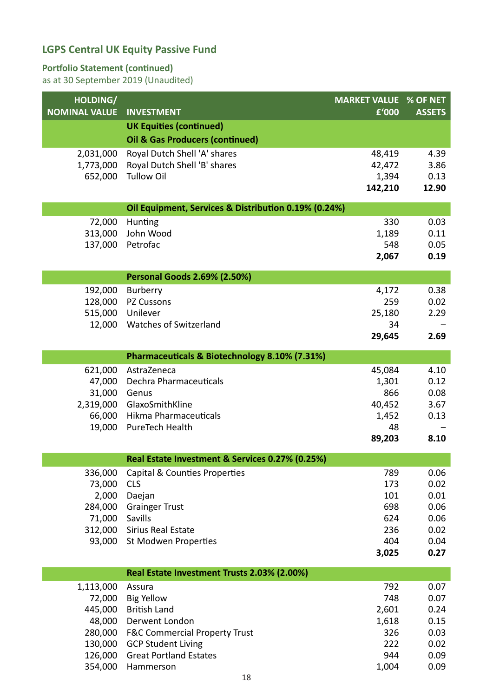#### **Portfolio Statement (continued)**

| HOLDING/<br><b>NOMINAL VALUE</b> | <b>INVESTMENT</b>                                          | <b>MARKET VALUE % OF NET</b><br>£'000 | <b>ASSETS</b> |
|----------------------------------|------------------------------------------------------------|---------------------------------------|---------------|
|                                  | <b>UK Equities (continued)</b>                             |                                       |               |
|                                  | <b>Oil &amp; Gas Producers (continued)</b>                 |                                       |               |
| 2,031,000                        | Royal Dutch Shell 'A' shares                               | 48,419                                | 4.39          |
| 1,773,000                        | Royal Dutch Shell 'B' shares                               | 42,472                                | 3.86          |
| 652,000                          | <b>Tullow Oil</b>                                          | 1,394                                 | 0.13          |
|                                  |                                                            | 142,210                               | 12.90         |
|                                  | Oil Equipment, Services & Distribution 0.19% (0.24%)       |                                       |               |
| 72,000                           | Hunting                                                    | 330                                   | 0.03          |
| 313,000                          | John Wood                                                  | 1,189                                 | 0.11          |
| 137,000                          | Petrofac                                                   | 548<br>2,067                          | 0.05<br>0.19  |
|                                  |                                                            |                                       |               |
|                                  | <b>Personal Goods 2.69% (2.50%)</b>                        |                                       |               |
| 192,000                          | Burberry                                                   | 4,172                                 | 0.38          |
| 128,000                          | PZ Cussons                                                 | 259                                   | 0.02          |
| 515,000<br>12,000                | Unilever<br><b>Watches of Switzerland</b>                  | 25,180<br>34                          | 2.29          |
|                                  |                                                            | 29,645                                | 2.69          |
|                                  |                                                            |                                       |               |
|                                  | Pharmaceuticals & Biotechnology 8.10% (7.31%)              |                                       |               |
| 621,000                          | AstraZeneca                                                | 45,084                                | 4.10          |
| 47,000<br>31,000                 | Dechra Pharmaceuticals<br>Genus                            | 1,301<br>866                          | 0.12<br>0.08  |
| 2,319,000                        | GlaxoSmithKline                                            | 40,452                                | 3.67          |
| 66,000                           | Hikma Pharmaceuticals                                      | 1,452                                 | 0.13          |
| 19,000                           | PureTech Health                                            | 48                                    |               |
|                                  |                                                            | 89,203                                | 8.10          |
|                                  | Real Estate Investment & Services 0.27% (0.25%)            |                                       |               |
| 336,000                          | Capital & Counties Properties                              | 789                                   | 0.06          |
| 73,000                           | <b>CLS</b>                                                 | 173                                   | 0.02          |
| 2,000<br>284,000                 | Daejan                                                     | 101<br>698                            | 0.01<br>0.06  |
| 71,000                           | <b>Grainger Trust</b><br>Savills                           | 624                                   | 0.06          |
| 312,000                          | <b>Sirius Real Estate</b>                                  | 236                                   | 0.02          |
| 93,000                           | St Modwen Properties                                       | 404                                   | 0.04          |
|                                  |                                                            | 3,025                                 | 0.27          |
|                                  | Real Estate Investment Trusts 2.03% (2.00%)                |                                       |               |
| 1,113,000                        | Assura                                                     | 792                                   | 0.07          |
| 72,000                           | <b>Big Yellow</b>                                          | 748                                   | 0.07          |
| 445,000                          | <b>British Land</b>                                        | 2,601                                 | 0.24          |
| 48,000                           | Derwent London                                             | 1,618                                 | 0.15          |
| 280,000                          | <b>F&amp;C Commercial Property Trust</b>                   | 326                                   | 0.03          |
| 130,000<br>126,000               | <b>GCP Student Living</b><br><b>Great Portland Estates</b> | 222<br>944                            | 0.02<br>0.09  |
| 354,000                          | Hammerson                                                  | 1,004                                 | 0.09          |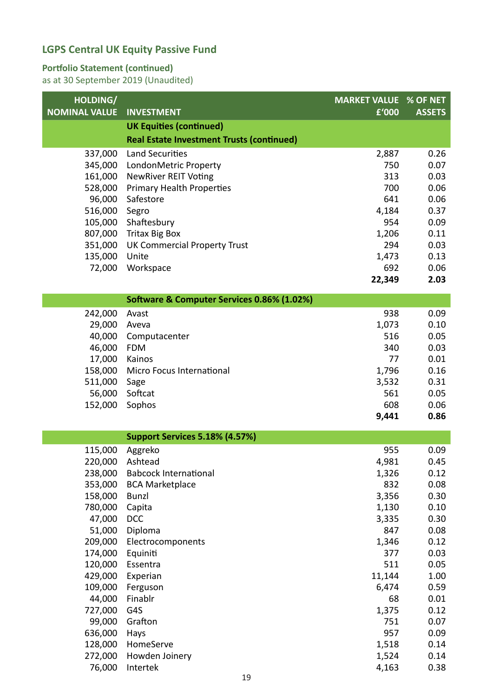#### **Portfolio Statement (continued)**

| HOLDING/             |                                                  | <b>MARKET VALUE % OF NET</b> |               |
|----------------------|--------------------------------------------------|------------------------------|---------------|
| <b>NOMINAL VALUE</b> | <b>INVESTMENT</b>                                | £'000                        | <b>ASSETS</b> |
|                      | <b>UK Equities (continued)</b>                   |                              |               |
|                      | <b>Real Estate Investment Trusts (continued)</b> |                              |               |
| 337,000              | <b>Land Securities</b>                           | 2,887                        | 0.26          |
| 345,000              | LondonMetric Property                            | 750                          | 0.07          |
| 161,000              | <b>NewRiver REIT Voting</b>                      | 313                          | 0.03          |
| 528,000              | <b>Primary Health Properties</b>                 | 700                          | 0.06          |
| 96,000               | Safestore                                        | 641                          | 0.06          |
| 516,000              | Segro                                            | 4,184                        | 0.37          |
| 105,000              | Shaftesbury                                      | 954                          | 0.09          |
| 807,000              | <b>Tritax Big Box</b>                            | 1,206                        | 0.11          |
| 351,000              | <b>UK Commercial Property Trust</b>              | 294                          | 0.03          |
| 135,000              | Unite                                            | 1,473                        | 0.13          |
| 72,000               | Workspace                                        | 692                          | 0.06          |
|                      |                                                  | 22,349                       | 2.03          |
|                      | Software & Computer Services 0.86% (1.02%)       |                              |               |
| 242,000              | Avast                                            | 938                          | 0.09          |
| 29,000               | Aveva                                            | 1,073                        | 0.10          |
| 40,000               | Computacenter                                    | 516                          | 0.05          |
| 46,000               | <b>FDM</b>                                       | 340                          | 0.03          |
| 17,000               | Kainos                                           | 77                           | 0.01          |
| 158,000              | Micro Focus International                        | 1,796                        | 0.16          |
| 511,000              | Sage                                             | 3,532                        | 0.31          |
| 56,000               | Softcat                                          | 561                          | 0.05          |
| 152,000              | Sophos                                           | 608                          | 0.06          |
|                      |                                                  | 9,441                        | 0.86          |
|                      | Support Services 5.18% (4.57%)                   |                              |               |
| 115,000              | Aggreko                                          | 955                          | 0.09          |
| 220,000              | Ashtead                                          | 4,981                        | 0.45          |
| 238,000              | <b>Babcock International</b>                     | 1,326                        | 0.12          |
| 353,000              | <b>BCA Marketplace</b>                           | 832                          | 0.08          |
| 158,000              | <b>Bunzl</b>                                     | 3,356                        | 0.30          |
| 780,000              | Capita                                           | 1,130                        | 0.10          |
| 47,000               | <b>DCC</b>                                       | 3,335                        | 0.30          |
| 51,000               | Diploma                                          | 847                          | 0.08          |
| 209,000              | Electrocomponents                                | 1,346                        | 0.12          |
| 174,000<br>120,000   | Equiniti<br>Essentra                             | 377<br>511                   | 0.03<br>0.05  |
| 429,000              | Experian                                         | 11,144                       | 1.00          |
| 109,000              | Ferguson                                         | 6,474                        | 0.59          |
| 44,000               | Finablr                                          | 68                           | 0.01          |
| 727,000              | G4S                                              | 1,375                        | 0.12          |
| 99,000               | Grafton                                          | 751                          | 0.07          |
| 636,000              | Hays                                             | 957                          | 0.09          |
| 128,000              | HomeServe                                        | 1,518                        | 0.14          |
| 272,000              | Howden Joinery                                   | 1,524                        | 0.14          |
| 76,000               | Intertek                                         | 4,163                        | 0.38          |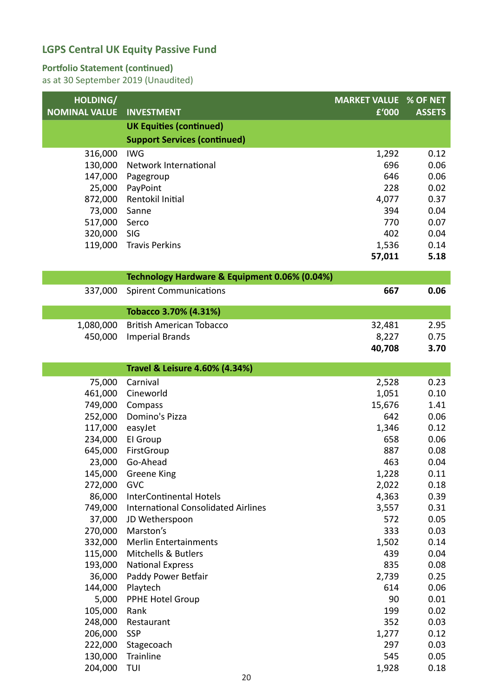#### **Portfolio Statement (continued)**

| HOLDING/             |                                               | <b>MARKET VALUE % OF NET</b> |               |
|----------------------|-----------------------------------------------|------------------------------|---------------|
| <b>NOMINAL VALUE</b> | <b>INVESTMENT</b>                             | £'000                        | <b>ASSETS</b> |
|                      | <b>UK Equities (continued)</b>                |                              |               |
|                      | <b>Support Services (continued)</b>           |                              |               |
| 316,000              | <b>IWG</b>                                    | 1,292                        | 0.12          |
| 130,000              | Network International                         | 696                          | 0.06          |
| 147,000              | Pagegroup                                     | 646                          | 0.06          |
| 25,000               | PayPoint                                      | 228                          | 0.02          |
| 872,000              | Rentokil Initial                              | 4,077                        | 0.37          |
| 73,000               | Sanne                                         | 394                          | 0.04          |
| 517,000              | Serco                                         | 770                          | 0.07          |
| 320,000              | SIG                                           | 402                          | 0.04          |
| 119,000              | <b>Travis Perkins</b>                         | 1,536                        | 0.14          |
|                      |                                               | 57,011                       | 5.18          |
|                      | Technology Hardware & Equipment 0.06% (0.04%) |                              |               |
| 337,000              | <b>Spirent Communications</b>                 | 667                          | 0.06          |
|                      |                                               |                              |               |
|                      | Tobacco 3.70% (4.31%)                         |                              |               |
| 1,080,000            | <b>British American Tobacco</b>               | 32,481                       | 2.95          |
| 450,000              | <b>Imperial Brands</b>                        | 8,227                        | 0.75<br>3.70  |
|                      |                                               | 40,708                       |               |
|                      | <b>Travel &amp; Leisure 4.60% (4.34%)</b>     |                              |               |
| 75,000               | Carnival                                      | 2,528                        | 0.23          |
| 461,000              | Cineworld                                     | 1,051                        | 0.10          |
| 749,000              | Compass                                       | 15,676                       | 1.41          |
| 252,000              | Domino's Pizza                                | 642                          | 0.06          |
| 117,000              | easyJet                                       | 1,346                        | 0.12          |
| 234,000              | El Group                                      | 658                          | 0.06          |
| 645,000              | FirstGroup                                    | 887                          | 0.08          |
| 23,000               | Go-Ahead                                      | 463                          | 0.04          |
| 145,000              | <b>Greene King</b>                            | 1,228                        | 0.11          |
| 272,000              | GVC                                           | 2,022                        | 0.18          |
| 86,000               | <b>InterContinental Hotels</b>                | 4,363                        | 0.39          |
| 749,000              | <b>International Consolidated Airlines</b>    | 3,557                        | 0.31          |
| 37,000               | JD Wetherspoon                                | 572                          | 0.05          |
| 270,000              | Marston's                                     | 333                          | 0.03          |
| 332,000              | <b>Merlin Entertainments</b>                  | 1,502                        | 0.14          |
| 115,000              | Mitchells & Butlers                           | 439                          | 0.04          |
| 193,000              | <b>National Express</b>                       | 835                          | 0.08          |
| 36,000               | Paddy Power Betfair                           | 2,739                        | 0.25          |
| 144,000<br>5,000     | Playtech<br>PPHE Hotel Group                  | 614<br>90                    | 0.06<br>0.01  |
| 105,000              | Rank                                          | 199                          | 0.02          |
| 248,000              | Restaurant                                    | 352                          | 0.03          |
| 206,000              | <b>SSP</b>                                    | 1,277                        | 0.12          |
| 222,000              | Stagecoach                                    | 297                          | 0.03          |
| 130,000              | Trainline                                     | 545                          | 0.05          |
| 204,000              | TUI                                           | 1,928                        | 0.18          |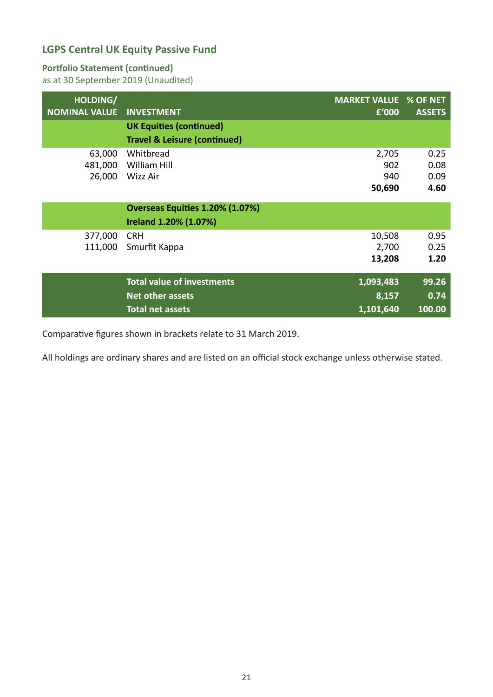#### **Portfolio Statement (continued)**

as at 30 September 2019 (Unaudited)

| HOLDING/<br><b>NOMINAL VALUE</b> | <b>INVESTMENT</b>                       | <b>MARKET VALUE % OF NET</b><br>£'000 | <b>ASSETS</b> |
|----------------------------------|-----------------------------------------|---------------------------------------|---------------|
|                                  | <b>UK Equities (continued)</b>          |                                       |               |
|                                  | <b>Travel &amp; Leisure (continued)</b> |                                       |               |
| 63,000                           | Whitbread                               | 2,705                                 | 0.25          |
| 481,000                          | William Hill                            | 902                                   | 0.08          |
| 26,000                           | Wizz Air                                | 940                                   | 0.09          |
|                                  |                                         | 50,690                                | 4.60          |
|                                  | Overseas Equities 1.20% (1.07%)         |                                       |               |
|                                  | Ireland 1.20% (1.07%)                   |                                       |               |
| 377,000                          | <b>CRH</b>                              | 10,508                                | 0.95          |
| 111,000                          | Smurfit Kappa                           | 2,700                                 | 0.25          |
|                                  |                                         | 13,208                                | 1.20          |
|                                  | <b>Total value of investments</b>       | 1,093,483                             | 99.26         |
|                                  | <b>Net other assets</b>                 | 8,157                                 | 0.74          |
|                                  | <b>Total net assets</b>                 | 1,101,640                             | 100.00        |

Comparative figures shown in brackets relate to 31 March 2019.

All holdings are ordinary shares and are listed on an official stock exchange unless otherwise stated.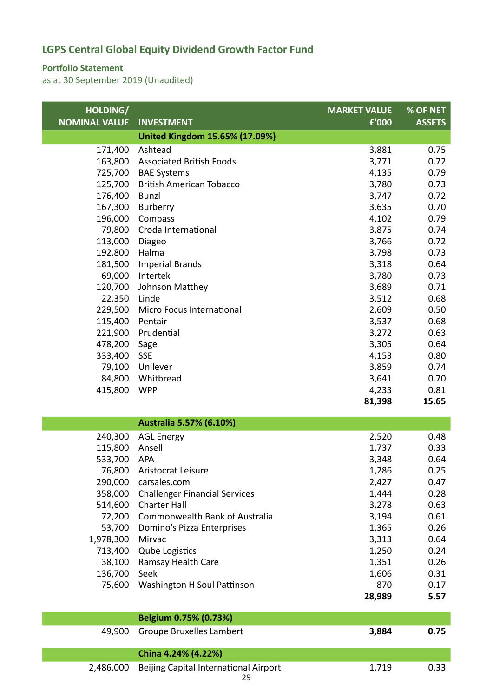#### **Portfolio Statement**

| HOLDING/             |                                       | <b>MARKET VALUE</b> | <b>% OF NET</b> |
|----------------------|---------------------------------------|---------------------|-----------------|
| <b>NOMINAL VALUE</b> | <b>INVESTMENT</b>                     | £'000               | <b>ASSETS</b>   |
|                      | <b>United Kingdom 15.65% (17.09%)</b> |                     |                 |
| 171,400              | Ashtead                               | 3,881               | 0.75            |
| 163,800              | <b>Associated British Foods</b>       | 3,771               | 0.72            |
| 725,700              | <b>BAE Systems</b>                    | 4,135               | 0.79            |
| 125,700              | <b>British American Tobacco</b>       | 3,780               | 0.73            |
| 176,400              | <b>Bunzl</b>                          | 3,747               | 0.72            |
| 167,300              | Burberry                              | 3,635               | 0.70            |
| 196,000              | Compass                               | 4,102               | 0.79            |
| 79,800               | Croda International                   | 3,875               | 0.74            |
| 113,000              | Diageo                                | 3,766               | 0.72            |
| 192,800              | Halma                                 | 3,798               | 0.73            |
| 181,500              | <b>Imperial Brands</b>                | 3,318               | 0.64            |
| 69,000               | Intertek                              | 3,780               | 0.73            |
| 120,700              | Johnson Matthey                       | 3,689               | 0.71            |
| 22,350               | Linde                                 | 3,512               | 0.68            |
| 229,500              | Micro Focus International             | 2,609               | 0.50            |
| 115,400              | Pentair                               | 3,537               | 0.68            |
| 221,900              | Prudential                            | 3,272               | 0.63            |
| 478,200<br>333,400   | Sage<br><b>SSE</b>                    | 3,305<br>4,153      | 0.64<br>0.80    |
| 79,100               | Unilever                              | 3,859               | 0.74            |
| 84,800               | Whitbread                             | 3,641               | 0.70            |
| 415,800              | <b>WPP</b>                            | 4,233               | 0.81            |
|                      |                                       | 81,398              | 15.65           |
|                      |                                       |                     |                 |
|                      | Australia 5.57% (6.10%)               |                     |                 |
| 240,300              | <b>AGL Energy</b>                     | 2,520               | 0.48            |
| 115,800              | Ansell                                | 1,737               | 0.33            |
| 533,700              | <b>APA</b>                            | 3,348               | 0.64            |
| 76,800               | Aristocrat Leisure                    | 1,286               | 0.25            |
| 290,000              | carsales.com                          | 2,427               | 0.47            |
| 358,000              | <b>Challenger Financial Services</b>  | 1,444               | 0.28            |
| 514,600              | <b>Charter Hall</b>                   | 3,278               | 0.63            |
| 72,200               | Commonwealth Bank of Australia        | 3,194               | 0.61            |
| 53,700               | Domino's Pizza Enterprises            | 1,365               | 0.26            |
| 1,978,300            | Mirvac                                | 3,313               | 0.64            |
| 713,400              | <b>Qube Logistics</b>                 | 1,250               | 0.24            |
| 38,100               | Ramsay Health Care                    | 1,351               | 0.26            |
| 136,700              | Seek                                  | 1,606               | 0.31            |
| 75,600               | Washington H Soul Pattinson           | 870                 | 0.17            |
|                      |                                       | 28,989              | 5.57            |
|                      | Belgium 0.75% (0.73%)                 |                     |                 |
|                      |                                       |                     |                 |

|  | 49,900 Groupe Bruxelles Lambert                       | 3.884 | 0.75 |
|--|-------------------------------------------------------|-------|------|
|  | China 4.24% (4.22%)                                   |       |      |
|  | 2,486,000 Beijing Capital International Airport<br>29 | 1.719 | 0.33 |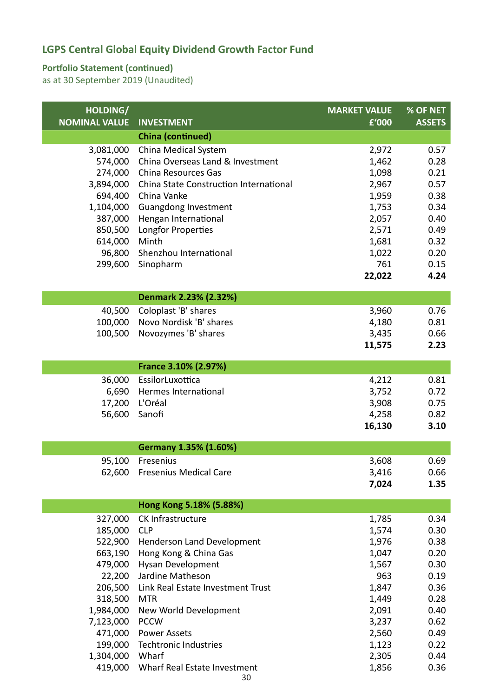#### **Portfolio Statement (continued)**

| HOLDING/             |                                        | <b>MARKET VALUE</b> | % OF NET      |
|----------------------|----------------------------------------|---------------------|---------------|
| <b>NOMINAL VALUE</b> | <b>INVESTMENT</b>                      | £'000               | <b>ASSETS</b> |
|                      | <b>China (continued)</b>               |                     |               |
| 3,081,000            | China Medical System                   | 2,972               | 0.57          |
| 574,000              | China Overseas Land & Investment       | 1,462               | 0.28          |
| 274,000              | <b>China Resources Gas</b>             | 1,098               | 0.21          |
| 3,894,000            | China State Construction International | 2,967               | 0.57          |
| 694,400              | China Vanke                            | 1,959               | 0.38          |
| 1,104,000            | <b>Guangdong Investment</b>            | 1,753               | 0.34          |
| 387,000              | Hengan International                   | 2,057               | 0.40          |
| 850,500<br>614,000   | Longfor Properties<br>Minth            | 2,571<br>1,681      | 0.49<br>0.32  |
| 96,800               | Shenzhou International                 | 1,022               | 0.20          |
| 299,600              | Sinopharm                              | 761                 | 0.15          |
|                      |                                        | 22,022              | 4.24          |
|                      |                                        |                     |               |
|                      | Denmark 2.23% (2.32%)                  |                     |               |
| 40,500               | Coloplast 'B' shares                   | 3,960               | 0.76          |
| 100,000              | Novo Nordisk 'B' shares                | 4,180               | 0.81          |
| 100,500              | Novozymes 'B' shares                   | 3,435               | 0.66          |
|                      |                                        | 11,575              | 2.23          |
|                      | France 3.10% (2.97%)                   |                     |               |
| 36,000               | EssilorLuxottica                       | 4,212               | 0.81          |
| 6,690                | Hermes International                   | 3,752               | 0.72          |
| 17,200               | L'Oréal                                | 3,908               | 0.75          |
| 56,600               | Sanofi                                 | 4,258               | 0.82          |
|                      |                                        | 16,130              | 3.10          |
|                      |                                        |                     |               |
|                      | Germany 1.35% (1.60%)                  |                     |               |
| 95,100               | Fresenius                              | 3,608               | 0.69          |
|                      | 62,600 Fresenius Medical Care          | 3,416               | 0.66          |
|                      |                                        | 7,024               | 1.35          |
|                      | Hong Kong 5.18% (5.88%)                |                     |               |
| 327,000              | CK Infrastructure                      | 1,785               | 0.34          |
| 185,000              | <b>CLP</b>                             | 1,574               | 0.30          |
| 522,900              | Henderson Land Development             | 1,976               | 0.38          |
| 663,190              | Hong Kong & China Gas                  | 1,047               | 0.20          |
| 479,000              | Hysan Development                      | 1,567               | 0.30          |
| 22,200               | Jardine Matheson                       | 963                 | 0.19          |
| 206,500              | Link Real Estate Investment Trust      | 1,847               | 0.36          |
| 318,500              | <b>MTR</b>                             | 1,449               | 0.28          |
| 1,984,000            | New World Development                  | 2,091               | 0.40          |
| 7,123,000            | <b>PCCW</b>                            | 3,237               | 0.62          |
| 471,000              | <b>Power Assets</b>                    | 2,560               | 0.49          |
| 199,000              | Techtronic Industries                  | 1,123               | 0.22          |
| 1,304,000            | Wharf                                  | 2,305               | 0.44          |
| 419,000              | Wharf Real Estate Investment<br>30     | 1,856               | 0.36          |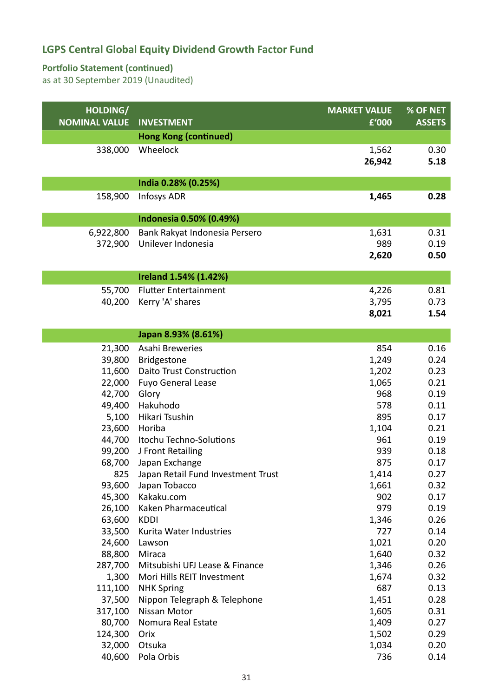#### **Portfolio Statement (continued)**

| HOLDING/             |                                        | <b>MARKET VALUE</b> | % OF NET      |
|----------------------|----------------------------------------|---------------------|---------------|
| <b>NOMINAL VALUE</b> | <b>INVESTMENT</b>                      | £'000               | <b>ASSETS</b> |
|                      | <b>Hong Kong (continued)</b>           |                     |               |
| 338,000              | Wheelock                               | 1,562               | 0.30          |
|                      |                                        | 26,942              | 5.18          |
|                      |                                        |                     |               |
|                      | India 0.28% (0.25%)                    |                     |               |
| 158,900              | <b>Infosys ADR</b>                     | 1,465               | 0.28          |
|                      |                                        |                     |               |
|                      | Indonesia 0.50% (0.49%)                |                     |               |
| 6,922,800            | Bank Rakyat Indonesia Persero          | 1,631               | 0.31          |
| 372,900              | Unilever Indonesia                     | 989                 | 0.19          |
|                      |                                        | 2,620               | 0.50          |
|                      | Ireland 1.54% (1.42%)                  |                     |               |
| 55,700               | <b>Flutter Entertainment</b>           | 4,226               | 0.81          |
| 40,200               | Kerry 'A' shares                       | 3,795               | 0.73          |
|                      |                                        | 8,021               | 1.54          |
|                      |                                        |                     |               |
|                      | Japan 8.93% (8.61%)                    |                     |               |
| 21,300               | Asahi Breweries                        | 854                 | 0.16          |
| 39,800               | <b>Bridgestone</b>                     | 1,249               | 0.24          |
| 11,600               | <b>Daito Trust Construction</b>        | 1,202               | 0.23          |
| 22,000               | <b>Fuyo General Lease</b>              | 1,065               | 0.21          |
| 42,700               | Glory                                  | 968                 | 0.19          |
| 49,400               | Hakuhodo                               | 578                 | 0.11          |
| 5,100                | Hikari Tsushin                         | 895                 | 0.17          |
| 23,600               | Horiba                                 | 1,104               | 0.21          |
| 44,700               | Itochu Techno-Solutions                | 961                 | 0.19          |
| 99,200               | J Front Retailing                      | 939                 | 0.18          |
| 68,700               | Japan Exchange                         | 875                 | 0.17          |
|                      | 825 Japan Retail Fund Investment Trust | 1,414               | 0.27          |
| 93,600               | Japan Tobacco                          | 1,661               | 0.32          |
| 45,300               | Kakaku.com                             | 902                 | 0.17          |
| 26,100               | Kaken Pharmaceutical                   | 979                 | 0.19          |
| 63,600               | <b>KDDI</b>                            | 1,346               | 0.26          |
| 33,500               | Kurita Water Industries                | 727                 | 0.14          |
| 24,600               | Lawson                                 | 1,021               | 0.20          |
| 88,800               | Miraca                                 | 1,640               | 0.32          |
| 287,700              | Mitsubishi UFJ Lease & Finance         | 1,346               | 0.26          |
| 1,300                | Mori Hills REIT Investment             | 1,674               | 0.32          |
| 111,100              | <b>NHK Spring</b>                      | 687                 | 0.13          |
| 37,500               | Nippon Telegraph & Telephone           | 1,451               | 0.28          |
| 317,100              | Nissan Motor                           | 1,605               | 0.31          |
| 80,700               | Nomura Real Estate                     | 1,409               | 0.27          |
| 124,300              | Orix                                   | 1,502               | 0.29          |
| 32,000               | Otsuka                                 | 1,034               | 0.20          |
| 40,600               | Pola Orbis                             | 736                 | 0.14          |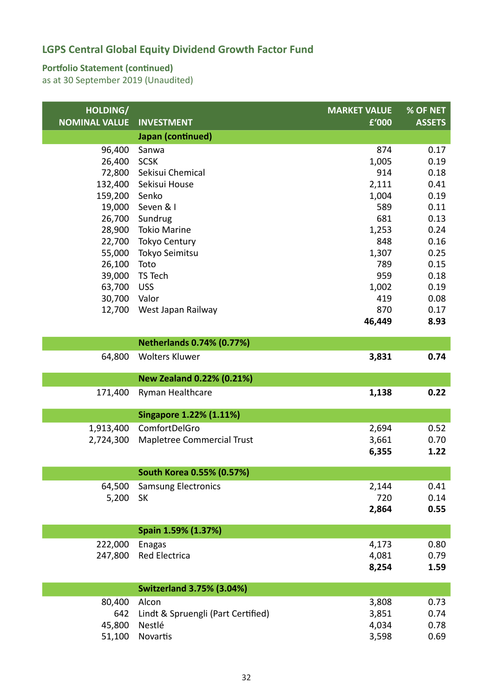#### **Portfolio Statement (continued)**

| HOLDING/             |                                    | <b>MARKET VALUE</b> | % OF NET      |
|----------------------|------------------------------------|---------------------|---------------|
| <b>NOMINAL VALUE</b> | <b>INVESTMENT</b>                  | £'000               | <b>ASSETS</b> |
|                      | Japan (continued)                  |                     |               |
| 96,400               | Sanwa                              | 874                 | 0.17          |
| 26,400               | <b>SCSK</b>                        | 1,005               | 0.19          |
| 72,800               | Sekisui Chemical                   | 914                 | 0.18          |
| 132,400              | Sekisui House                      | 2,111               | 0.41          |
| 159,200              | Senko                              | 1,004               | 0.19          |
| 19,000               | Seven & I                          | 589                 | 0.11          |
| 26,700               | Sundrug                            | 681                 | 0.13          |
| 28,900               | <b>Tokio Marine</b>                | 1,253               | 0.24          |
| 22,700               | Tokyo Century                      | 848                 | 0.16          |
| 55,000               | Tokyo Seimitsu                     | 1,307               | 0.25          |
| 26,100               | Toto                               | 789                 | 0.15          |
| 39,000               | TS Tech                            | 959                 | 0.18          |
| 63,700               | <b>USS</b>                         | 1,002               | 0.19          |
| 30,700               | Valor                              | 419                 | 0.08          |
| 12,700               | West Japan Railway                 | 870                 | 0.17          |
|                      |                                    | 46,449              | 8.93          |
|                      | <b>Netherlands 0.74% (0.77%)</b>   |                     |               |
| 64,800               | <b>Wolters Kluwer</b>              | 3,831               | 0.74          |
|                      | <b>New Zealand 0.22% (0.21%)</b>   |                     |               |
|                      |                                    |                     |               |
| 171,400              | Ryman Healthcare                   | 1,138               | 0.22          |
|                      | <b>Singapore 1.22% (1.11%)</b>     |                     |               |
| 1,913,400            | ComfortDelGro                      | 2,694               | 0.52          |
| 2,724,300            | Mapletree Commercial Trust         | 3,661               | 0.70          |
|                      |                                    | 6,355               | 1.22          |
|                      |                                    |                     |               |
|                      | South Korea 0.55% (0.57%)          |                     |               |
| 64,500               | <b>Samsung Electronics</b>         | 2,144               | 0.41          |
| 5,200                | <b>SK</b>                          | 720                 | 0.14          |
|                      |                                    | 2,864               | 0.55          |
|                      | Spain 1.59% (1.37%)                |                     |               |
| 222,000              | <b>Enagas</b>                      | 4,173               | 0.80          |
| 247,800              | Red Electrica                      | 4,081               | 0.79          |
|                      |                                    | 8,254               | 1.59          |
|                      |                                    |                     |               |
|                      | <b>Switzerland 3.75% (3.04%)</b>   |                     |               |
| 80,400               | Alcon                              | 3,808               | 0.73          |
| 642                  | Lindt & Spruengli (Part Certified) | 3,851               | 0.74          |
| 45,800               | Nestlé                             | 4,034               | 0.78          |
| 51,100               | Novartis                           | 3,598               | 0.69          |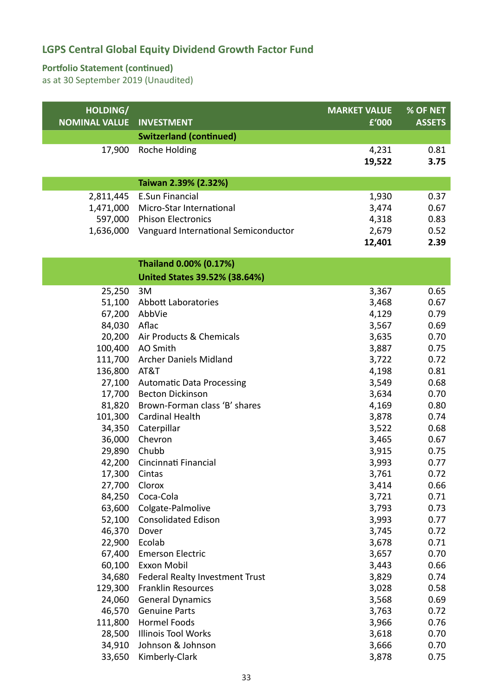#### **Portfolio Statement (continued)**

| HOLDING/<br><b>NOMINAL VALUE</b> | <b>INVESTMENT</b>                               | <b>MARKET VALUE</b><br>£'000 | % OF NET<br><b>ASSETS</b> |
|----------------------------------|-------------------------------------------------|------------------------------|---------------------------|
|                                  | <b>Switzerland (continued)</b>                  |                              |                           |
| 17,900                           | Roche Holding                                   | 4,231                        | 0.81                      |
|                                  |                                                 | 19,522                       | 3.75                      |
|                                  |                                                 |                              |                           |
|                                  | Taiwan 2.39% (2.32%)                            |                              |                           |
| 2,811,445                        | <b>E.Sun Financial</b>                          | 1,930                        | 0.37                      |
| 1,471,000                        | Micro-Star International                        | 3,474                        | 0.67                      |
| 597,000                          | <b>Phison Electronics</b>                       | 4,318                        | 0.83                      |
| 1,636,000                        | Vanguard International Semiconductor            | 2,679                        | 0.52                      |
|                                  |                                                 | 12,401                       | 2.39                      |
|                                  | Thailand 0.00% (0.17%)                          |                              |                           |
|                                  | <b>United States 39.52% (38.64%)</b>            |                              |                           |
| 25,250                           | 3M                                              | 3,367                        | 0.65                      |
| 51,100                           | Abbott Laboratories                             | 3,468                        | 0.67                      |
| 67,200                           | AbbVie                                          | 4,129                        | 0.79                      |
| 84,030                           | Aflac                                           | 3,567                        | 0.69                      |
| 20,200                           | Air Products & Chemicals                        | 3,635                        | 0.70                      |
| 100,400                          | AO Smith                                        | 3,887                        | 0.75                      |
| 111,700                          | <b>Archer Daniels Midland</b>                   | 3,722                        | 0.72                      |
| 136,800                          | AT&T                                            | 4,198                        | 0.81                      |
| 27,100                           | <b>Automatic Data Processing</b>                | 3,549                        | 0.68                      |
| 17,700                           | <b>Becton Dickinson</b>                         | 3,634                        | 0.70                      |
| 81,820                           | Brown-Forman class 'B' shares                   | 4,169                        | 0.80                      |
| 101,300                          | <b>Cardinal Health</b>                          | 3,878                        | 0.74                      |
| 34,350                           | Caterpillar                                     | 3,522                        | 0.68                      |
| 36,000                           | Chevron                                         | 3,465                        | 0.67                      |
| 29,890                           | Chubb                                           | 3,915                        | 0.75                      |
| 42,200                           | Cincinnati Financial                            | 3,993                        | 0.77                      |
| 17,300                           | Cintas                                          | 3,761                        | 0.72                      |
| 27,700                           | Clorox                                          | 3,414                        | 0.66                      |
| 84,250                           | Coca-Cola                                       | 3,721                        | 0.71                      |
| 63,600                           | Colgate-Palmolive                               | 3,793                        | 0.73                      |
| 52,100                           | <b>Consolidated Edison</b>                      | 3,993                        | 0.77                      |
| 46,370                           | Dover                                           | 3,745                        | 0.72                      |
| 22,900                           | Ecolab                                          | 3,678                        | 0.71                      |
| 67,400                           | <b>Emerson Electric</b>                         | 3,657                        | 0.70                      |
| 60,100                           | Exxon Mobil                                     | 3,443                        | 0.66                      |
| 34,680                           | Federal Realty Investment Trust                 | 3,829                        | 0.74                      |
| 129,300                          | <b>Franklin Resources</b>                       | 3,028                        | 0.58                      |
| 24,060                           | <b>General Dynamics</b>                         | 3,568                        | 0.69                      |
| 46,570                           | <b>Genuine Parts</b>                            | 3,763                        | 0.72                      |
| 111,800                          | Hormel Foods                                    | 3,966                        | 0.76                      |
| 28,500<br>34,910                 | <b>Illinois Tool Works</b><br>Johnson & Johnson | 3,618<br>3,666               | 0.70<br>0.70              |
| 33,650                           | Kimberly-Clark                                  | 3,878                        | 0.75                      |
|                                  |                                                 |                              |                           |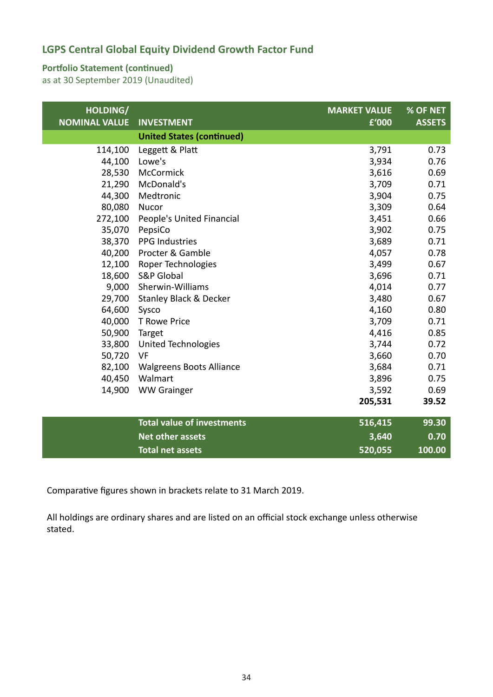#### **Portfolio Statement (continued)**

as at 30 September 2019 (Unaudited)

| HOLDING/<br><b>NOMINAL VALUE</b> | <b>INVESTMENT</b>                 | <b>MARKET VALUE</b><br>£'000 | % OF NET<br><b>ASSETS</b> |
|----------------------------------|-----------------------------------|------------------------------|---------------------------|
|                                  | <b>United States (continued)</b>  |                              |                           |
| 114,100                          | Leggett & Platt                   | 3,791                        | 0.73                      |
| 44,100                           | Lowe's                            | 3,934                        | 0.76                      |
| 28,530                           | McCormick                         | 3,616                        | 0.69                      |
| 21,290                           | McDonald's                        | 3,709                        | 0.71                      |
| 44,300                           | Medtronic                         | 3,904                        | 0.75                      |
| 80,080                           | Nucor                             | 3,309                        | 0.64                      |
| 272,100                          | People's United Financial         | 3,451                        | 0.66                      |
| 35,070                           | PepsiCo                           | 3,902                        | 0.75                      |
| 38,370                           | <b>PPG Industries</b>             | 3,689                        | 0.71                      |
| 40,200                           | Procter & Gamble                  | 4,057                        | 0.78                      |
| 12,100                           | Roper Technologies                | 3,499                        | 0.67                      |
| 18,600                           | <b>S&amp;P Global</b>             | 3,696                        | 0.71                      |
| 9,000                            | Sherwin-Williams                  | 4,014                        | 0.77                      |
| 29,700                           | Stanley Black & Decker            | 3,480                        | 0.67                      |
| 64,600                           | Sysco                             | 4,160                        | 0.80                      |
| 40,000                           | T Rowe Price                      | 3,709                        | 0.71                      |
| 50,900                           | Target                            | 4,416                        | 0.85                      |
| 33,800                           | <b>United Technologies</b>        | 3,744                        | 0.72                      |
| 50,720                           | VF                                | 3,660                        | 0.70                      |
| 82,100                           | <b>Walgreens Boots Alliance</b>   | 3,684                        | 0.71                      |
| 40,450                           | Walmart                           | 3,896                        | 0.75                      |
| 14,900                           | <b>WW Grainger</b>                | 3,592                        | 0.69                      |
|                                  |                                   | 205,531                      | 39.52                     |
|                                  | <b>Total value of investments</b> | 516,415                      | 99.30                     |
|                                  | <b>Net other assets</b>           | 3,640                        | 0.70                      |
|                                  | <b>Total net assets</b>           | 520,055                      | 100.00                    |

Comparative figures shown in brackets relate to 31 March 2019.

All holdings are ordinary shares and are listed on an official stock exchange unless otherwise stated.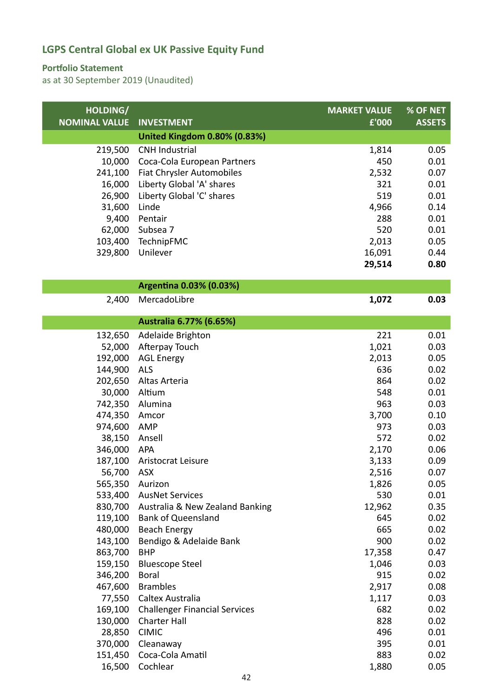#### **Portfolio Statement**

| HOLDING/             |                                      | <b>MARKET VALUE</b> | % OF NET      |
|----------------------|--------------------------------------|---------------------|---------------|
| <b>NOMINAL VALUE</b> | <b>INVESTMENT</b>                    | £'000               | <b>ASSETS</b> |
|                      | <b>United Kingdom 0.80% (0.83%)</b>  |                     |               |
| 219,500              | <b>CNH Industrial</b>                | 1,814               | 0.05          |
| 10,000               | Coca-Cola European Partners          | 450                 | 0.01          |
| 241,100              | Fiat Chrysler Automobiles            | 2,532               | 0.07          |
| 16,000               | Liberty Global 'A' shares            | 321                 | 0.01          |
| 26,900               | Liberty Global 'C' shares            | 519                 | 0.01          |
| 31,600               | Linde                                | 4,966               | 0.14          |
| 9,400                | Pentair                              | 288                 | 0.01          |
| 62,000               | Subsea 7                             | 520                 | 0.01          |
| 103,400              | TechnipFMC                           | 2,013               | 0.05          |
| 329,800              | Unilever                             | 16,091              | 0.44          |
|                      |                                      | 29,514              | 0.80          |
|                      | Argentina 0.03% (0.03%)              |                     |               |
| 2,400                | MercadoLibre                         | 1,072               | 0.03          |
|                      |                                      |                     |               |
|                      | Australia 6.77% (6.65%)              |                     |               |
| 132,650              | Adelaide Brighton                    | 221                 | 0.01          |
| 52,000               | Afterpay Touch                       | 1,021               | 0.03          |
| 192,000              | <b>AGL Energy</b>                    | 2,013               | 0.05          |
| 144,900              | ALS                                  | 636                 | 0.02          |
| 202,650              | Altas Arteria                        | 864                 | 0.02          |
| 30,000               | Altium                               | 548                 | 0.01          |
| 742,350              | Alumina                              | 963                 | 0.03          |
| 474,350              | Amcor                                | 3,700               | 0.10          |
| 974,600              | AMP                                  | 973                 | 0.03          |
| 38,150               | Ansell                               | 572                 | 0.02          |
| 346,000              | <b>APA</b>                           | 2,170               | 0.06          |
| 187,100              | Aristocrat Leisure                   | 3,133               | 0.09          |
| 56,700 ASX           |                                      | 2,516               | 0.07          |
| 565,350 Aurizon      |                                      | 1,826               | 0.05          |
| 533,400              | <b>AusNet Services</b>               | 530                 | 0.01          |
| 830,700              | Australia & New Zealand Banking      | 12,962              | 0.35          |
| 119,100              | <b>Bank of Queensland</b>            | 645                 | 0.02          |
| 480,000              | <b>Beach Energy</b>                  | 665                 | 0.02          |
| 143,100              | Bendigo & Adelaide Bank              | 900                 | 0.02          |
| 863,700              | <b>BHP</b>                           | 17,358              | 0.47          |
| 159,150              | <b>Bluescope Steel</b>               | 1,046               | 0.03          |
| 346,200              | <b>Boral</b>                         | 915                 | 0.02          |
| 467,600              | <b>Brambles</b>                      | 2,917               | 0.08          |
| 77,550               | Caltex Australia                     | 1,117               | 0.03          |
| 169,100              | <b>Challenger Financial Services</b> | 682<br>828          | 0.02<br>0.02  |
| 130,000<br>28,850    | <b>Charter Hall</b><br><b>CIMIC</b>  | 496                 | 0.01          |
| 370,000              | Cleanaway                            | 395                 | 0.01          |
| 151,450              | Coca-Cola Amatil                     | 883                 | 0.02          |
| 16,500               | Cochlear                             | 1,880               | 0.05          |
|                      |                                      |                     |               |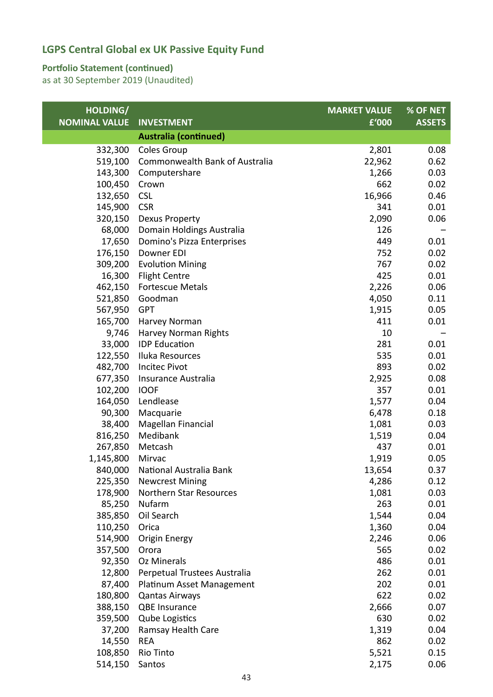#### **Portfolio Statement (continued)**

| HOLDING/             |                                | <b>MARKET VALUE</b> | % OF NET      |
|----------------------|--------------------------------|---------------------|---------------|
| <b>NOMINAL VALUE</b> | <b>INVESTMENT</b>              | £'000               | <b>ASSETS</b> |
|                      | <b>Australia (continued)</b>   |                     |               |
| 332,300              | <b>Coles Group</b>             | 2,801               | 0.08          |
| 519,100              | Commonwealth Bank of Australia | 22,962              | 0.62          |
| 143,300              | Computershare                  | 1,266               | 0.03          |
| 100,450              | Crown                          | 662                 | 0.02          |
| 132,650              | <b>CSL</b>                     | 16,966              | 0.46          |
| 145,900              | <b>CSR</b>                     | 341                 | 0.01          |
| 320,150              | Dexus Property                 | 2,090               | 0.06          |
| 68,000               | Domain Holdings Australia      | 126                 |               |
| 17,650               | Domino's Pizza Enterprises     | 449                 | 0.01          |
| 176,150              | Downer EDI                     | 752                 | 0.02          |
| 309,200              | <b>Evolution Mining</b>        | 767                 | 0.02          |
| 16,300               | <b>Flight Centre</b>           | 425                 | 0.01          |
| 462,150              | <b>Fortescue Metals</b>        | 2,226               | 0.06          |
| 521,850              | Goodman                        | 4,050               | 0.11          |
| 567,950              | <b>GPT</b>                     | 1,915               | 0.05          |
| 165,700              | Harvey Norman                  | 411                 | 0.01          |
| 9,746                | Harvey Norman Rights           | 10                  |               |
| 33,000               | <b>IDP</b> Education           | 281                 | 0.01          |
| 122,550              | Iluka Resources                | 535                 | 0.01          |
| 482,700              | <b>Incitec Pivot</b>           | 893                 | 0.02          |
| 677,350              | Insurance Australia            | 2,925               | 0.08          |
| 102,200              | <b>IOOF</b>                    | 357                 | 0.01          |
| 164,050              | Lendlease                      | 1,577               | 0.04          |
| 90,300               | Macquarie                      | 6,478               | 0.18          |
| 38,400               | Magellan Financial             | 1,081               | 0.03          |
| 816,250              | Medibank                       | 1,519               | 0.04          |
| 267,850              | Metcash                        | 437                 | 0.01          |
| 1,145,800            | Mirvac                         | 1,919               | 0.05          |
| 840,000              | National Australia Bank        | 13,654              | 0.37          |
| 225,350              | <b>Newcrest Mining</b>         | 4,286               | 0.12          |
| 178,900              | Northern Star Resources        | 1,081               | 0.03          |
| 85,250               | Nufarm                         | 263                 | 0.01          |
| 385,850              | Oil Search                     | 1,544               | 0.04          |
| 110,250              | Orica                          | 1,360               | 0.04          |
| 514,900              | <b>Origin Energy</b>           | 2,246               | 0.06          |
| 357,500              | Orora                          | 565                 | 0.02          |
| 92,350               | <b>Oz Minerals</b>             | 486                 | 0.01          |
| 12,800               | Perpetual Trustees Australia   | 262                 | 0.01          |
| 87,400               | Platinum Asset Management      | 202                 | 0.01          |
| 180,800              | <b>Qantas Airways</b>          | 622                 | 0.02          |
| 388,150              | <b>QBE Insurance</b>           | 2,666               | 0.07          |
| 359,500              | <b>Qube Logistics</b>          | 630                 | 0.02          |
| 37,200               | Ramsay Health Care             | 1,319               | 0.04          |
| 14,550               | <b>REA</b>                     | 862                 | 0.02          |
| 108,850              | Rio Tinto                      | 5,521               | 0.15          |
| 514,150              | Santos                         | 2,175               | 0.06          |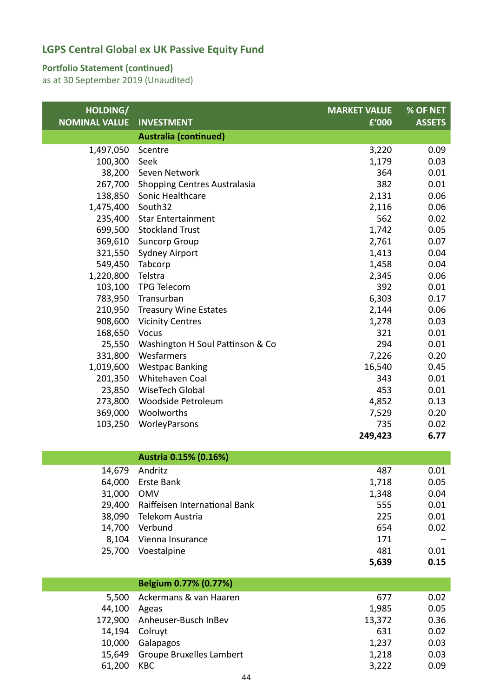#### **Portfolio Statement (continued)**

| HOLDING/<br><b>NOMINAL VALUE</b> | <b>INVESTMENT</b>                | <b>MARKET VALUE</b><br>£'000 | % OF NET<br><b>ASSETS</b> |
|----------------------------------|----------------------------------|------------------------------|---------------------------|
|                                  | <b>Australia (continued)</b>     |                              |                           |
| 1,497,050                        | Scentre                          | 3,220                        | 0.09                      |
| 100,300                          | Seek                             | 1,179                        | 0.03                      |
| 38,200                           | Seven Network                    | 364                          | 0.01                      |
| 267,700                          | Shopping Centres Australasia     | 382                          | 0.01                      |
| 138,850                          | Sonic Healthcare                 | 2,131                        | 0.06                      |
| 1,475,400                        | South32                          | 2,116                        | 0.06                      |
| 235,400                          | <b>Star Entertainment</b>        | 562                          | 0.02                      |
| 699,500                          | <b>Stockland Trust</b>           | 1,742                        | 0.05                      |
| 369,610                          | <b>Suncorp Group</b>             | 2,761                        | 0.07                      |
| 321,550                          | <b>Sydney Airport</b>            | 1,413                        | 0.04                      |
|                                  | 549,450 Tabcorp                  | 1,458                        | 0.04                      |
| 1,220,800                        | Telstra                          | 2,345                        | 0.06                      |
| 103,100                          | <b>TPG Telecom</b>               | 392                          | 0.01                      |
| 783,950                          | Transurban                       | 6,303                        | 0.17                      |
| 210,950                          | <b>Treasury Wine Estates</b>     | 2,144                        | 0.06                      |
| 908,600                          | <b>Vicinity Centres</b>          | 1,278                        | 0.03                      |
| 168,650                          | Vocus                            | 321                          | 0.01                      |
| 25,550                           | Washington H Soul Pattinson & Co | 294                          | 0.01                      |
| 331,800                          | Wesfarmers                       | 7,226                        | 0.20                      |
| 1,019,600                        | <b>Westpac Banking</b>           | 16,540                       | 0.45                      |
| 201,350                          | Whitehaven Coal                  | 343                          | 0.01                      |
| 23,850                           | WiseTech Global                  | 453                          | 0.01                      |
| 273,800                          | Woodside Petroleum               | 4,852                        | 0.13                      |
| 369,000                          | Woolworths                       | 7,529                        | 0.20                      |
| 103,250                          | WorleyParsons                    | 735                          | 0.02                      |
|                                  |                                  | 249,423                      | 6.77                      |
|                                  | Austria 0.15% (0.16%)            |                              |                           |

| 14,679 | Andritz                       | 487   | 0.01 |
|--------|-------------------------------|-------|------|
| 64,000 | Erste Bank                    | 1,718 | 0.05 |
| 31,000 | <b>OMV</b>                    | 1,348 | 0.04 |
| 29,400 | Raiffeisen International Bank | 555   | 0.01 |
| 38,090 | Telekom Austria               | 225   | 0.01 |
| 14,700 | Verbund                       | 654   | 0.02 |
| 8,104  | Vienna Insurance              | 171   |      |
| 25,700 | Voestalpine                   | 481   | 0.01 |
|        |                               | 5,639 | 0.15 |

|        | Belgium 0.77% (0.77%)           |        |      |
|--------|---------------------------------|--------|------|
| 5.500  | Ackermans & van Haaren          | 677    | 0.02 |
| 44,100 | Ageas                           | 1,985  | 0.05 |
|        | 172,900 Anheuser-Busch InBev    | 13,372 | 0.36 |
| 14,194 | Colruyt                         | 631    | 0.02 |
| 10,000 | Galapagos                       | 1,237  | 0.03 |
| 15,649 | <b>Groupe Bruxelles Lambert</b> | 1,218  | 0.03 |
| 61,200 | <b>KBC</b>                      | 3,222  | 0.09 |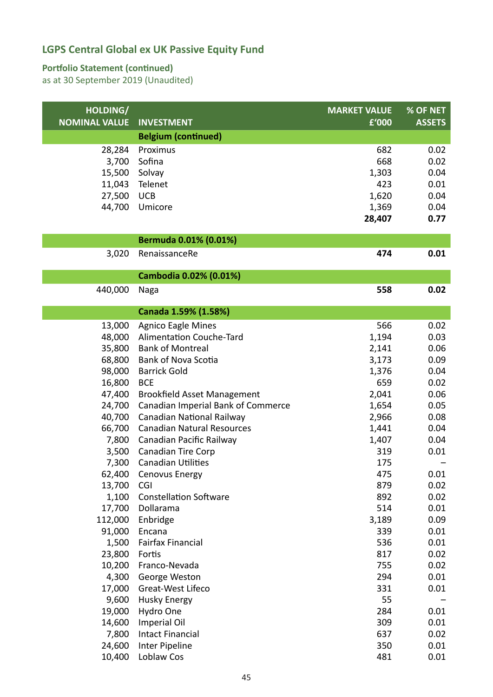#### **Portfolio Statement (continued)**

| HOLDING/             |                                                                 | <b>MARKET VALUE</b> | <b>% OF NET</b> |
|----------------------|-----------------------------------------------------------------|---------------------|-----------------|
| <b>NOMINAL VALUE</b> | <b>INVESTMENT</b>                                               | £'000               | <b>ASSETS</b>   |
|                      | <b>Belgium (continued)</b>                                      |                     |                 |
| 28,284               | Proximus                                                        | 682                 | 0.02            |
| 3,700                | Sofina                                                          | 668                 | 0.02            |
| 15,500               | Solvay                                                          | 1,303               | 0.04            |
| 11,043               | Telenet                                                         | 423                 | 0.01            |
| 27,500               | <b>UCB</b>                                                      | 1,620               | 0.04            |
| 44,700               | Umicore                                                         | 1,369               | 0.04            |
|                      |                                                                 | 28,407              | 0.77            |
|                      | Bermuda 0.01% (0.01%)                                           |                     |                 |
| 3,020                | RenaissanceRe                                                   | 474                 | 0.01            |
|                      |                                                                 |                     |                 |
|                      | Cambodia 0.02% (0.01%)                                          |                     |                 |
| 440,000              | Naga                                                            | 558                 | 0.02            |
|                      |                                                                 |                     |                 |
|                      | Canada 1.59% (1.58%)                                            |                     |                 |
| 13,000               | <b>Agnico Eagle Mines</b>                                       | 566                 | 0.02            |
| 48,000               | Alimentation Couche-Tard                                        | 1,194               | 0.03            |
| 35,800               | <b>Bank of Montreal</b>                                         | 2,141               | 0.06            |
| 68,800               | <b>Bank of Nova Scotia</b>                                      | 3,173               | 0.09            |
| 98,000               | <b>Barrick Gold</b>                                             | 1,376               | 0.04            |
| 16,800               | <b>BCE</b>                                                      | 659                 | 0.02            |
| 47,400               | <b>Brookfield Asset Management</b>                              | 2,041               | 0.06            |
| 24,700<br>40,700     | Canadian Imperial Bank of Commerce<br>Canadian National Railway | 1,654<br>2,966      | 0.05<br>0.08    |
| 66,700               | <b>Canadian Natural Resources</b>                               | 1,441               | 0.04            |
| 7,800                | Canadian Pacific Railway                                        | 1,407               | 0.04            |
| 3,500                | <b>Canadian Tire Corp</b>                                       | 319                 | 0.01            |
| 7,300                | <b>Canadian Utilities</b>                                       | 175                 |                 |
| 62,400               | Cenovus Energy                                                  | 475                 | 0.01            |
| 13,700               | <b>CGI</b>                                                      | 879                 | 0.02            |
| 1,100                | <b>Constellation Software</b>                                   | 892                 | 0.02            |
| 17,700               | Dollarama                                                       | 514                 | 0.01            |
| 112,000              | Enbridge                                                        | 3,189               | 0.09            |
| 91,000               | Encana                                                          | 339                 | 0.01            |
| 1,500                | Fairfax Financial                                               | 536                 | 0.01            |
| 23,800               | Fortis                                                          | 817                 | 0.02            |
| 10,200               | Franco-Nevada                                                   | 755                 | 0.02            |
| 4,300                | George Weston                                                   | 294                 | 0.01            |
| 17,000               | Great-West Lifeco                                               | 331                 | 0.01            |
| 9,600                | <b>Husky Energy</b>                                             | 55                  |                 |
| 19,000               | Hydro One                                                       | 284                 | 0.01            |
| 14,600               | Imperial Oil                                                    | 309                 | 0.01            |
| 7,800                | <b>Intact Financial</b>                                         | 637                 | 0.02            |
| 24,600               | Inter Pipeline                                                  | 350                 | 0.01            |
| 10,400               | Loblaw Cos                                                      | 481                 | 0.01            |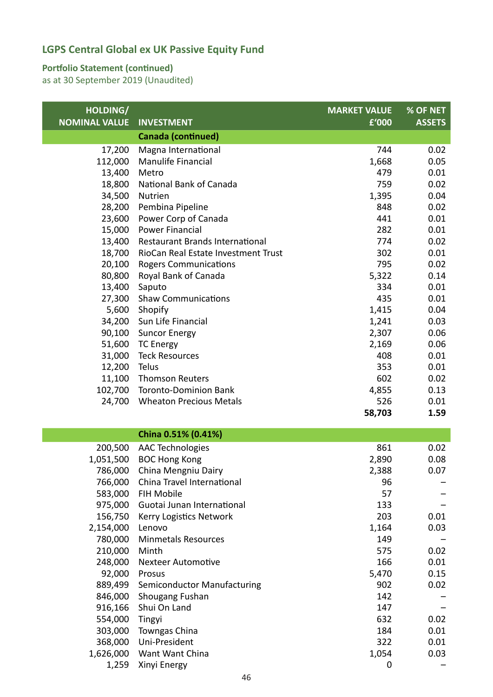#### **Portfolio Statement (continued)**

| HOLDING/             |                                             | <b>MARKET VALUE</b> | % OF NET      |
|----------------------|---------------------------------------------|---------------------|---------------|
| <b>NOMINAL VALUE</b> | <b>INVESTMENT</b>                           | £'000               | <b>ASSETS</b> |
|                      | <b>Canada (continued)</b>                   |                     |               |
| 17,200               | Magna International                         | 744                 | 0.02          |
| 112,000              | Manulife Financial                          | 1,668               | 0.05          |
| 13,400               | Metro                                       | 479                 | 0.01          |
| 18,800               | National Bank of Canada                     | 759                 | 0.02          |
| 34,500               | Nutrien                                     | 1,395               | 0.04          |
| 28,200               | Pembina Pipeline                            | 848                 | 0.02          |
| 23,600               | Power Corp of Canada                        | 441                 | 0.01          |
| 15,000               | <b>Power Financial</b>                      | 282                 | 0.01          |
| 13,400               | Restaurant Brands International             | 774                 | 0.02          |
| 18,700               | RioCan Real Estate Investment Trust         | 302                 | 0.01          |
| 20,100               | <b>Rogers Communications</b>                | 795                 | 0.02          |
| 80,800               | Royal Bank of Canada                        | 5,322               | 0.14          |
| 13,400               | Saputo                                      | 334                 | 0.01          |
| 27,300               | <b>Shaw Communications</b>                  | 435                 | 0.01          |
| 5,600                | Shopify                                     | 1,415               | 0.04          |
| 34,200               | Sun Life Financial                          | 1,241               | 0.03          |
| 90,100               | <b>Suncor Energy</b>                        | 2,307               | 0.06          |
| 51,600               | <b>TC Energy</b>                            | 2,169               | 0.06          |
| 31,000               | <b>Teck Resources</b>                       | 408                 | 0.01          |
| 12,200               | Telus                                       | 353                 | 0.01          |
| 11,100               | <b>Thomson Reuters</b>                      | 602                 | 0.02          |
| 102,700              | <b>Toronto-Dominion Bank</b>                | 4,855               | 0.13          |
| 24,700               | <b>Wheaton Precious Metals</b>              | 526                 | 0.01          |
|                      |                                             | 58,703              | 1.59          |
|                      | China 0.51% (0.41%)                         |                     |               |
|                      |                                             |                     |               |
| 200,500<br>1,051,500 | <b>AAC Technologies</b>                     | 861<br>2,890        | 0.02<br>0.08  |
| 786,000              | <b>BOC Hong Kong</b><br>China Mengniu Dairy | 2,388               | 0.07          |
| 766,000              | China Travel International                  | 96                  |               |
| 583,000              | FIH Mobile                                  | 57                  |               |
| 975,000              | Guotai Junan International                  | 133                 |               |
| 156,750              | Kerry Logistics Network                     | 203                 | 0.01          |
| 2,154,000            | Lenovo                                      | 1,164               | 0.03          |
| 780,000              | <b>Minmetals Resources</b>                  | 149                 |               |
| 210,000              | Minth                                       | 575                 | 0.02          |
| 248,000              | <b>Nexteer Automotive</b>                   | 166                 | 0.01          |
| 92,000               | Prosus                                      | 5,470               | 0.15          |
| 889,499              | Semiconductor Manufacturing                 | 902                 | 0.02          |
| 846,000              | Shougang Fushan                             | 142                 |               |
| 916,166              | Shui On Land                                | 147                 |               |
| 554,000              | Tingyi                                      | 632                 | 0.02          |
| 303,000              | Towngas China                               | 184                 | 0.01          |
| 368,000              | Uni-President                               | 322                 | 0.01          |
| 1,626,000            | Want Want China                             | 1,054               | 0.03          |
| 1,259                | Xinyi Energy                                | 0                   |               |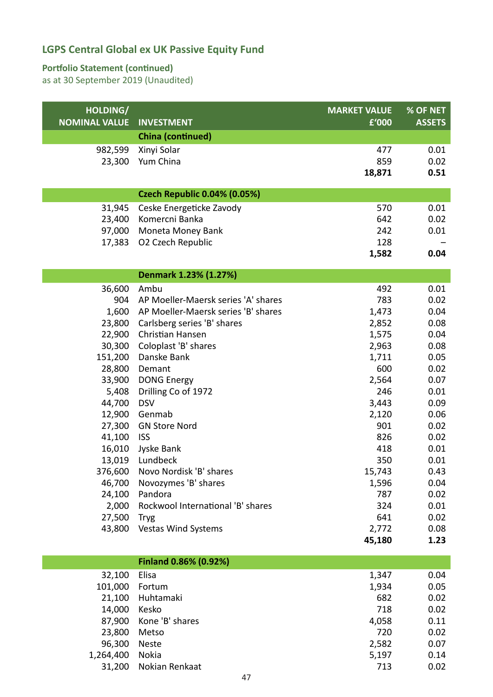#### **Portfolio Statement (continued)**

| HOLDING/<br><b>NOMINAL VALUE</b> | <b>INVESTMENT</b>                   | <b>MARKET VALUE</b><br>£'000 | % OF NET<br><b>ASSETS</b> |
|----------------------------------|-------------------------------------|------------------------------|---------------------------|
|                                  | China (continued)                   |                              |                           |
| 982,599                          | Xinyi Solar                         | 477                          | 0.01                      |
| 23,300                           | Yum China                           | 859                          | 0.02                      |
|                                  |                                     | 18,871                       | 0.51                      |
|                                  | <b>Czech Republic 0.04% (0.05%)</b> |                              |                           |
| 31,945                           | Ceske Energeticke Zavody            | 570                          | 0.01                      |
| 23,400                           | Komercni Banka                      | 642                          | 0.02                      |
| 97,000                           | Moneta Money Bank                   | 242                          | 0.01                      |
| 17,383                           | O2 Czech Republic                   | 128                          |                           |
|                                  |                                     | 1,582                        | 0.04                      |
|                                  | Denmark 1.23% (1.27%)               |                              |                           |
| 36,600                           | Ambu                                | 492                          | 0.01                      |
| 904                              | AP Moeller-Maersk series 'A' shares | 783                          | 0.02                      |
| 1,600                            | AP Moeller-Maersk series 'B' shares | 1,473                        | 0.04                      |
| 23,800                           | Carlsberg series 'B' shares         | 2,852                        | 0.08                      |
| 22,900                           | Christian Hansen                    | 1,575                        | 0.04                      |
| 30,300                           | Coloplast 'B' shares                | 2,963                        | 0.08                      |
| 151,200                          | Danske Bank                         | 1,711                        | 0.05                      |
| 28,800                           | Demant                              | 600                          | 0.02                      |
| 33,900                           | <b>DONG Energy</b>                  | 2,564                        | 0.07                      |
| 5,408                            | Drilling Co of 1972                 | 246                          | 0.01                      |
| 44,700                           | <b>DSV</b>                          | 3,443                        | 0.09                      |
| 12,900                           | Genmab                              | 2,120                        | 0.06                      |
| 27,300                           | <b>GN Store Nord</b>                | 901                          | 0.02                      |
| 41,100                           | <b>ISS</b>                          | 826                          | 0.02                      |
| 16,010                           | Jyske Bank<br>Lundbeck              | 418                          | 0.01                      |
| 13,019<br>376,600                | Novo Nordisk 'B' shares             | 350<br>15,743                | 0.01<br>0.43              |
| 46,700                           | Novozymes 'B' shares                | 1,596                        | 0.04                      |
| 24,100                           | Pandora                             | 787                          | 0.02                      |
| 2,000                            | Rockwool International 'B' shares   | 324                          | 0.01                      |
| 27,500                           | <b>Tryg</b>                         | 641                          | 0.02                      |
| 43,800                           | <b>Vestas Wind Systems</b>          | 2,772                        | 0.08                      |
|                                  |                                     | 45,180                       | 1.23                      |
|                                  | Finland 0.86% (0.92%)               |                              |                           |
|                                  |                                     |                              |                           |
| 32,100                           | Elisa                               | 1,347                        | 0.04                      |
| 101,000<br>21,100                | Fortum<br>Huhtamaki                 | 1,934<br>682                 | 0.05<br>0.02              |
| 11.000                           | $V$ ocko                            | 710                          | വ വ                       |

| 87,900 Kone 'B' shares<br>4,058<br>720<br>23,800 Metso<br>96,300 Neste<br>2.582 | 0.11 |
|---------------------------------------------------------------------------------|------|
|                                                                                 |      |
|                                                                                 | 0.02 |
|                                                                                 | 0.07 |
| 1,264,400 Nokia<br>5,197                                                        | 0.14 |
| 31,200 Nokian Renkaat<br>713                                                    | 0.02 |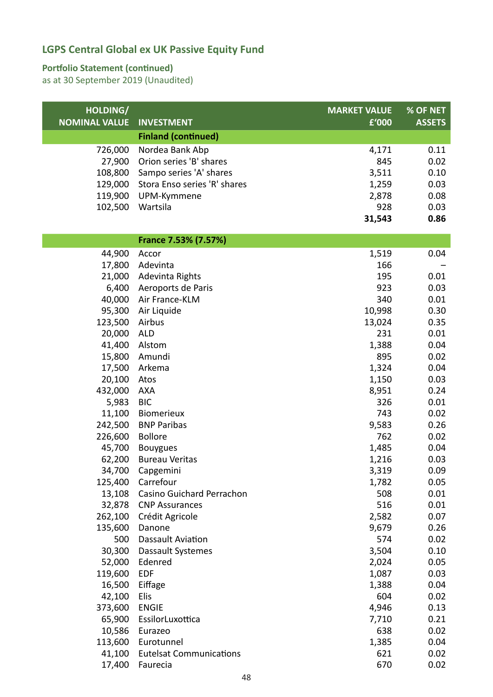#### **Portfolio Statement (continued)**

| HOLDING/             |                                              | <b>MARKET VALUE</b> | % OF NET      |
|----------------------|----------------------------------------------|---------------------|---------------|
| <b>NOMINAL VALUE</b> | <b>INVESTMENT</b>                            | £'000               | <b>ASSETS</b> |
|                      | <b>Finland (continued)</b>                   |                     |               |
| 726,000              | Nordea Bank Abp                              | 4,171               | 0.11          |
| 27,900               | Orion series 'B' shares                      | 845                 | 0.02          |
| 108,800              | Sampo series 'A' shares                      | 3,511               | 0.10          |
| 129,000              | Stora Enso series 'R' shares                 | 1,259               | 0.03          |
| 119,900              | UPM-Kymmene                                  | 2,878               | 0.08          |
| 102,500              | Wartsila                                     | 928                 | 0.03          |
|                      |                                              | 31,543              | 0.86          |
|                      | France 7.53% (7.57%)                         |                     |               |
| 44,900               | Accor                                        | 1,519               | 0.04          |
| 17,800               | Adevinta                                     | 166                 |               |
| 21,000               | Adevinta Rights                              | 195                 | 0.01          |
| 6,400                | Aeroports de Paris                           | 923                 | 0.03          |
| 40,000               | Air France-KLM                               | 340                 | 0.01          |
| 95,300               | Air Liquide                                  | 10,998              | 0.30          |
| 123,500              | Airbus                                       | 13,024              | 0.35          |
| 20,000               | <b>ALD</b>                                   | 231                 | 0.01          |
| 41,400               | Alstom                                       | 1,388               | 0.04          |
| 15,800               | Amundi                                       | 895                 | 0.02          |
| 17,500               | Arkema                                       | 1,324               | 0.04          |
| 20,100               | Atos                                         | 1,150               | 0.03          |
| 432,000              | <b>AXA</b>                                   | 8,951               | 0.24          |
| 5,983                | <b>BIC</b>                                   | 326                 | 0.01          |
| 11,100               | Biomerieux                                   | 743                 | 0.02          |
| 242,500              | <b>BNP Paribas</b>                           | 9,583               | 0.26          |
| 226,600              | <b>Bollore</b>                               | 762                 | 0.02          |
| 45,700               | Bouygues                                     | 1,485               | 0.04          |
| 62,200               | <b>Bureau Veritas</b>                        | 1,216               | 0.03          |
| 34,700               | Capgemini                                    | 3,319               | 0.09          |
| 125,400              | Carrefour                                    | 1,782               | 0.05          |
| 13,108               | Casino Guichard Perrachon                    | 508                 | 0.01          |
| 32,878               | <b>CNP Assurances</b>                        | 516                 | 0.01          |
| 262,100              | Crédit Agricole                              | 2,582               | 0.07          |
| 135,600              | Danone                                       | 9,679               | 0.26          |
| 500                  | Dassault Aviation                            | 574                 | 0.02          |
| 30,300               | Dassault Systemes                            | 3,504               | 0.10          |
| 52,000               | Edenred                                      | 2,024               | 0.05          |
| 119,600              | <b>EDF</b>                                   | 1,087               | 0.03          |
| 16,500               | Eiffage                                      | 1,388               | 0.04          |
| 42,100               | Elis                                         | 604                 | 0.02          |
| 373,600              | <b>ENGIE</b>                                 | 4,946               | 0.13          |
| 65,900               | EssilorLuxottica                             | 7,710               | 0.21          |
| 10,586               | Eurazeo                                      | 638                 | 0.02          |
| 113,600<br>41,100    | Eurotunnel<br><b>Eutelsat Communications</b> | 1,385<br>621        | 0.04<br>0.02  |
|                      | Faurecia                                     | 670                 | 0.02          |
| 17,400               |                                              |                     |               |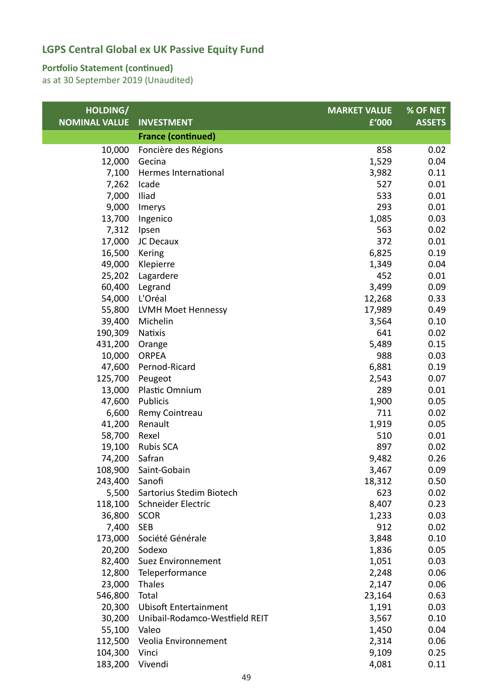#### **Portfolio Statement (continued)**

| HOLDING/             |                                | <b>MARKET VALUE</b> | % OF NET      |
|----------------------|--------------------------------|---------------------|---------------|
| <b>NOMINAL VALUE</b> | <b>INVESTMENT</b>              | f'000               | <b>ASSETS</b> |
|                      | <b>France (continued)</b>      |                     |               |
| 10,000               | Foncière des Régions           | 858                 | 0.02          |
| 12,000               | Gecina                         | 1,529               | 0.04          |
| 7,100                | Hermes International           | 3,982               | 0.11          |
| 7,262                | Icade                          | 527                 | 0.01          |
| 7,000                | Iliad                          | 533                 | 0.01          |
| 9,000                | Imerys                         | 293                 | 0.01          |
| 13,700               | Ingenico                       | 1,085               | 0.03          |
| 7,312                | Ipsen                          | 563                 | 0.02          |
| 17,000               | JC Decaux                      | 372                 | 0.01          |
| 16,500               | Kering                         | 6,825               | 0.19          |
| 49,000               | Klepierre                      | 1,349               | 0.04          |
| 25,202               | Lagardere                      | 452                 | 0.01          |
| 60,400               | Legrand                        | 3,499               | 0.09          |
| 54,000               | L'Oréal                        | 12,268              | 0.33          |
| 55,800               | LVMH Moet Hennessy             | 17,989              | 0.49          |
| 39,400               | Michelin                       | 3,564               | 0.10          |
| 190,309              | <b>Natixis</b>                 | 641                 | 0.02          |
| 431,200              | Orange                         | 5,489               | 0.15          |
| 10,000               | <b>ORPEA</b>                   | 988                 | 0.03          |
| 47,600               | Pernod-Ricard                  | 6,881               | 0.19          |
| 125,700              | Peugeot                        | 2,543               | 0.07          |
| 13,000               | Plastic Omnium                 | 289                 | 0.01          |
| 47,600               | Publicis                       | 1,900               | 0.05          |
| 6,600                | Remy Cointreau                 | 711                 | 0.02          |
| 41,200               | Renault                        | 1,919               | 0.05          |
| 58,700               | Rexel                          | 510                 | 0.01          |
| 19,100               | <b>Rubis SCA</b>               | 897                 | 0.02          |
| 74,200               | Safran                         | 9,482               | 0.26          |
| 108,900              | Saint-Gobain                   | 3,467               | 0.09          |
| 243,400 Sanofi       |                                | 18,312              | 0.50          |
| 5,500                | Sartorius Stedim Biotech       | 623                 | 0.02          |
| 118,100              | Schneider Electric             | 8,407               | 0.23          |
| 36,800               | <b>SCOR</b>                    | 1,233               | 0.03          |
| 7,400                | <b>SEB</b>                     | 912                 | 0.02          |
| 173,000              | Société Générale               | 3,848               | 0.10          |
| 20,200               | Sodexo                         | 1,836               | 0.05          |
| 82,400               | Suez Environnement             | 1,051               | 0.03          |
| 12,800               | Teleperformance                | 2,248               | 0.06          |
| 23,000               | Thales                         | 2,147               | 0.06          |
| 546,800              | Total                          | 23,164              | 0.63          |
| 20,300               | <b>Ubisoft Entertainment</b>   | 1,191               | 0.03          |
| 30,200               | Unibail-Rodamco-Westfield REIT | 3,567               | 0.10          |
| 55,100               | Valeo                          | 1,450               | 0.04          |
| 112,500              | Veolia Environnement           | 2,314               | 0.06          |
| 104,300              | Vinci                          | 9,109               | 0.25          |
| 183,200              | Vivendi                        | 4,081               | 0.11          |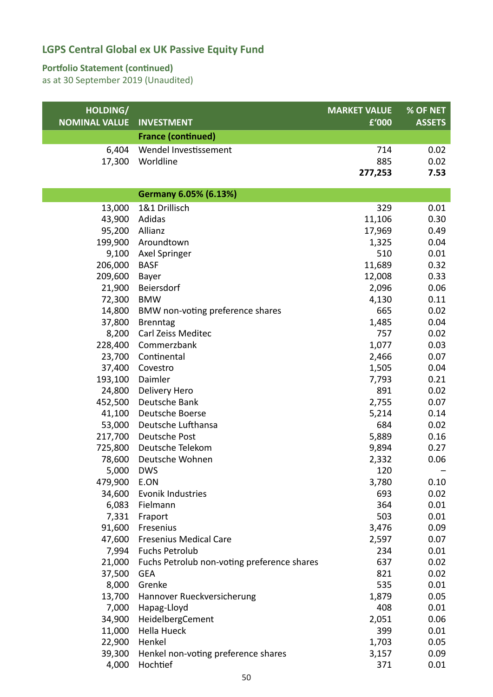#### **Portfolio Statement (continued)**

| HOLDING/<br><b>NOMINAL VALUE</b> | <b>INVESTMENT</b>                           | <b>MARKET VALUE</b><br>£'000 | % OF NET<br><b>ASSETS</b> |
|----------------------------------|---------------------------------------------|------------------------------|---------------------------|
|                                  | <b>France (continued)</b>                   |                              |                           |
| 6,404                            | Wendel Investissement                       | 714                          | 0.02                      |
| 17,300                           | Worldline                                   | 885                          | 0.02                      |
|                                  |                                             | 277,253                      | 7.53                      |
|                                  |                                             |                              |                           |
|                                  | Germany 6.05% (6.13%)                       |                              |                           |
| 13,000                           | 1&1 Drillisch                               | 329                          | 0.01                      |
| 43,900                           | Adidas                                      | 11,106                       | 0.30                      |
| 95,200                           | Allianz                                     | 17,969                       | 0.49                      |
| 199,900                          | Aroundtown                                  | 1,325                        | 0.04                      |
| 9,100                            | Axel Springer                               | 510                          | 0.01                      |
| 206,000                          | <b>BASF</b>                                 | 11,689                       | 0.32                      |
| 209,600                          | Bayer                                       | 12,008                       | 0.33                      |
| 21,900                           | Beiersdorf                                  | 2,096                        | 0.06                      |
| 72,300                           | <b>BMW</b>                                  | 4,130                        | 0.11                      |
| 14,800                           | BMW non-voting preference shares            | 665                          | 0.02                      |
| 37,800                           | <b>Brenntag</b>                             | 1,485                        | 0.04                      |
| 8,200                            | Carl Zeiss Meditec                          | 757                          | 0.02                      |
| 228,400                          | Commerzbank                                 | 1,077                        | 0.03                      |
| 23,700                           | Continental                                 | 2,466                        | 0.07                      |
| 37,400                           | Covestro                                    | 1,505                        | 0.04                      |
| 193,100                          | Daimler                                     | 7,793                        | 0.21                      |
| 24,800                           | Delivery Hero                               | 891                          | 0.02                      |
| 452,500                          | Deutsche Bank                               | 2,755                        | 0.07                      |
| 41,100                           | Deutsche Boerse                             | 5,214                        | 0.14                      |
| 53,000                           | Deutsche Lufthansa                          | 684                          | 0.02                      |
| 217,700                          | Deutsche Post                               | 5,889                        | 0.16                      |
| 725,800                          | Deutsche Telekom                            | 9,894                        | 0.27                      |
| 78,600                           | Deutsche Wohnen                             | 2,332                        | 0.06                      |
| 5,000 DWS                        |                                             | 120                          |                           |
| 479,900 E.ON                     |                                             | 3,780                        | 0.10                      |
| 34,600                           | Evonik Industries                           | 693                          | 0.02                      |
| 6,083                            | Fielmann                                    | 364                          | 0.01                      |
| 7,331                            | Fraport                                     | 503                          | 0.01                      |
| 91,600                           | Fresenius                                   | 3,476                        | 0.09                      |
| 47,600                           | <b>Fresenius Medical Care</b>               | 2,597                        | 0.07                      |
| 7,994                            | <b>Fuchs Petrolub</b>                       | 234                          | 0.01                      |
| 21,000                           | Fuchs Petrolub non-voting preference shares | 637                          | 0.02                      |
| 37,500                           | <b>GEA</b>                                  | 821                          | 0.02                      |
| 8,000                            | Grenke                                      | 535                          | 0.01                      |
| 13,700                           | Hannover Rueckversicherung                  | 1,879                        | 0.05                      |
| 7,000                            | Hapag-Lloyd                                 | 408                          | 0.01                      |
| 34,900                           | HeidelbergCement                            | 2,051                        | 0.06                      |
| 11,000                           | <b>Hella Hueck</b>                          | 399                          | 0.01                      |
| 22,900                           | Henkel                                      | 1,703                        | 0.05                      |
| 39,300                           | Henkel non-voting preference shares         | 3,157                        | 0.09                      |
| 4,000                            | Hochtief                                    | 371                          | 0.01                      |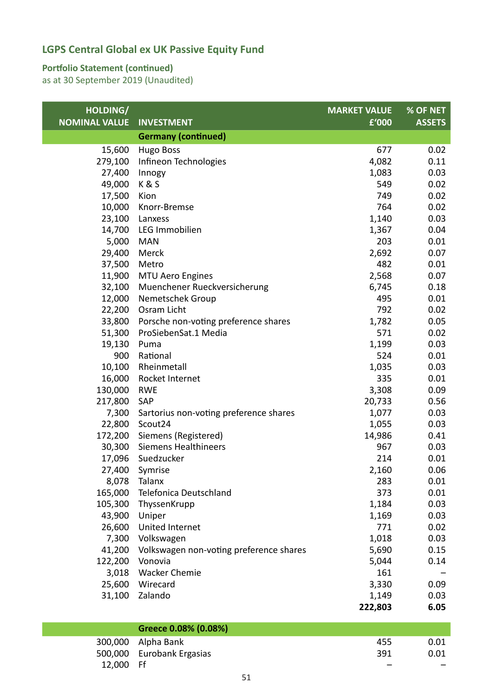#### **Portfolio Statement (continued)**

| HOLDING/             |                                         | <b>MARKET VALUE</b> | % OF NET      |
|----------------------|-----------------------------------------|---------------------|---------------|
| <b>NOMINAL VALUE</b> | <b>INVESTMENT</b>                       | £'000               | <b>ASSETS</b> |
|                      | <b>Germany (continued)</b>              |                     |               |
| 15,600               | <b>Hugo Boss</b>                        | 677                 | 0.02          |
| 279,100              | Infineon Technologies                   | 4,082               | 0.11          |
| 27,400               | Innogy                                  | 1,083               | 0.03          |
| 49,000               | K&S                                     | 549                 | 0.02          |
| 17,500               | Kion                                    | 749                 | 0.02          |
| 10,000               | Knorr-Bremse                            | 764                 | 0.02          |
| 23,100               | Lanxess                                 | 1,140               | 0.03          |
| 14,700               | LEG Immobilien                          | 1,367               | 0.04          |
| 5,000                | <b>MAN</b>                              | 203                 | 0.01          |
| 29,400               | Merck                                   | 2,692               | 0.07          |
| 37,500               | Metro                                   | 482                 | 0.01          |
| 11,900               | MTU Aero Engines                        | 2,568               | 0.07          |
| 32,100               | Muenchener Rueckversicherung            | 6,745               | 0.18          |
| 12,000               | Nemetschek Group                        | 495                 | 0.01          |
| 22,200               | Osram Licht                             | 792                 | 0.02          |
| 33,800               | Porsche non-voting preference shares    | 1,782               | 0.05          |
| 51,300               | ProSiebenSat.1 Media                    | 571                 | 0.02          |
| 19,130               | Puma                                    | 1,199               | 0.03          |
| 900                  | Rational                                | 524                 | 0.01          |
| 10,100               | Rheinmetall                             | 1,035               | 0.03          |
| 16,000               | Rocket Internet                         | 335                 | 0.01          |
| 130,000              | <b>RWE</b>                              | 3,308               | 0.09          |
| 217,800              | SAP                                     | 20,733              | 0.56          |
| 7,300                | Sartorius non-voting preference shares  | 1,077               | 0.03          |
| 22,800               | Scout <sub>24</sub>                     | 1,055               | 0.03          |
| 172,200              | Siemens (Registered)                    | 14,986              | 0.41          |
| 30,300               | <b>Siemens Healthineers</b>             | 967                 | 0.03          |
| 17,096               | Suedzucker                              | 214                 | 0.01          |
|                      | 27,400 Symrise                          | 2,160               | 0.06          |
|                      | 8,078 Talanx                            | 283                 | 0.01          |
| 165,000              | Telefonica Deutschland                  | 373                 | 0.01          |
| 105,300              | ThyssenKrupp                            | 1,184               | 0.03          |
| 43,900               | Uniper                                  | 1,169               | 0.03          |
| 26,600               | United Internet                         | 771                 | 0.02          |
| 7,300                | Volkswagen                              | 1,018               | 0.03          |
| 41,200               | Volkswagen non-voting preference shares | 5,690               | 0.15          |
| 122,200              | Vonovia                                 | 5,044               | 0.14          |
| 3,018                | <b>Wacker Chemie</b>                    | 161                 |               |
| 25,600               | Wirecard                                | 3,330               | 0.09          |
| 31,100               | Zalando                                 | 1,149               | 0.03          |
|                      |                                         | 222,803             | 6.05          |

|           | Greece 0.08% (0.08%)      |     |      |
|-----------|---------------------------|-----|------|
|           | 300,000 Alpha Bank        | 455 | 0.01 |
|           | 500,000 Eurobank Ergasias | 391 | 0.01 |
| 12,000 Ff |                           |     | $-$  |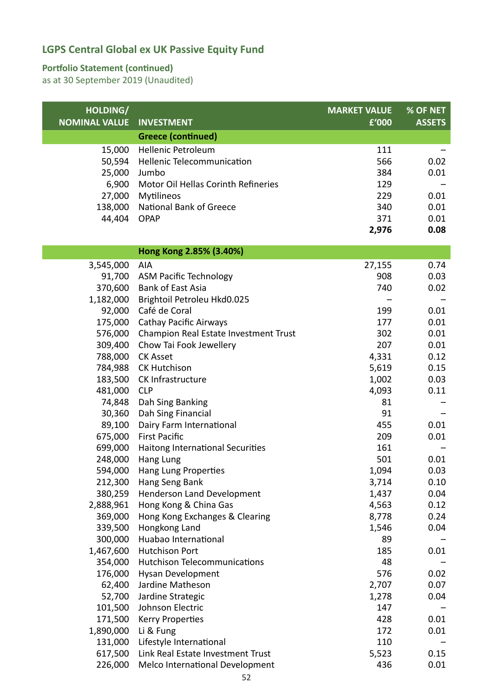#### **Portfolio Statement (continued)**

| HOLDING/             |                                       | <b>MARKET VALUE</b> | % OF NET      |
|----------------------|---------------------------------------|---------------------|---------------|
| <b>NOMINAL VALUE</b> | <b>INVESTMENT</b>                     | £'000               | <b>ASSETS</b> |
|                      | <b>Greece (continued)</b>             |                     |               |
| 15,000               | <b>Hellenic Petroleum</b>             | 111                 |               |
| 50,594               | Hellenic Telecommunication            | 566                 | 0.02          |
| 25,000               | Jumbo                                 | 384                 | 0.01          |
| 6,900                | Motor Oil Hellas Corinth Refineries   | 129                 |               |
| 27,000               | Mytilineos                            | 229                 | 0.01          |
| 138,000              | <b>National Bank of Greece</b>        | 340                 | 0.01          |
| 44,404               | <b>OPAP</b>                           | 371                 | 0.01          |
|                      |                                       | 2,976               | 0.08          |
|                      | Hong Kong 2.85% (3.40%)               |                     |               |
| 3,545,000            | <b>AIA</b>                            | 27,155              | 0.74          |
| 91,700               | <b>ASM Pacific Technology</b>         | 908                 | 0.03          |
| 370,600              | <b>Bank of East Asia</b>              | 740                 | 0.02          |
| 1,182,000            | Brightoil Petroleu Hkd0.025           |                     |               |
| 92,000               | Café de Coral                         | 199                 | 0.01          |
| 175,000              | <b>Cathay Pacific Airways</b>         | 177                 | 0.01          |
| 576,000              | Champion Real Estate Investment Trust | 302                 | 0.01          |
| 309,400              | Chow Tai Fook Jewellery               | 207                 | 0.01          |
| 788,000              | <b>CK Asset</b>                       | 4,331               | 0.12          |
| 784,988              | <b>CK Hutchison</b>                   | 5,619               | 0.15          |
| 183,500              | CK Infrastructure                     | 1,002               | 0.03          |
| 481,000              | <b>CLP</b>                            | 4,093               | 0.11          |
| 74,848               | Dah Sing Banking                      | 81                  |               |
| 30,360               | Dah Sing Financial                    | 91                  |               |
| 89,100               | Dairy Farm International              | 455                 | 0.01          |
| 675,000              | <b>First Pacific</b>                  | 209                 | 0.01          |
| 699,000              | Haitong International Securities      | 161                 |               |
| 248,000              | Hang Lung                             | 501                 | 0.01          |
| 594,000              | Hang Lung Properties                  | 1,094               | 0.03          |
| 212,300              | Hang Seng Bank                        | 3,714               | 0.10          |
| 380,259              | Henderson Land Development            | 1,437               | 0.04          |
| 2,888,961            | Hong Kong & China Gas                 | 4,563               | 0.12          |
| 369,000              | Hong Kong Exchanges & Clearing        | 8,778               | 0.24          |
| 339,500              | Hongkong Land                         | 1,546               | 0.04          |
| 300,000              | Huabao International                  | 89                  |               |
| 1,467,600            | <b>Hutchison Port</b>                 | 185                 | 0.01          |
| 354,000              | <b>Hutchison Telecommunications</b>   | 48                  |               |
| 176,000              | Hysan Development                     | 576                 | 0.02          |
| 62,400               | Jardine Matheson                      | 2,707               | 0.07          |
| 52,700               | Jardine Strategic                     | 1,278               | 0.04          |
| 101,500              | Johnson Electric                      | 147                 |               |
| 171,500              | <b>Kerry Properties</b>               | 428                 | 0.01          |
| 1,890,000            | Li & Fung                             | 172                 | 0.01          |
| 131,000              | Lifestyle International               | 110                 |               |
| 617,500              | Link Real Estate Investment Trust     | 5,523               | 0.15          |
| 226,000              | Melco International Development       | 436                 | 0.01          |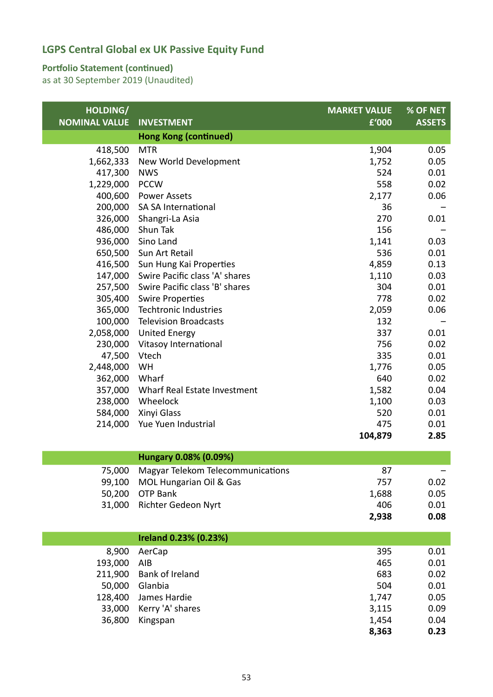#### **Portfolio Statement (continued)**

| HOLDING/<br><b>NOMINAL VALUE</b> | <b>INVESTMENT</b>                 | <b>MARKET VALUE</b><br>£'000 | % OF NET<br><b>ASSETS</b> |
|----------------------------------|-----------------------------------|------------------------------|---------------------------|
|                                  | <b>Hong Kong (continued)</b>      |                              |                           |
| 418,500                          | <b>MTR</b>                        | 1,904                        | 0.05                      |
| 1,662,333                        | New World Development             | 1,752                        | 0.05                      |
| 417,300                          | <b>NWS</b>                        | 524                          | 0.01                      |
| 1,229,000                        | <b>PCCW</b>                       | 558                          | 0.02                      |
| 400,600                          | <b>Power Assets</b>               | 2,177                        | 0.06                      |
| 200,000                          | <b>SA SA International</b>        | 36                           |                           |
| 326,000                          | Shangri-La Asia                   | 270                          | 0.01                      |
| 486,000                          | Shun Tak                          | 156                          |                           |
| 936,000                          | Sino Land                         | 1,141                        | 0.03                      |
| 650,500                          | Sun Art Retail                    | 536                          | 0.01                      |
| 416,500                          | Sun Hung Kai Properties           | 4,859                        | 0.13                      |
| 147,000                          | Swire Pacific class 'A' shares    | 1,110                        | 0.03                      |
| 257,500                          | Swire Pacific class 'B' shares    | 304                          | 0.01                      |
| 305,400                          | <b>Swire Properties</b>           | 778                          | 0.02                      |
| 365,000                          | <b>Techtronic Industries</b>      | 2,059                        | 0.06                      |
| 100,000                          | <b>Television Broadcasts</b>      | 132                          |                           |
| 2,058,000                        | <b>United Energy</b>              | 337                          | 0.01                      |
| 230,000                          | Vitasoy International             | 756                          | 0.02                      |
| 47,500                           | Vtech                             | 335                          | 0.01                      |
| 2,448,000                        | WH                                | 1,776                        | 0.05                      |
| 362,000                          | Wharf                             | 640                          | 0.02                      |
| 357,000                          | Wharf Real Estate Investment      | 1,582                        | 0.04                      |
| 238,000                          | Wheelock                          | 1,100                        | 0.03                      |
| 584,000                          | Xinyi Glass                       | 520                          | 0.01                      |
| 214,000                          | Yue Yuen Industrial               | 475                          | 0.01                      |
|                                  |                                   | 104,879                      | 2.85                      |
|                                  | Hungary 0.08% (0.09%)             |                              |                           |
| 75,000                           | Magyar Telekom Telecommunications | 87                           |                           |
| 99,100                           | MOL Hungarian Oil & Gas           | 757                          | 0.02                      |
| 50,200                           | <b>OTP Bank</b>                   | 1,688                        | 0.05                      |
| 31,000                           | Richter Gedeon Nyrt               | 406                          | 0.01                      |
|                                  |                                   | 2,938                        | 0.08                      |
|                                  | Ireland 0.23% (0.23%)             |                              |                           |
| 8,900                            | AerCap                            | 395                          | 0.01                      |
| 193,000                          | AIB                               | 465                          | 0.01                      |
| 211,900                          | Bank of Ireland                   | 683                          | 0.02                      |
| 50,000                           | Glanbia                           | 504                          | 0.01                      |
| 128,400                          | James Hardie                      | 1,747                        | 0.05                      |
| 33,000                           | Kerry 'A' shares                  | 3,115                        | 0.09                      |
| 36,800                           | Kingspan                          | 1,454                        | 0.04                      |
|                                  |                                   | 8,363                        | 0.23                      |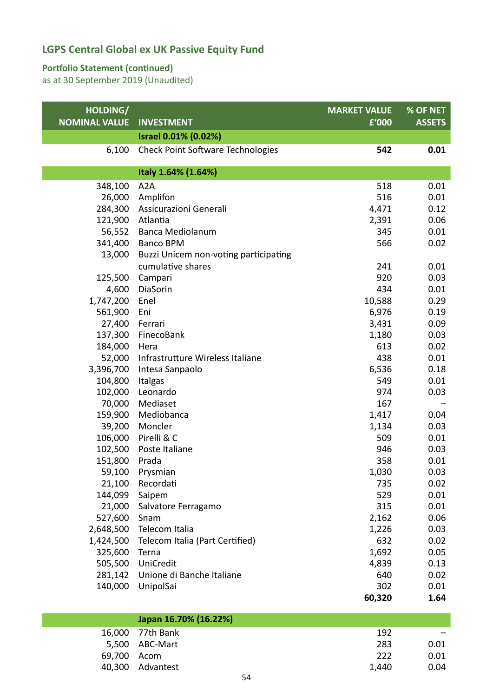#### **Portfolio Statement (continued)**

| HOLDING/             |                                          | <b>MARKET VALUE</b> | % OF NET      |
|----------------------|------------------------------------------|---------------------|---------------|
| <b>NOMINAL VALUE</b> | <b>INVESTMENT</b>                        | £'000               | <b>ASSETS</b> |
|                      | Israel 0.01% (0.02%)                     |                     |               |
| 6,100                | <b>Check Point Software Technologies</b> | 542                 | 0.01          |
|                      | Italy 1.64% (1.64%)                      |                     |               |
| 348,100              | A <sub>2</sub> A                         | 518                 | 0.01          |
| 26,000               | Amplifon                                 | 516                 | 0.01          |
| 284,300              | Assicurazioni Generali                   | 4,471               | 0.12          |
| 121,900              | Atlantia                                 | 2,391               | 0.06          |
| 56,552               | <b>Banca Mediolanum</b>                  | 345                 | 0.01          |
| 341,400              | <b>Banco BPM</b>                         | 566                 | 0.02          |
| 13,000               | Buzzi Unicem non-voting participating    |                     |               |
|                      | cumulative shares                        | 241                 | 0.01          |
| 125,500              | Campari                                  | 920                 | 0.03          |
| 4,600                | DiaSorin                                 | 434                 | 0.01          |
| 1,747,200            | Enel                                     | 10,588              | 0.29          |
| 561,900              | Eni                                      | 6,976               | 0.19          |
| 27,400               | Ferrari                                  | 3,431               | 0.09          |
| 137,300              | FinecoBank                               | 1,180               | 0.03          |
| 184,000              | Hera                                     | 613                 | 0.02          |
| 52,000               | Infrastrutture Wireless Italiane         | 438                 | 0.01          |
| 3,396,700            | Intesa Sanpaolo                          | 6,536               | 0.18          |
| 104,800              | Italgas                                  | 549                 | 0.01          |
| 102,000              | Leonardo                                 | 974                 | 0.03          |
| 70,000               | Mediaset                                 | 167                 |               |
| 159,900              | Mediobanca                               | 1,417               | 0.04          |
| 39,200               | Moncler                                  | 1,134               | 0.03          |
| 106,000              | Pirelli & C                              | 509                 | 0.01          |
| 102,500              | Poste Italiane                           | 946                 | 0.03          |
| 151,800              | Prada                                    | 358                 | 0.01          |
| 59,100               | Prysmian                                 | 1,030               | 0.03          |
| 21,100               | Recordati                                | 735                 | 0.02          |
| 144,099              | Saipem                                   | 529                 | 0.01          |
| 21,000               | Salvatore Ferragamo                      | 315                 | 0.01          |
| 527,600              | Snam                                     | 2,162               | 0.06          |
| 2,648,500            | Telecom Italia                           | 1,226               | 0.03          |
| 1,424,500            | Telecom Italia (Part Certified)          | 632                 | 0.02          |
| 325,600              | Terna                                    | 1,692               | 0.05          |
| 505,500              | <b>UniCredit</b>                         | 4,839               | 0.13          |
| 281,142              | Unione di Banche Italiane                | 640                 | 0.02          |
| 140,000              | UnipolSai                                | 302                 | 0.01          |
|                      |                                          | 60,320              | 1.64          |

|             | Japan 16.70% (16.22%) |       |                          |
|-------------|-----------------------|-------|--------------------------|
|             | 16,000 77th Bank      | 192   | $\overline{\phantom{0}}$ |
|             | 5,500 ABC-Mart        | 283   | 0.01                     |
| 69,700 Acom |                       | 222   | 0.01                     |
|             | 40,300 Advantest      | 1.440 | 0.04                     |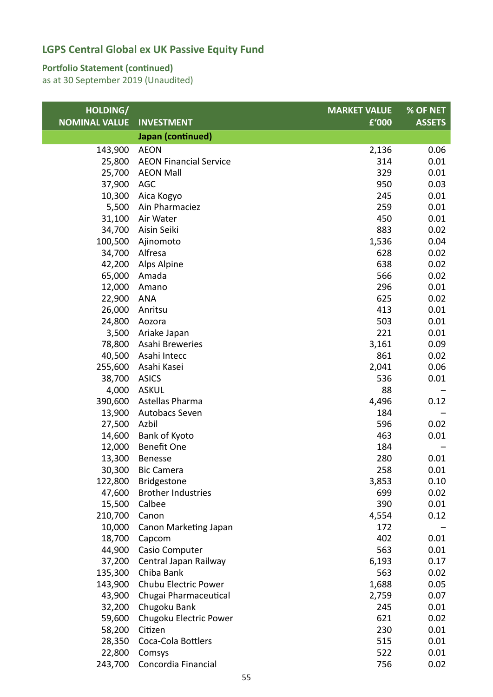#### **Portfolio Statement (continued)**

| HOLDING/             |                               | <b>MARKET VALUE</b> | % OF NET      |
|----------------------|-------------------------------|---------------------|---------------|
| <b>NOMINAL VALUE</b> | <b>INVESTMENT</b>             | £'000               | <b>ASSETS</b> |
|                      | Japan (continued)             |                     |               |
| 143,900              | <b>AEON</b>                   | 2,136               | 0.06          |
| 25,800               | <b>AEON Financial Service</b> | 314                 | 0.01          |
| 25,700               | <b>AEON Mall</b>              | 329                 | 0.01          |
| 37,900               | <b>AGC</b>                    | 950                 | 0.03          |
| 10,300               | Aica Kogyo                    | 245                 | 0.01          |
| 5,500                | Ain Pharmaciez                | 259                 | 0.01          |
| 31,100               | Air Water                     | 450                 | 0.01          |
| 34,700               | Aisin Seiki                   | 883                 | 0.02          |
| 100,500              | Ajinomoto                     | 1,536               | 0.04          |
| 34,700               | Alfresa                       | 628                 | 0.02          |
| 42,200               | Alps Alpine                   | 638                 | 0.02          |
| 65,000               | Amada                         | 566                 | 0.02          |
| 12,000               | Amano                         | 296                 | 0.01          |
| 22,900               | <b>ANA</b>                    | 625                 | 0.02          |
| 26,000               | Anritsu                       | 413                 | 0.01          |
| 24,800               | Aozora                        | 503                 | 0.01          |
| 3,500                | Ariake Japan                  | 221                 | 0.01          |
| 78,800               | Asahi Breweries               | 3,161               | 0.09          |
| 40,500               | Asahi Intecc                  | 861                 | 0.02          |
| 255,600              | Asahi Kasei                   | 2,041               | 0.06          |
| 38,700               | <b>ASICS</b>                  | 536                 | 0.01          |
| 4,000                | <b>ASKUL</b>                  | 88                  |               |
| 390,600              | Astellas Pharma               | 4,496               | 0.12          |
| 13,900               | Autobacs Seven                | 184                 |               |
| 27,500               | Azbil                         | 596                 | 0.02          |
| 14,600               | Bank of Kyoto                 | 463                 | 0.01          |
| 12,000               | Benefit One                   | 184                 |               |
| 13,300               | Benesse                       | 280                 | 0.01          |
| 30,300               | <b>Bic Camera</b>             | 258                 | 0.01          |
| 122,800              | <b>Bridgestone</b>            | 3,853               | 0.10          |
| 47,600               | <b>Brother Industries</b>     | 699                 | 0.02          |
| 15,500               | Calbee                        | 390                 | 0.01          |
| 210,700              | Canon                         | 4,554               | 0.12          |
| 10,000               | Canon Marketing Japan         | 172                 |               |
| 18,700               | Capcom                        | 402                 | 0.01          |
| 44,900               | Casio Computer                | 563                 | 0.01          |
| 37,200               | Central Japan Railway         | 6,193               | 0.17          |
| 135,300              | Chiba Bank                    | 563                 | 0.02          |
| 143,900              | Chubu Electric Power          | 1,688               | 0.05          |
| 43,900               | Chugai Pharmaceutical         | 2,759               | 0.07          |
| 32,200               | Chugoku Bank                  | 245                 | 0.01          |
| 59,600               | Chugoku Electric Power        | 621                 | 0.02          |
| 58,200               | Citizen                       | 230                 | 0.01          |
| 28,350               | Coca-Cola Bottlers            | 515                 | 0.01          |
| 22,800               | Comsys                        | 522                 | 0.01          |
| 243,700              | Concordia Financial           | 756                 | 0.02          |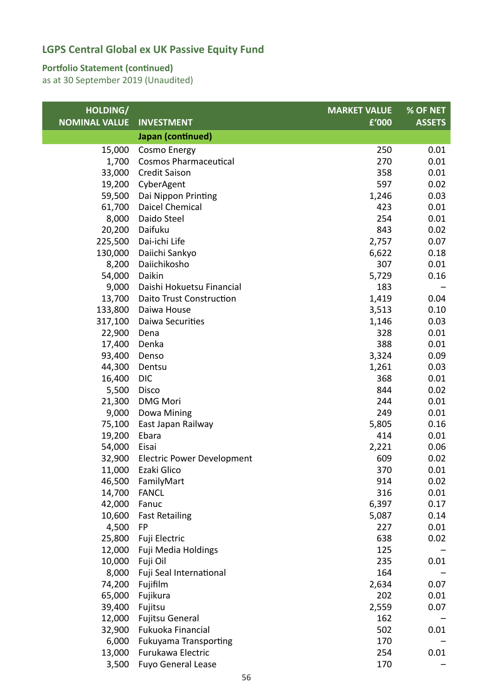#### **Portfolio Statement (continued)**

| HOLDING/             |                                   | <b>MARKET VALUE</b> | % OF NET      |
|----------------------|-----------------------------------|---------------------|---------------|
| <b>NOMINAL VALUE</b> | <b>INVESTMENT</b>                 | £'000               | <b>ASSETS</b> |
|                      | Japan (continued)                 |                     |               |
| 15,000               | Cosmo Energy                      | 250                 | 0.01          |
| 1,700                | <b>Cosmos Pharmaceutical</b>      | 270                 | 0.01          |
| 33,000               | <b>Credit Saison</b>              | 358                 | 0.01          |
| 19,200               | CyberAgent                        | 597                 | 0.02          |
| 59,500               | Dai Nippon Printing               | 1,246               | 0.03          |
| 61,700               | Daicel Chemical                   | 423                 | 0.01          |
| 8,000                | Daido Steel                       | 254                 | 0.01          |
| 20,200               | Daifuku                           | 843                 | 0.02          |
| 225,500              | Dai-ichi Life                     | 2,757               | 0.07          |
| 130,000              | Daiichi Sankyo                    | 6,622               | 0.18          |
| 8,200                | Daiichikosho                      | 307                 | 0.01          |
| 54,000               | Daikin                            | 5,729               | 0.16          |
| 9,000                | Daishi Hokuetsu Financial         | 183                 |               |
| 13,700               | Daito Trust Construction          | 1,419               | 0.04          |
| 133,800              | Daiwa House                       | 3,513               | 0.10          |
| 317,100              | Daiwa Securities                  | 1,146               | 0.03          |
| 22,900               | Dena                              | 328                 | 0.01          |
| 17,400               | Denka                             | 388                 | 0.01          |
| 93,400               | Denso                             | 3,324               | 0.09          |
| 44,300               | Dentsu                            | 1,261               | 0.03          |
| 16,400               | <b>DIC</b>                        | 368                 | 0.01          |
| 5,500                | Disco                             | 844                 | 0.02          |
| 21,300               | <b>DMG Mori</b>                   | 244                 | 0.01          |
| 9,000                | Dowa Mining                       | 249                 | 0.01          |
| 75,100               | East Japan Railway                | 5,805               | 0.16          |
| 19,200               | Ebara                             | 414                 | 0.01          |
| 54,000               | Eisai                             | 2,221               | 0.06          |
| 32,900               | <b>Electric Power Development</b> | 609                 | 0.02          |
| 11,000               | Ezaki Glico                       | 370                 | 0.01          |
| 46,500               | FamilyMart                        | 914                 | 0.02          |
| 14,700               | <b>FANCL</b>                      | 316                 | 0.01          |
| 42,000               | Fanuc                             | 6,397               | 0.17          |
| 10,600               | <b>Fast Retailing</b>             | 5,087               | 0.14          |
| 4,500                | <b>FP</b>                         | 227                 | 0.01          |
| 25,800               | Fuji Electric                     | 638                 | 0.02          |
| 12,000               | Fuji Media Holdings               | 125                 |               |
| 10,000               | Fuji Oil                          | 235                 | 0.01          |
| 8,000                | Fuji Seal International           | 164                 |               |
| 74,200               | Fujifilm                          | 2,634               | 0.07          |
| 65,000               | Fujikura                          | 202                 | 0.01          |
| 39,400               | Fujitsu                           | 2,559               | 0.07          |
| 12,000               | <b>Fujitsu General</b>            | 162                 |               |
| 32,900               | Fukuoka Financial                 | 502                 | 0.01          |
| 6,000                | <b>Fukuyama Transporting</b>      | 170                 |               |
| 13,000               | Furukawa Electric                 | 254                 | 0.01          |
| 3,500                | <b>Fuyo General Lease</b>         | 170                 |               |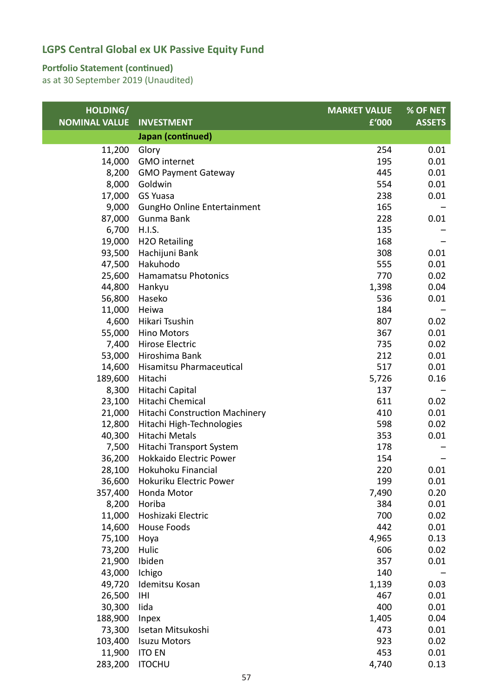#### **Portfolio Statement (continued)**

| HOLDING/             |                                       | <b>MARKET VALUE</b> | % OF NET      |
|----------------------|---------------------------------------|---------------------|---------------|
| <b>NOMINAL VALUE</b> | <b>INVESTMENT</b>                     | £'000               | <b>ASSETS</b> |
|                      | Japan (continued)                     |                     |               |
| 11,200               | Glory                                 | 254                 | 0.01          |
| 14,000               | <b>GMO</b> internet                   | 195                 | 0.01          |
| 8,200                | <b>GMO Payment Gateway</b>            | 445                 | 0.01          |
| 8,000                | Goldwin                               | 554                 | 0.01          |
| 17,000               | <b>GS Yuasa</b>                       | 238                 | 0.01          |
| 9,000                | GungHo Online Entertainment           | 165                 |               |
| 87,000               | Gunma Bank                            | 228                 | 0.01          |
| 6,700                | H.I.S.                                | 135                 |               |
| 19,000               | <b>H2O Retailing</b>                  | 168                 |               |
| 93,500               | Hachijuni Bank                        | 308                 | 0.01          |
| 47,500               | Hakuhodo                              | 555                 | 0.01          |
| 25,600               | <b>Hamamatsu Photonics</b>            | 770                 | 0.02          |
| 44,800               | Hankyu                                | 1,398               | 0.04          |
| 56,800               | Haseko                                | 536                 | 0.01          |
| 11,000               | Heiwa                                 | 184                 |               |
| 4,600                | Hikari Tsushin                        | 807                 | 0.02          |
| 55,000               | <b>Hino Motors</b>                    | 367                 | 0.01          |
| 7,400                | Hirose Electric                       | 735                 | 0.02          |
| 53,000               | Hiroshima Bank                        | 212                 | 0.01          |
| 14,600               | Hisamitsu Pharmaceutical              | 517                 | 0.01          |
| 189,600              | Hitachi                               | 5,726               | 0.16          |
| 8,300                | Hitachi Capital                       | 137                 |               |
| 23,100               | Hitachi Chemical                      | 611                 | 0.02          |
| 21,000               | <b>Hitachi Construction Machinery</b> | 410                 | 0.01          |
| 12,800               | Hitachi High-Technologies             | 598                 | 0.02          |
| 40,300               | <b>Hitachi Metals</b>                 | 353                 | 0.01          |
| 7,500                | Hitachi Transport System              | 178                 |               |
| 36,200               | Hokkaido Electric Power               | 154                 |               |
| 28,100               | Hokuhoku Financial                    | 220                 | 0.01          |
| 36,600               | Hokuriku Electric Power               | 199                 | 0.01          |
| 357,400              | Honda Motor                           | 7,490               | 0.20          |
| 8,200                | Horiba                                | 384                 | 0.01          |
| 11,000               | Hoshizaki Electric                    | 700                 | 0.02          |
| 14,600               | House Foods                           | 442                 | 0.01          |
| 75,100               | Hoya                                  | 4,965               | 0.13          |
| 73,200               | Hulic                                 | 606                 | 0.02          |
| 21,900               | Ibiden                                | 357                 | 0.01          |
| 43,000               | Ichigo                                | 140                 |               |
| 49,720               | Idemitsu Kosan                        | 1,139               | 0.03          |
| 26,500               | IHI                                   | 467                 | 0.01          |
| 30,300               | lida                                  | 400                 | 0.01          |
| 188,900              | Inpex                                 | 1,405               | 0.04          |
| 73,300               | Isetan Mitsukoshi                     | 473                 | 0.01          |
| 103,400              | <b>Isuzu Motors</b>                   | 923                 | 0.02          |
| 11,900               | <b>ITO EN</b>                         | 453                 | 0.01          |
| 283,200              | <b>ITOCHU</b>                         | 4,740               | 0.13          |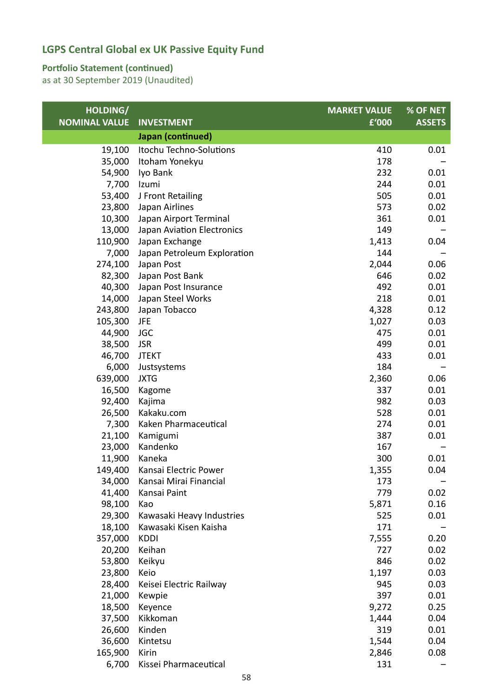#### **Portfolio Statement (continued)**

| HOLDING/             |                             | <b>MARKET VALUE</b> | % OF NET      |
|----------------------|-----------------------------|---------------------|---------------|
| <b>NOMINAL VALUE</b> | <b>INVESTMENT</b>           | £'000               | <b>ASSETS</b> |
|                      | Japan (continued)           |                     |               |
| 19,100               | Itochu Techno-Solutions     | 410                 | 0.01          |
| 35,000               | Itoham Yonekyu              | 178                 |               |
| 54,900               | Iyo Bank                    | 232                 | 0.01          |
| 7,700                | Izumi                       | 244                 | 0.01          |
| 53,400               | J Front Retailing           | 505                 | 0.01          |
| 23,800               | Japan Airlines              | 573                 | 0.02          |
| 10,300               | Japan Airport Terminal      | 361                 | 0.01          |
| 13,000               | Japan Aviation Electronics  | 149                 |               |
| 110,900              | Japan Exchange              | 1,413               | 0.04          |
| 7,000                | Japan Petroleum Exploration | 144                 |               |
| 274,100              | Japan Post                  | 2,044               | 0.06          |
| 82,300               | Japan Post Bank             | 646                 | 0.02          |
| 40,300               | Japan Post Insurance        | 492                 | 0.01          |
| 14,000               | Japan Steel Works           | 218                 | 0.01          |
| 243,800              | Japan Tobacco               | 4,328               | 0.12          |
| 105,300              | JFE                         | 1,027               | 0.03          |
| 44,900               | <b>JGC</b>                  | 475                 | 0.01          |
| 38,500               | <b>JSR</b>                  | 499                 | 0.01          |
| 46,700               | <b>JTEKT</b>                | 433                 | 0.01          |
| 6,000                | Justsystems                 | 184                 |               |
| 639,000              | <b>JXTG</b>                 | 2,360               | 0.06          |
| 16,500               | Kagome                      | 337                 | 0.01          |
| 92,400               | Kajima                      | 982                 | 0.03          |
| 26,500               | Kakaku.com                  | 528                 | 0.01          |
| 7,300                | Kaken Pharmaceutical        | 274                 | 0.01          |
| 21,100               | Kamigumi                    | 387                 | 0.01          |
| 23,000               | Kandenko                    | 167                 |               |
| 11,900               | Kaneka                      | 300                 | 0.01          |
| 149,400              | Kansai Electric Power       | 1,355               | 0.04          |
| 34,000               | Kansai Mirai Financial      | 173                 |               |
| 41,400               | Kansai Paint                | 779                 | 0.02          |
| 98,100               | Kao                         | 5,871               | 0.16          |
| 29,300               | Kawasaki Heavy Industries   | 525                 | 0.01          |
| 18,100               | Kawasaki Kisen Kaisha       | 171                 |               |
| 357,000              | <b>KDDI</b>                 | 7,555               | 0.20          |
| 20,200               | Keihan                      | 727                 | 0.02          |
| 53,800               | Keikyu                      | 846                 | 0.02          |
| 23,800               | Keio                        | 1,197               | 0.03          |
| 28,400               | Keisei Electric Railway     | 945                 | 0.03          |
| 21,000               | Kewpie                      | 397                 | 0.01          |
| 18,500               | Keyence                     | 9,272               | 0.25          |
| 37,500               | Kikkoman                    | 1,444               | 0.04          |
| 26,600               | Kinden                      | 319                 | 0.01          |
| 36,600               | Kintetsu                    | 1,544               | 0.04          |
| 165,900              | Kirin                       | 2,846               | 0.08          |
| 6,700                | Kissei Pharmaceutical       | 131                 |               |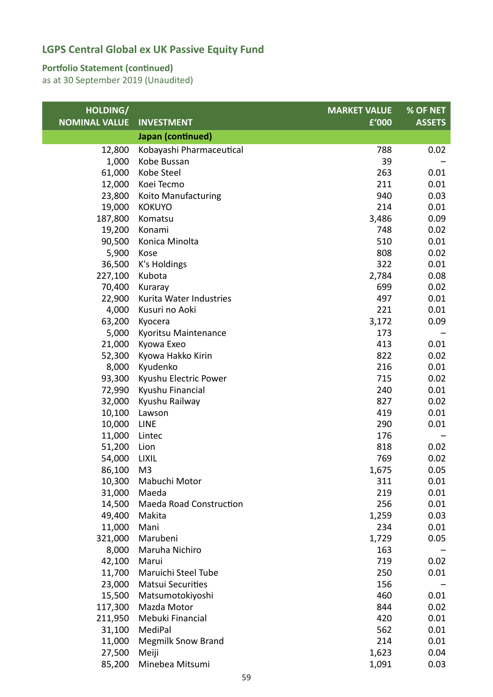#### **Portfolio Statement (continued)**

| HOLDING/             |                                | <b>MARKET VALUE</b> | % OF NET      |
|----------------------|--------------------------------|---------------------|---------------|
| <b>NOMINAL VALUE</b> | <b>INVESTMENT</b>              | £'000               | <b>ASSETS</b> |
|                      | Japan (continued)              |                     |               |
| 12,800               | Kobayashi Pharmaceutical       | 788                 | 0.02          |
| 1,000                | Kobe Bussan                    | 39                  |               |
| 61,000               | Kobe Steel                     | 263                 | 0.01          |
| 12,000               | Koei Tecmo                     | 211                 | 0.01          |
| 23,800               | Koito Manufacturing            | 940                 | 0.03          |
| 19,000               | <b>KOKUYO</b>                  | 214                 | 0.01          |
| 187,800              | Komatsu                        | 3,486               | 0.09          |
| 19,200               | Konami                         | 748                 | 0.02          |
| 90,500               | Konica Minolta                 | 510                 | 0.01          |
| 5,900                | Kose                           | 808                 | 0.02          |
| 36,500               | K's Holdings                   | 322                 | 0.01          |
| 227,100              | Kubota                         | 2,784               | 0.08          |
| 70,400               | Kuraray                        | 699                 | 0.02          |
| 22,900               | Kurita Water Industries        | 497                 | 0.01          |
| 4,000                | Kusuri no Aoki                 | 221                 | 0.01          |
| 63,200               | Kyocera                        | 3,172               | 0.09          |
| 5,000                | Kyoritsu Maintenance           | 173                 |               |
| 21,000               | Kyowa Exeo                     | 413                 | 0.01          |
| 52,300               | Kyowa Hakko Kirin              | 822                 | 0.02          |
| 8,000                | Kyudenko                       | 216                 | 0.01          |
| 93,300               | Kyushu Electric Power          | 715                 | 0.02          |
| 72,990               | Kyushu Financial               | 240                 | 0.01          |
| 32,000               | Kyushu Railway                 | 827                 | 0.02          |
| 10,100               | Lawson                         | 419                 | 0.01          |
| 10,000               | <b>LINE</b>                    | 290                 | 0.01          |
| 11,000               | Lintec                         | 176                 |               |
| 51,200               | Lion                           | 818                 | 0.02          |
| 54,000               | <b>LIXIL</b>                   | 769                 | 0.02          |
| 86,100               | M <sub>3</sub>                 | 1,675               | 0.05          |
| 10,300               | Mabuchi Motor                  | 311                 | 0.01          |
| 31,000               | Maeda                          | 219                 | 0.01          |
| 14,500               | <b>Maeda Road Construction</b> | 256                 | 0.01          |
| 49,400               | Makita                         | 1,259               | 0.03          |
| 11,000               | Mani                           | 234                 | 0.01          |
| 321,000              | Marubeni                       | 1,729               | 0.05          |
| 8,000                | Maruha Nichiro                 | 163                 |               |
| 42,100               | Marui                          | 719                 | 0.02          |
| 11,700               | Maruichi Steel Tube            | 250                 | 0.01          |
| 23,000               | <b>Matsui Securities</b>       | 156                 |               |
| 15,500               | Matsumotokiyoshi               | 460                 | 0.01          |
| 117,300              | Mazda Motor                    | 844                 | 0.02          |
| 211,950              | Mebuki Financial               | 420                 | 0.01          |
| 31,100               | MediPal                        | 562                 | 0.01          |
| 11,000               | <b>Megmilk Snow Brand</b>      | 214                 | 0.01          |
| 27,500               | Meiji                          | 1,623               | 0.04          |
| 85,200               | Minebea Mitsumi                | 1,091               | 0.03          |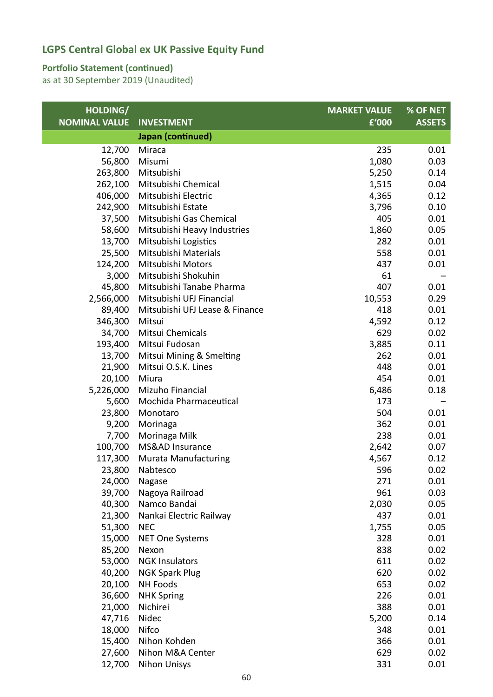### **Portfolio Statement (continued)**

| HOLDING/             |                                | <b>MARKET VALUE</b> | % OF NET      |
|----------------------|--------------------------------|---------------------|---------------|
| <b>NOMINAL VALUE</b> | <b>INVESTMENT</b>              | £'000               | <b>ASSETS</b> |
|                      | Japan (continued)              |                     |               |
| 12,700               | Miraca                         | 235                 | 0.01          |
| 56,800               | Misumi                         | 1,080               | 0.03          |
| 263,800              | Mitsubishi                     | 5,250               | 0.14          |
| 262,100              | Mitsubishi Chemical            | 1,515               | 0.04          |
| 406,000              | Mitsubishi Electric            | 4,365               | 0.12          |
| 242,900              | Mitsubishi Estate              | 3,796               | 0.10          |
| 37,500               | Mitsubishi Gas Chemical        | 405                 | 0.01          |
| 58,600               | Mitsubishi Heavy Industries    | 1,860               | 0.05          |
| 13,700               | Mitsubishi Logistics           | 282                 | 0.01          |
| 25,500               | Mitsubishi Materials           | 558                 | 0.01          |
| 124,200              | Mitsubishi Motors              | 437                 | 0.01          |
| 3,000                | Mitsubishi Shokuhin            | 61                  |               |
| 45,800               | Mitsubishi Tanabe Pharma       | 407                 | 0.01          |
| 2,566,000            | Mitsubishi UFJ Financial       | 10,553              | 0.29          |
| 89,400               | Mitsubishi UFJ Lease & Finance | 418                 | 0.01          |
| 346,300              | Mitsui                         | 4,592               | 0.12          |
| 34,700               | Mitsui Chemicals               | 629                 | 0.02          |
| 193,400              | Mitsui Fudosan                 | 3,885               | 0.11          |
| 13,700               | Mitsui Mining & Smelting       | 262                 | 0.01          |
| 21,900               | Mitsui O.S.K. Lines            | 448                 | 0.01          |
| 20,100               | Miura                          | 454                 | 0.01          |
| 5,226,000            | Mizuho Financial               | 6,486               | 0.18          |
| 5,600                | Mochida Pharmaceutical         | 173                 |               |
| 23,800               | Monotaro                       | 504                 | 0.01          |
| 9,200                | Morinaga                       | 362                 | 0.01          |
| 7,700                | Morinaga Milk                  | 238                 | 0.01          |
| 100,700              | MS&AD Insurance                | 2,642               | 0.07          |
| 117,300              | <b>Murata Manufacturing</b>    | 4,567               | 0.12          |
| 23,800               | Nabtesco                       | 596                 | 0.02          |
| 24,000               | Nagase                         | 271                 | 0.01          |
| 39,700               | Nagoya Railroad                | 961                 | 0.03          |
| 40,300               | Namco Bandai                   | 2,030               | 0.05          |
| 21,300               | Nankai Electric Railway        | 437                 | 0.01          |
| 51,300               | <b>NEC</b>                     | 1,755               | 0.05          |
| 15,000               | <b>NET One Systems</b>         | 328                 | 0.01          |
| 85,200               | Nexon                          | 838                 | 0.02          |
| 53,000               | <b>NGK Insulators</b>          | 611                 | 0.02          |
| 40,200               | <b>NGK Spark Plug</b>          | 620                 | 0.02          |
| 20,100               | <b>NH Foods</b>                | 653                 | 0.02          |
| 36,600               | <b>NHK Spring</b>              | 226                 | 0.01          |
| 21,000               | Nichirei                       | 388                 | 0.01          |
| 47,716               | Nidec                          | 5,200               | 0.14          |
| 18,000               | Nifco                          | 348                 | 0.01          |
| 15,400               | Nihon Kohden                   | 366                 | 0.01          |
| 27,600               | Nihon M&A Center               | 629                 | 0.02          |
| 12,700               | <b>Nihon Unisys</b>            | 331                 | 0.01          |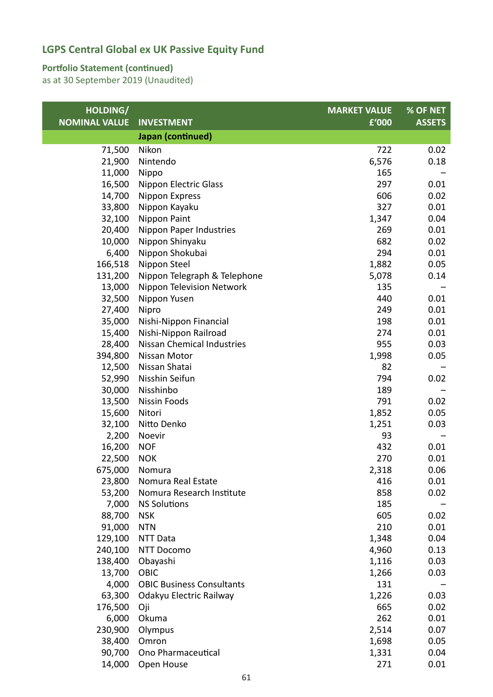### **Portfolio Statement (continued)**

| HOLDING/             |                                   | <b>MARKET VALUE</b> | % OF NET      |
|----------------------|-----------------------------------|---------------------|---------------|
| <b>NOMINAL VALUE</b> | <b>INVESTMENT</b>                 | £'000               | <b>ASSETS</b> |
|                      | Japan (continued)                 |                     |               |
| 71,500               | Nikon                             | 722                 | 0.02          |
| 21,900               | Nintendo                          | 6,576               | 0.18          |
| 11,000               | Nippo                             | 165                 |               |
| 16,500               | Nippon Electric Glass             | 297                 | 0.01          |
| 14,700               | Nippon Express                    | 606                 | 0.02          |
| 33,800               | Nippon Kayaku                     | 327                 | 0.01          |
| 32,100               | Nippon Paint                      | 1,347               | 0.04          |
| 20,400               | Nippon Paper Industries           | 269                 | 0.01          |
| 10,000               | Nippon Shinyaku                   | 682                 | 0.02          |
| 6,400                | Nippon Shokubai                   | 294                 | 0.01          |
| 166,518              | Nippon Steel                      | 1,882               | 0.05          |
| 131,200              | Nippon Telegraph & Telephone      | 5,078               | 0.14          |
| 13,000               | Nippon Television Network         | 135                 |               |
| 32,500               | Nippon Yusen                      | 440                 | 0.01          |
| 27,400               | Nipro                             | 249                 | 0.01          |
| 35,000               | Nishi-Nippon Financial            | 198                 | 0.01          |
| 15,400               | Nishi-Nippon Railroad             | 274                 | 0.01          |
| 28,400               | <b>Nissan Chemical Industries</b> | 955                 | 0.03          |
| 394,800              | Nissan Motor                      | 1,998               | 0.05          |
| 12,500               | Nissan Shatai                     | 82                  |               |
| 52,990               | Nisshin Seifun                    | 794                 | 0.02          |
| 30,000               | Nisshinbo                         | 189                 |               |
| 13,500               | Nissin Foods                      | 791                 | 0.02          |
| 15,600               | Nitori                            | 1,852               | 0.05          |
| 32,100               | Nitto Denko                       | 1,251               | 0.03          |
| 2,200                | Noevir                            | 93                  |               |
| 16,200               | <b>NOF</b>                        | 432                 | 0.01          |
| 22,500               | <b>NOK</b>                        | 270                 | 0.01          |
| 675,000              | Nomura                            | 2,318               | 0.06          |
| 23,800               | Nomura Real Estate                | 416                 | 0.01          |
| 53,200               | Nomura Research Institute         | 858                 | 0.02          |
| 7,000                | <b>NS Solutions</b>               | 185                 |               |
| 88,700               | <b>NSK</b>                        | 605                 | 0.02          |
| 91,000               | <b>NTN</b>                        | 210                 | 0.01          |
| 129,100              | NTT Data                          | 1,348               | 0.04          |
| 240,100              | <b>NTT Docomo</b>                 | 4,960               | 0.13          |
| 138,400              | Obayashi                          | 1,116               | 0.03          |
| 13,700               | OBIC                              | 1,266               | 0.03          |
| 4,000                | <b>OBIC Business Consultants</b>  | 131                 |               |
| 63,300               | Odakyu Electric Railway           | 1,226               | 0.03          |
| 176,500              | Oji                               | 665                 | 0.02          |
| 6,000                | Okuma                             | 262                 | 0.01          |
| 230,900              | Olympus                           | 2,514               | 0.07          |
| 38,400               | Omron                             | 1,698               | 0.05          |
| 90,700               | Ono Pharmaceutical                | 1,331               | 0.04          |
| 14,000               | Open House                        | 271                 | 0.01          |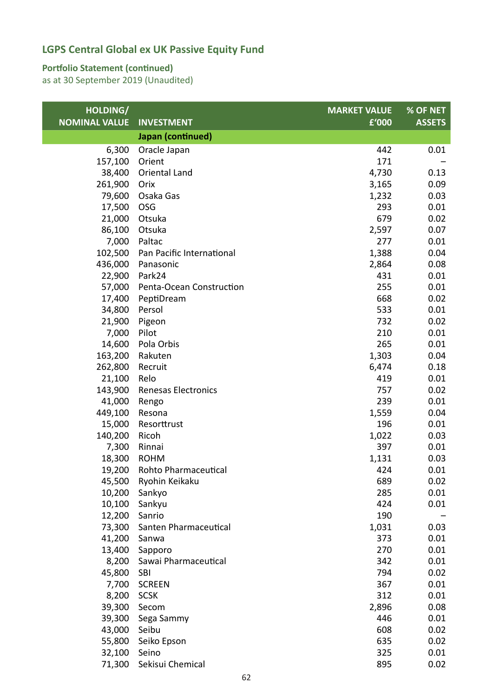### **Portfolio Statement (continued)**

| HOLDING/             |                            | <b>MARKET VALUE</b> | % OF NET      |
|----------------------|----------------------------|---------------------|---------------|
| <b>NOMINAL VALUE</b> | <b>INVESTMENT</b>          | £'000               | <b>ASSETS</b> |
|                      | Japan (continued)          |                     |               |
| 6,300                | Oracle Japan               | 442                 | 0.01          |
| 157,100              | Orient                     | 171                 |               |
| 38,400               | Oriental Land              | 4,730               | 0.13          |
| 261,900              | Orix                       | 3,165               | 0.09          |
| 79,600               | Osaka Gas                  | 1,232               | 0.03          |
| 17,500               | <b>OSG</b>                 | 293                 | 0.01          |
| 21,000               | Otsuka                     | 679                 | 0.02          |
| 86,100               | Otsuka                     | 2,597               | 0.07          |
| 7,000                | Paltac                     | 277                 | 0.01          |
| 102,500              | Pan Pacific International  | 1,388               | 0.04          |
| 436,000              | Panasonic                  | 2,864               | 0.08          |
| 22,900               | Park24                     | 431                 | 0.01          |
| 57,000               | Penta-Ocean Construction   | 255                 | 0.01          |
| 17,400               | PeptiDream                 | 668                 | 0.02          |
| 34,800               | Persol                     | 533                 | 0.01          |
| 21,900               | Pigeon                     | 732                 | 0.02          |
| 7,000                | Pilot                      | 210                 | 0.01          |
| 14,600               | Pola Orbis                 | 265                 | 0.01          |
| 163,200              | Rakuten                    | 1,303               | 0.04          |
| 262,800              | Recruit                    | 6,474               | 0.18          |
| 21,100               | Relo                       | 419                 | 0.01          |
| 143,900              | <b>Renesas Electronics</b> | 757                 | 0.02          |
| 41,000               | Rengo                      | 239                 | 0.01          |
| 449,100              | Resona                     | 1,559               | 0.04          |
| 15,000               | Resorttrust                | 196                 | 0.01          |
| 140,200              | Ricoh                      | 1,022               | 0.03          |
| 7,300                | Rinnai                     | 397                 | 0.01          |
| 18,300               | <b>ROHM</b>                | 1,131               | 0.03          |
| 19,200               | Rohto Pharmaceutical       | 424                 | 0.01          |
| 45,500               | Ryohin Keikaku             | 689                 | 0.02          |
| 10,200               | Sankyo                     | 285                 | 0.01          |
| 10,100               | Sankyu                     | 424                 | 0.01          |
| 12,200               | Sanrio                     | 190                 |               |
| 73,300               | Santen Pharmaceutical      | 1,031               | 0.03          |
| 41,200               | Sanwa                      | 373                 | 0.01          |
| 13,400               | Sapporo                    | 270                 | 0.01          |
| 8,200                | Sawai Pharmaceutical       | 342                 | 0.01          |
| 45,800               | <b>SBI</b>                 | 794                 | 0.02          |
| 7,700                | <b>SCREEN</b>              | 367                 | 0.01          |
| 8,200                | <b>SCSK</b>                | 312                 | 0.01          |
| 39,300               | Secom                      | 2,896               | 0.08          |
| 39,300               | Sega Sammy                 | 446                 | 0.01          |
| 43,000               | Seibu                      | 608                 | 0.02          |
| 55,800               | Seiko Epson                | 635                 | 0.02          |
| 32,100               | Seino                      | 325                 | 0.01          |
| 71,300               | Sekisui Chemical           | 895                 | 0.02          |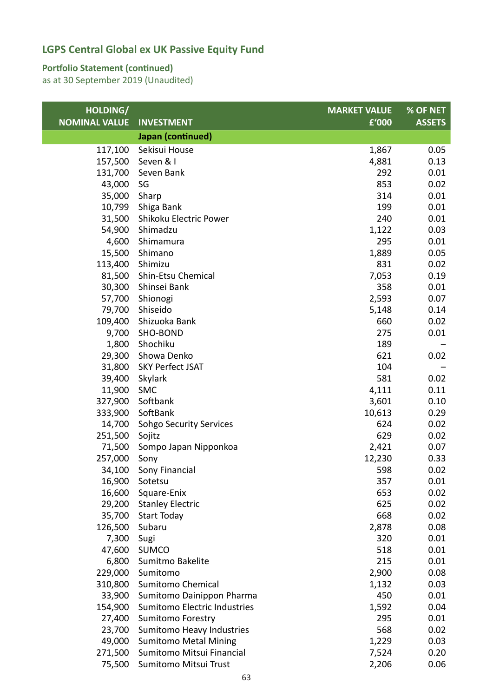### **Portfolio Statement (continued)**

| HOLDING/             |                                | <b>MARKET VALUE</b> | % OF NET      |
|----------------------|--------------------------------|---------------------|---------------|
| <b>NOMINAL VALUE</b> | <b>INVESTMENT</b>              | £'000               | <b>ASSETS</b> |
|                      | Japan (continued)              |                     |               |
| 117,100              | Sekisui House                  | 1,867               | 0.05          |
| 157,500              | Seven & I                      | 4,881               | 0.13          |
| 131,700              | Seven Bank                     | 292                 | 0.01          |
| 43,000               | SG                             | 853                 | 0.02          |
| 35,000               | Sharp                          | 314                 | 0.01          |
| 10,799               | Shiga Bank                     | 199                 | 0.01          |
| 31,500               | Shikoku Electric Power         | 240                 | 0.01          |
| 54,900               | Shimadzu                       | 1,122               | 0.03          |
| 4,600                | Shimamura                      | 295                 | 0.01          |
| 15,500               | Shimano                        | 1,889               | 0.05          |
| 113,400              | Shimizu                        | 831                 | 0.02          |
| 81,500               | Shin-Etsu Chemical             | 7,053               | 0.19          |
| 30,300               | Shinsei Bank                   | 358                 | 0.01          |
| 57,700               | Shionogi                       | 2,593               | 0.07          |
| 79,700               | Shiseido                       | 5,148               | 0.14          |
| 109,400              | Shizuoka Bank                  | 660                 | 0.02          |
| 9,700                | SHO-BOND                       | 275                 | 0.01          |
| 1,800                | Shochiku                       | 189                 |               |
| 29,300               | Showa Denko                    | 621                 | 0.02          |
| 31,800               | <b>SKY Perfect JSAT</b>        | 104                 |               |
| 39,400               | Skylark                        | 581                 | 0.02          |
| 11,900               | <b>SMC</b>                     | 4,111               | 0.11          |
| 327,900              | Softbank                       | 3,601               | 0.10          |
| 333,900              | SoftBank                       | 10,613              | 0.29          |
| 14,700               | <b>Sohgo Security Services</b> | 624                 | 0.02          |
| 251,500              | Sojitz                         | 629                 | 0.02          |
| 71,500               | Sompo Japan Nipponkoa          | 2,421               | 0.07          |
| 257,000              | Sony                           | 12,230              | 0.33          |
| 34,100               | Sony Financial                 | 598                 | 0.02          |
| 16,900               | Sotetsu                        | 357                 | 0.01          |
| 16,600               | Square-Enix                    | 653                 | 0.02          |
| 29,200               | <b>Stanley Electric</b>        | 625                 | 0.02          |
| 35,700               | <b>Start Today</b>             | 668                 | 0.02          |
| 126,500              | Subaru                         | 2,878               | 0.08          |
| 7,300                | Sugi                           | 320                 | 0.01          |
| 47,600               | <b>SUMCO</b>                   | 518                 | 0.01          |
| 6,800                | Sumitmo Bakelite               | 215                 | 0.01          |
| 229,000              | Sumitomo                       | 2,900               | 0.08          |
| 310,800              | <b>Sumitomo Chemical</b>       | 1,132               | 0.03          |
| 33,900               | Sumitomo Dainippon Pharma      | 450                 | 0.01          |
| 154,900              | Sumitomo Electric Industries   | 1,592               | 0.04          |
| 27,400               | <b>Sumitomo Forestry</b>       | 295                 | 0.01          |
| 23,700               | Sumitomo Heavy Industries      | 568                 | 0.02          |
| 49,000               | <b>Sumitomo Metal Mining</b>   | 1,229               | 0.03          |
| 271,500              | Sumitomo Mitsui Financial      | 7,524               | 0.20          |
| 75,500               | Sumitomo Mitsui Trust          | 2,206               | 0.06          |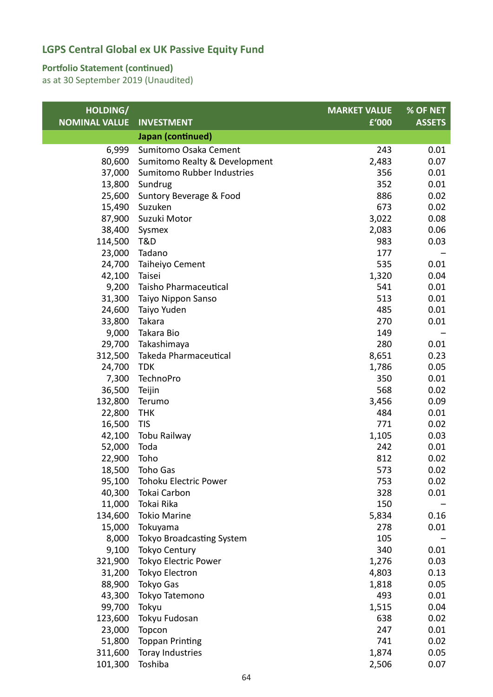### **Portfolio Statement (continued)**

| HOLDING/             |                                  | <b>MARKET VALUE</b> | % OF NET      |
|----------------------|----------------------------------|---------------------|---------------|
| <b>NOMINAL VALUE</b> | <b>INVESTMENT</b>                | £'000               | <b>ASSETS</b> |
|                      | Japan (continued)                |                     |               |
| 6,999                | Sumitomo Osaka Cement            | 243                 | 0.01          |
| 80,600               | Sumitomo Realty & Development    | 2,483               | 0.07          |
| 37,000               | Sumitomo Rubber Industries       | 356                 | 0.01          |
| 13,800               | Sundrug                          | 352                 | 0.01          |
| 25,600               | Suntory Beverage & Food          | 886                 | 0.02          |
| 15,490               | Suzuken                          | 673                 | 0.02          |
| 87,900               | Suzuki Motor                     | 3,022               | 0.08          |
| 38,400               | Sysmex                           | 2,083               | 0.06          |
| 114,500              | T&D                              | 983                 | 0.03          |
| 23,000               | Tadano                           | 177                 |               |
| 24,700               | Taiheiyo Cement                  | 535                 | 0.01          |
| 42,100               | Taisei                           | 1,320               | 0.04          |
| 9,200                | Taisho Pharmaceutical            | 541                 | 0.01          |
| 31,300               | Taiyo Nippon Sanso               | 513                 | 0.01          |
| 24,600               | Taiyo Yuden                      | 485                 | 0.01          |
| 33,800               | Takara                           | 270                 | 0.01          |
| 9,000                | Takara Bio                       | 149                 |               |
| 29,700               | Takashimaya                      | 280                 | 0.01          |
| 312,500              | Takeda Pharmaceutical            | 8,651               | 0.23          |
| 24,700               | <b>TDK</b>                       | 1,786               | 0.05          |
| 7,300                | TechnoPro                        | 350                 | 0.01          |
| 36,500               | Teijin                           | 568                 | 0.02          |
| 132,800              | Terumo                           | 3,456               | 0.09          |
| 22,800               | <b>THK</b>                       | 484                 | 0.01          |
| 16,500               | <b>TIS</b>                       | 771                 | 0.02          |
| 42,100               | Tobu Railway                     | 1,105               | 0.03          |
| 52,000               | Toda                             | 242                 | 0.01          |
| 22,900               | Toho                             | 812                 | 0.02          |
| 18,500               | Toho Gas                         | 573                 | 0.02          |
| 95,100               | <b>Tohoku Electric Power</b>     | 753                 | 0.02          |
| 40,300               | Tokai Carbon                     | 328                 | 0.01          |
| 11,000               | Tokai Rika                       | 150                 |               |
| 134,600              | <b>Tokio Marine</b>              | 5,834               | 0.16          |
| 15,000               | Tokuyama                         | 278                 | 0.01          |
| 8,000                | <b>Tokyo Broadcasting System</b> | 105                 |               |
| 9,100                | <b>Tokyo Century</b>             | 340                 | 0.01          |
| 321,900              | <b>Tokyo Electric Power</b>      | 1,276               | 0.03          |
| 31,200               | Tokyo Electron                   | 4,803               | 0.13          |
| 88,900               | <b>Tokyo Gas</b>                 | 1,818               | 0.05          |
| 43,300               | Tokyo Tatemono                   | 493                 | 0.01          |
| 99,700               | Tokyu                            | 1,515               | 0.04          |
| 123,600              | Tokyu Fudosan                    | 638                 | 0.02          |
| 23,000               | Topcon                           | 247                 | 0.01          |
| 51,800               | <b>Toppan Printing</b>           | 741                 | 0.02          |
| 311,600              | Toray Industries                 | 1,874               | 0.05          |
| 101,300              | Toshiba                          | 2,506               | 0.07          |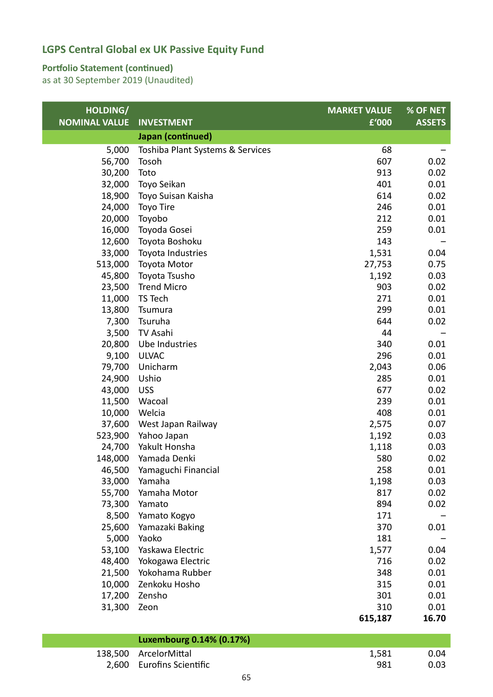#### **Portfolio Statement (continued)**

as at 30 September 2019 (Unaudited)

| HOLDING/             |                                  | <b>MARKET VALUE</b> | $%$ OF NET    |
|----------------------|----------------------------------|---------------------|---------------|
| <b>NOMINAL VALUE</b> | <b>INVESTMENT</b>                | £'000               | <b>ASSETS</b> |
|                      | Japan (continued)                |                     |               |
| 5,000                | Toshiba Plant Systems & Services | 68                  |               |
| 56,700               | Tosoh                            | 607                 | 0.02          |
| 30,200               | Toto                             | 913                 | 0.02          |
| 32,000               | Toyo Seikan                      | 401                 | 0.01          |
| 18,900               | Toyo Suisan Kaisha               | 614                 | 0.02          |
| 24,000               | <b>Toyo Tire</b>                 | 246                 | 0.01          |
| 20,000               | Toyobo                           | 212                 | 0.01          |
| 16,000               | Toyoda Gosei                     | 259                 | 0.01          |
| 12,600               | Toyota Boshoku                   | 143                 |               |
| 33,000               | Toyota Industries                | 1,531               | 0.04          |
| 513,000              | Toyota Motor                     | 27,753              | 0.75          |
| 45,800               | Toyota Tsusho                    | 1,192               | 0.03          |
| 23,500               | <b>Trend Micro</b>               | 903                 | 0.02          |
| 11,000               | TS Tech                          | 271                 | 0.01          |
| 13,800               | Tsumura                          | 299                 | 0.01          |
| 7,300                | Tsuruha                          | 644                 | 0.02          |
| 3,500                | TV Asahi                         | 44                  |               |
| 20,800               | Ube Industries                   | 340                 | 0.01          |
| 9,100                | <b>ULVAC</b>                     | 296                 | 0.01          |
| 79,700               | Unicharm                         | 2,043               | 0.06          |
| 24,900               | Ushio                            | 285                 | 0.01          |
| 43,000               | <b>USS</b>                       | 677                 | 0.02          |
| 11,500               | Wacoal                           | 239                 | 0.01          |
| 10,000               | Welcia                           | 408                 | 0.01          |
| 37,600               | West Japan Railway               | 2,575               | 0.07          |
| 523,900              | Yahoo Japan                      | 1,192               | 0.03          |
| 24,700               | Yakult Honsha                    | 1,118               | 0.03          |
| 148,000              | Yamada Denki                     | 580                 | 0.02          |
| 46,500               | Yamaguchi Financial              | 258                 | 0.01          |
| 33,000               | Yamaha                           | 1,198               | 0.03          |
| 55,700               | Yamaha Motor                     | 817                 | 0.02          |
| 73,300               | Yamato                           | 894                 | 0.02          |
| 8,500                | Yamato Kogyo                     | 171                 |               |
| 25,600               | Yamazaki Baking                  | 370                 | 0.01          |
| 5,000                | Yaoko                            | 181                 |               |
| 53,100               | Yaskawa Electric                 | 1,577               | 0.04          |
| 48,400               | Yokogawa Electric                | 716                 | 0.02          |
| 21,500               | Yokohama Rubber                  | 348                 | 0.01          |
| 10,000               | Zenkoku Hosho                    | 315                 | 0.01          |
| 17,200               | Zensho                           | 301                 | 0.01          |
| 31,300               | Zeon                             | 310                 | 0.01          |
|                      |                                  | 615,187             | 16.70         |
|                      | Luxembourg 0.14% (0.17%)         |                     |               |
| 138,500              | ArcelorMittal                    | 1,581               | 0.04          |

2,600 Eurofins Scientific 2,600 Eurofins Scientific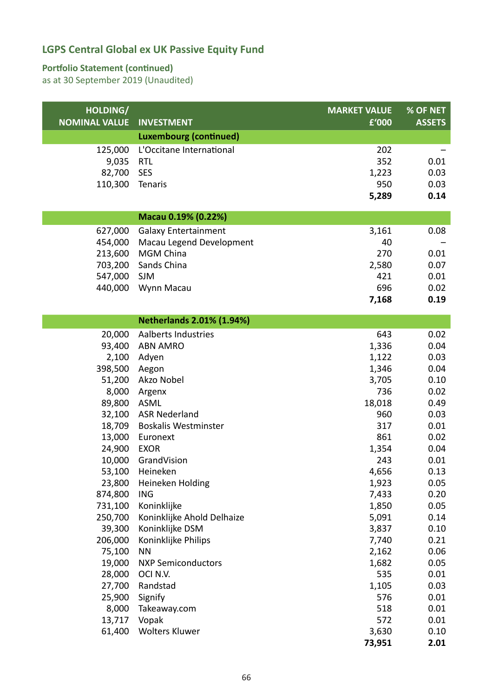#### **Portfolio Statement (continued)**

| HOLDING/<br><b>NOMINAL VALUE</b> | <b>INVESTMENT</b>                | <b>MARKET VALUE</b><br>£'000 | % OF NET      |
|----------------------------------|----------------------------------|------------------------------|---------------|
|                                  |                                  |                              | <b>ASSETS</b> |
|                                  | <b>Luxembourg (continued)</b>    |                              |               |
| 125,000                          | L'Occitane International         | 202                          |               |
| 9,035                            | <b>RTL</b>                       | 352                          | 0.01          |
| 82,700                           | <b>SES</b>                       | 1,223                        | 0.03          |
| 110,300                          | Tenaris                          | 950                          | 0.03          |
|                                  |                                  | 5,289                        | 0.14          |
|                                  | Macau 0.19% (0.22%)              |                              |               |
| 627,000                          | <b>Galaxy Entertainment</b>      | 3,161                        | 0.08          |
| 454,000                          | Macau Legend Development         | 40                           |               |
| 213,600                          | <b>MGM China</b>                 | 270                          | 0.01          |
| 703,200                          | Sands China                      | 2,580                        | 0.07          |
| 547,000                          | <b>SJM</b>                       | 421                          | 0.01          |
| 440,000                          | Wynn Macau                       | 696                          | 0.02          |
|                                  |                                  | 7,168                        | 0.19          |
|                                  |                                  |                              |               |
|                                  | <b>Netherlands 2.01% (1.94%)</b> |                              |               |
| 20,000                           | Aalberts Industries              | 643                          | 0.02          |
| 93,400                           | <b>ABN AMRO</b>                  | 1,336                        | 0.04          |
| 2,100                            | Adyen                            | 1,122                        | 0.03          |
| 398,500                          | Aegon                            | 1,346                        | 0.04          |
| 51,200                           | Akzo Nobel                       | 3,705                        | 0.10          |
| 8,000                            | Argenx                           | 736                          | 0.02          |
| 89,800                           | <b>ASML</b>                      | 18,018                       | 0.49          |
| 32,100                           | <b>ASR Nederland</b>             | 960                          | 0.03          |
| 18,709                           | <b>Boskalis Westminster</b>      | 317                          | 0.01          |
| 13,000                           | Euronext                         | 861                          | 0.02          |
| 24,900                           | <b>EXOR</b>                      | 1,354                        | 0.04          |
| 10,000                           | GrandVision                      | 243                          | 0.01          |
|                                  | 53,100 Heineken                  | 4,656                        | 0.13          |
| 23,800                           | Heineken Holding                 | 1,923                        | 0.05          |
| 874,800                          | <b>ING</b>                       | 7,433                        | 0.20          |
| 731,100                          | Koninklijke                      | 1,850                        | 0.05          |
| 250,700                          | Koninklijke Ahold Delhaize       | 5,091                        | 0.14          |
| 39,300                           | Koninklijke DSM                  | 3,837                        | 0.10          |
| 206,000                          | Koninklijke Philips              | 7,740                        | 0.21          |
| 75,100                           | <b>NN</b>                        | 2,162                        | 0.06          |
| 19,000                           | <b>NXP Semiconductors</b>        | 1,682                        | 0.05          |
| 28,000                           | OCI N.V.                         | 535                          | 0.01          |
| 27,700                           | Randstad                         | 1,105                        | 0.03          |
| 25,900                           | Signify                          | 576                          | 0.01          |
| 8,000                            | Takeaway.com                     | 518                          | 0.01          |
| 13,717                           | Vopak                            | 572                          | 0.01          |
| 61,400                           | <b>Wolters Kluwer</b>            | 3,630                        | 0.10          |
|                                  |                                  | 73,951                       | 2.01          |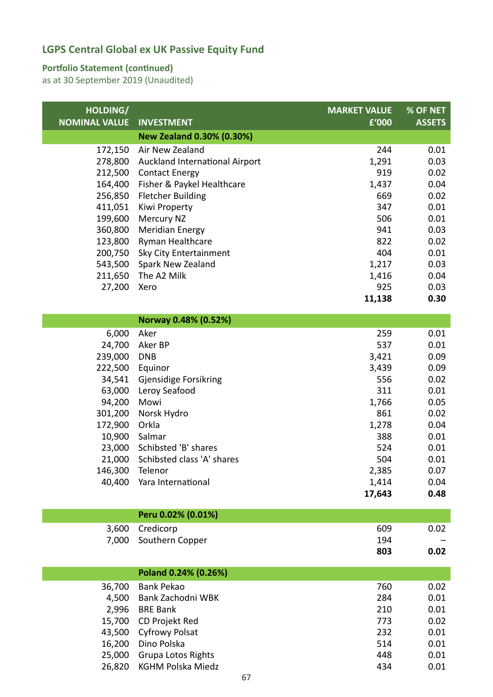#### **Portfolio Statement (continued)**

| HOLDING/<br><b>NOMINAL VALUE</b> | <b>INVESTMENT</b>              | <b>MARKET VALUE</b><br>£'000 | % OF NET<br><b>ASSETS</b> |
|----------------------------------|--------------------------------|------------------------------|---------------------------|
|                                  | New Zealand 0.30% (0.30%)      |                              |                           |
| 172,150                          | Air New Zealand                | 244                          | 0.01                      |
| 278,800                          | Auckland International Airport | 1,291                        | 0.03                      |
| 212,500                          | <b>Contact Energy</b>          | 919                          | 0.02                      |
| 164,400                          | Fisher & Paykel Healthcare     | 1,437                        | 0.04                      |
| 256,850                          | <b>Fletcher Building</b>       | 669                          | 0.02                      |
| 411,051                          | Kiwi Property                  | 347                          | 0.01                      |
| 199,600                          | Mercury NZ                     | 506                          | 0.01                      |
| 360,800                          | <b>Meridian Energy</b>         | 941                          | 0.03                      |
| 123,800                          | Ryman Healthcare               | 822                          | 0.02                      |
| 200,750                          | Sky City Entertainment         | 404                          | 0.01                      |
| 543,500                          | Spark New Zealand              | 1,217                        | 0.03                      |
| 211,650                          | The A2 Milk                    | 1,416                        | 0.04                      |
| 27,200                           | Xero                           | 925                          | 0.03                      |
|                                  |                                | 11,138                       | 0.30                      |
|                                  | Norway 0.48% (0.52%)           |                              |                           |
| 6,000                            | Aker                           | 259                          | 0.01                      |
| 24,700                           | Aker BP                        | 537                          | 0.01                      |
| 239,000                          | <b>DNB</b>                     | 3,421                        | 0.09                      |
| 222,500                          | Equinor                        | 3,439                        | 0.09                      |
| 34,541                           | Gjensidige Forsikring          | 556                          | 0.02                      |
| 63,000                           | Leroy Seafood                  | 311                          | 0.01                      |

| 63,000  | Leroy Seafood                     | 311    | 0.01 |
|---------|-----------------------------------|--------|------|
| 94,200  | Mowi                              | 1,766  | 0.05 |
| 301,200 | Norsk Hydro                       | 861    | 0.02 |
| 172,900 | Orkla                             | 1,278  | 0.04 |
| 10,900  | Salmar                            | 388    | 0.01 |
|         | 23,000 Schibsted 'B' shares       | 524    | 0.01 |
|         | 21,000 Schibsted class 'A' shares | 504    | 0.01 |
| 146,300 | Telenor                           | 2,385  | 0.07 |
|         | 40,400 Yara International         | 1,414  | 0.04 |
|         |                                   | 17,643 | 0.48 |

| Peru 0.02% (0.01%)    |     |                          |
|-----------------------|-----|--------------------------|
| 3,600 Credicorp       | 609 | 0.02                     |
| 7,000 Southern Copper | 194 | $\overline{\phantom{0}}$ |
|                       | 803 | 0.02                     |

|        | Poland 0.24% (0.26%)      |     |      |
|--------|---------------------------|-----|------|
| 36,700 | Bank Pekao                | 760 | 0.02 |
| 4,500  | Bank Zachodni WBK         | 284 | 0.01 |
| 2,996  | <b>BRE Bank</b>           | 210 | 0.01 |
|        | 15,700 CD Projekt Red     | 773 | 0.02 |
|        | 43,500 Cyfrowy Polsat     | 232 | 0.01 |
|        | 16,200 Dino Polska        | 514 | 0.01 |
| 25,000 | <b>Grupa Lotos Rights</b> | 448 | 0.01 |
| 26,820 | KGHM Polska Miedz         | 434 | 0.01 |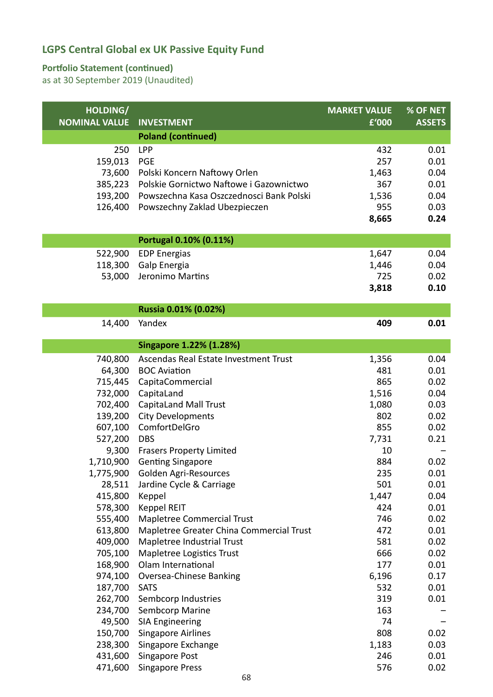### **Portfolio Statement (continued)**

| HOLDING/             |                                                             | <b>MARKET VALUE</b> | % OF NET      |
|----------------------|-------------------------------------------------------------|---------------------|---------------|
| <b>NOMINAL VALUE</b> | <b>INVESTMENT</b>                                           | £'000               | <b>ASSETS</b> |
|                      | <b>Poland (continued)</b>                                   |                     |               |
| 250                  | <b>LPP</b>                                                  | 432                 | 0.01          |
| 159,013              | <b>PGE</b>                                                  | 257                 | 0.01          |
| 73,600               | Polski Koncern Naftowy Orlen                                | 1,463               | 0.04          |
| 385,223              | Polskie Gornictwo Naftowe i Gazownictwo                     | 367                 | 0.01          |
| 193,200              | Powszechna Kasa Oszczednosci Bank Polski                    | 1,536               | 0.04          |
| 126,400              | Powszechny Zaklad Ubezpieczen                               | 955                 | 0.03          |
|                      |                                                             | 8,665               | 0.24          |
|                      | Portugal 0.10% (0.11%)                                      |                     |               |
| 522,900              | <b>EDP Energias</b>                                         | 1,647               | 0.04          |
| 118,300              | Galp Energia                                                | 1,446               | 0.04          |
| 53,000               | Jeronimo Martins                                            | 725                 | 0.02          |
|                      |                                                             | 3,818               | 0.10          |
|                      | Russia 0.01% (0.02%)                                        |                     |               |
| 14,400               | Yandex                                                      | 409                 | 0.01          |
|                      |                                                             |                     |               |
|                      | Singapore 1.22% (1.28%)                                     |                     |               |
| 740,800              | Ascendas Real Estate Investment Trust                       | 1,356               | 0.04          |
| 64,300               | <b>BOC Aviation</b>                                         | 481                 | 0.01          |
| 715,445              | CapitaCommercial                                            | 865                 | 0.02          |
| 732,000              | CapitaLand                                                  | 1,516               | 0.04          |
| 702,400              | <b>CapitaLand Mall Trust</b>                                | 1,080               | 0.03          |
| 139,200              | <b>City Developments</b>                                    | 802                 | 0.02          |
| 607,100              | ComfortDelGro                                               | 855                 | 0.02          |
| 527,200              | <b>DBS</b>                                                  | 7,731               | 0.21          |
| 9,300<br>1,710,900   | <b>Frasers Property Limited</b><br><b>Genting Singapore</b> | 10<br>884           | 0.02          |
| 1,775,900            | Golden Agri-Resources                                       | 235                 | 0.01          |
| 28,511               | Jardine Cycle & Carriage                                    | 501                 | 0.01          |
| 415,800              | Keppel                                                      | 1,447               | 0.04          |
| 578,300              | Keppel REIT                                                 | 424                 | 0.01          |
| 555,400              | Mapletree Commercial Trust                                  | 746                 | 0.02          |
| 613,800              | Mapletree Greater China Commercial Trust                    | 472                 | 0.01          |
| 409,000              | Mapletree Industrial Trust                                  | 581                 | 0.02          |
| 705,100              | Mapletree Logistics Trust                                   | 666                 | 0.02          |
| 168,900              | Olam International                                          | 177                 | 0.01          |
| 974,100              | Oversea-Chinese Banking                                     | 6,196               | 0.17          |
| 187,700              | <b>SATS</b>                                                 | 532                 | 0.01          |
| 262,700              | Sembcorp Industries                                         | 319                 | 0.01          |
| 234,700              | Sembcorp Marine                                             | 163                 |               |
| 49,500               | <b>SIA Engineering</b>                                      | 74                  |               |
| 150,700              | <b>Singapore Airlines</b>                                   | 808                 | 0.02          |
| 238,300              | Singapore Exchange                                          | 1,183               | 0.03          |
| 431,600              | Singapore Post                                              | 246                 | 0.01          |
| 471,600              | <b>Singapore Press</b>                                      | 576                 | 0.02          |
|                      | 68                                                          |                     |               |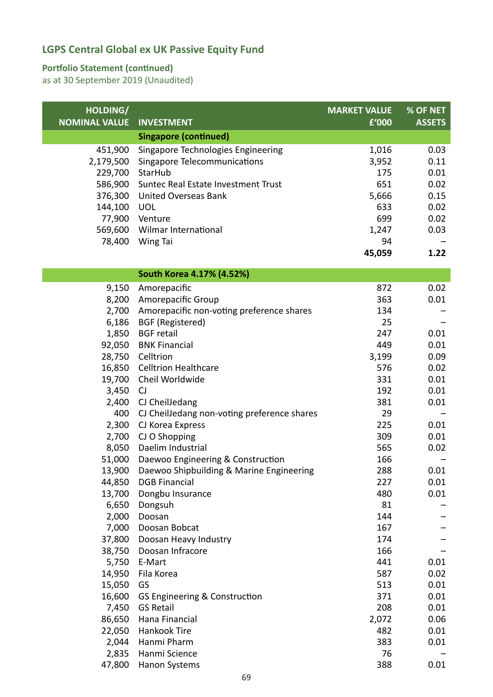### **Portfolio Statement (continued)**

| <b>NOMINAL VALUE</b><br><b>INVESTMENT</b><br>£'000<br><b>ASSETS</b><br><b>Singapore (continued)</b><br>451,900<br>Singapore Technologies Engineering<br>1,016<br>0.03<br>2,179,500<br>Singapore Telecommunications<br>3,952<br>0.11<br>229,700<br>StarHub<br>0.01<br>175<br>651<br>586,900<br>Suntec Real Estate Investment Trust<br>0.02<br>376,300<br><b>United Overseas Bank</b><br>5,666<br>0.15<br>0.02<br>144,100<br><b>UOL</b><br>633<br>699<br>0.02<br>77,900 Venture<br>569,600<br>Wilmar International<br>1,247<br>0.03<br>78,400<br>Wing Tai<br>94<br>45,059<br>1.22<br>South Korea 4.17% (4.52%)<br>872<br>0.02<br>9,150<br>Amorepacific<br>8,200<br>Amorepacific Group<br>363<br>0.01<br>Amorepacific non-voting preference shares<br>2,700<br>134<br>6,186<br><b>BGF</b> (Registered)<br>25<br>0.01<br>1,850<br><b>BGF</b> retail<br>247<br>92,050<br><b>BNK Financial</b><br>449<br>0.01<br>28,750<br>Celltrion<br>3,199<br>0.09<br>0.02<br>16,850<br><b>Celltrion Healthcare</b><br>576<br>Cheil Worldwide<br>0.01<br>19,700<br>331<br>192<br>0.01<br>3,450<br>CJ<br>CJ CheilJedang<br>381<br>0.01<br>2,400<br>400<br>CJ CheilJedang non-voting preference shares<br>29<br>2,300<br>225<br>0.01<br>CJ Korea Express<br>CJ O Shopping<br>309<br>0.01<br>2,700<br>8,050<br>Daelim Industrial<br>565<br>0.02<br>51,000<br>Daewoo Engineering & Construction<br>166<br>13,900<br>288<br>Daewoo Shipbuilding & Marine Engineering<br>0.01<br>0.01<br>44,850<br><b>DGB Financial</b><br>227<br>13,700<br>Dongbu Insurance<br>480<br>0.01<br>6,650<br>Dongsuh<br>81<br>2,000<br>Doosan<br>144<br>7,000<br>Doosan Bobcat<br>167<br>174<br>37,800<br>Doosan Heavy Industry<br>Doosan Infracore<br>166<br>38,750<br>441<br>0.01<br>5,750<br>E-Mart<br>14,950<br>Fila Korea<br>587<br>0.02<br>GS<br>513<br>0.01<br>15,050<br>0.01<br>16,600<br>GS Engineering & Construction<br>371<br>7,450<br><b>GS Retail</b><br>208<br>0.01<br>86,650<br>Hana Financial<br>2,072<br>0.06<br>22,050<br>Hankook Tire<br>482<br>0.01<br>2,044<br>Hanmi Pharm<br>383<br>0.01<br>Hanmi Science<br>2,835<br>76<br>47,800<br>388<br>0.01<br><b>Hanon Systems</b> | HOLDING/ | <b>MARKET VALUE</b> | % OF NET |
|----------------------------------------------------------------------------------------------------------------------------------------------------------------------------------------------------------------------------------------------------------------------------------------------------------------------------------------------------------------------------------------------------------------------------------------------------------------------------------------------------------------------------------------------------------------------------------------------------------------------------------------------------------------------------------------------------------------------------------------------------------------------------------------------------------------------------------------------------------------------------------------------------------------------------------------------------------------------------------------------------------------------------------------------------------------------------------------------------------------------------------------------------------------------------------------------------------------------------------------------------------------------------------------------------------------------------------------------------------------------------------------------------------------------------------------------------------------------------------------------------------------------------------------------------------------------------------------------------------------------------------------------------------------------------------------------------------------------------------------------------------------------------------------------------------------------------------------------------------------------------------------------------------------------------------------------------------------------------------------------------------------------------------------------------------------------------------------------------------------------------------------------------|----------|---------------------|----------|
|                                                                                                                                                                                                                                                                                                                                                                                                                                                                                                                                                                                                                                                                                                                                                                                                                                                                                                                                                                                                                                                                                                                                                                                                                                                                                                                                                                                                                                                                                                                                                                                                                                                                                                                                                                                                                                                                                                                                                                                                                                                                                                                                                    |          |                     |          |
|                                                                                                                                                                                                                                                                                                                                                                                                                                                                                                                                                                                                                                                                                                                                                                                                                                                                                                                                                                                                                                                                                                                                                                                                                                                                                                                                                                                                                                                                                                                                                                                                                                                                                                                                                                                                                                                                                                                                                                                                                                                                                                                                                    |          |                     |          |
|                                                                                                                                                                                                                                                                                                                                                                                                                                                                                                                                                                                                                                                                                                                                                                                                                                                                                                                                                                                                                                                                                                                                                                                                                                                                                                                                                                                                                                                                                                                                                                                                                                                                                                                                                                                                                                                                                                                                                                                                                                                                                                                                                    |          |                     |          |
|                                                                                                                                                                                                                                                                                                                                                                                                                                                                                                                                                                                                                                                                                                                                                                                                                                                                                                                                                                                                                                                                                                                                                                                                                                                                                                                                                                                                                                                                                                                                                                                                                                                                                                                                                                                                                                                                                                                                                                                                                                                                                                                                                    |          |                     |          |
|                                                                                                                                                                                                                                                                                                                                                                                                                                                                                                                                                                                                                                                                                                                                                                                                                                                                                                                                                                                                                                                                                                                                                                                                                                                                                                                                                                                                                                                                                                                                                                                                                                                                                                                                                                                                                                                                                                                                                                                                                                                                                                                                                    |          |                     |          |
|                                                                                                                                                                                                                                                                                                                                                                                                                                                                                                                                                                                                                                                                                                                                                                                                                                                                                                                                                                                                                                                                                                                                                                                                                                                                                                                                                                                                                                                                                                                                                                                                                                                                                                                                                                                                                                                                                                                                                                                                                                                                                                                                                    |          |                     |          |
|                                                                                                                                                                                                                                                                                                                                                                                                                                                                                                                                                                                                                                                                                                                                                                                                                                                                                                                                                                                                                                                                                                                                                                                                                                                                                                                                                                                                                                                                                                                                                                                                                                                                                                                                                                                                                                                                                                                                                                                                                                                                                                                                                    |          |                     |          |
|                                                                                                                                                                                                                                                                                                                                                                                                                                                                                                                                                                                                                                                                                                                                                                                                                                                                                                                                                                                                                                                                                                                                                                                                                                                                                                                                                                                                                                                                                                                                                                                                                                                                                                                                                                                                                                                                                                                                                                                                                                                                                                                                                    |          |                     |          |
|                                                                                                                                                                                                                                                                                                                                                                                                                                                                                                                                                                                                                                                                                                                                                                                                                                                                                                                                                                                                                                                                                                                                                                                                                                                                                                                                                                                                                                                                                                                                                                                                                                                                                                                                                                                                                                                                                                                                                                                                                                                                                                                                                    |          |                     |          |
|                                                                                                                                                                                                                                                                                                                                                                                                                                                                                                                                                                                                                                                                                                                                                                                                                                                                                                                                                                                                                                                                                                                                                                                                                                                                                                                                                                                                                                                                                                                                                                                                                                                                                                                                                                                                                                                                                                                                                                                                                                                                                                                                                    |          |                     |          |
|                                                                                                                                                                                                                                                                                                                                                                                                                                                                                                                                                                                                                                                                                                                                                                                                                                                                                                                                                                                                                                                                                                                                                                                                                                                                                                                                                                                                                                                                                                                                                                                                                                                                                                                                                                                                                                                                                                                                                                                                                                                                                                                                                    |          |                     |          |
|                                                                                                                                                                                                                                                                                                                                                                                                                                                                                                                                                                                                                                                                                                                                                                                                                                                                                                                                                                                                                                                                                                                                                                                                                                                                                                                                                                                                                                                                                                                                                                                                                                                                                                                                                                                                                                                                                                                                                                                                                                                                                                                                                    |          |                     |          |
|                                                                                                                                                                                                                                                                                                                                                                                                                                                                                                                                                                                                                                                                                                                                                                                                                                                                                                                                                                                                                                                                                                                                                                                                                                                                                                                                                                                                                                                                                                                                                                                                                                                                                                                                                                                                                                                                                                                                                                                                                                                                                                                                                    |          |                     |          |
|                                                                                                                                                                                                                                                                                                                                                                                                                                                                                                                                                                                                                                                                                                                                                                                                                                                                                                                                                                                                                                                                                                                                                                                                                                                                                                                                                                                                                                                                                                                                                                                                                                                                                                                                                                                                                                                                                                                                                                                                                                                                                                                                                    |          |                     |          |
|                                                                                                                                                                                                                                                                                                                                                                                                                                                                                                                                                                                                                                                                                                                                                                                                                                                                                                                                                                                                                                                                                                                                                                                                                                                                                                                                                                                                                                                                                                                                                                                                                                                                                                                                                                                                                                                                                                                                                                                                                                                                                                                                                    |          |                     |          |
|                                                                                                                                                                                                                                                                                                                                                                                                                                                                                                                                                                                                                                                                                                                                                                                                                                                                                                                                                                                                                                                                                                                                                                                                                                                                                                                                                                                                                                                                                                                                                                                                                                                                                                                                                                                                                                                                                                                                                                                                                                                                                                                                                    |          |                     |          |
|                                                                                                                                                                                                                                                                                                                                                                                                                                                                                                                                                                                                                                                                                                                                                                                                                                                                                                                                                                                                                                                                                                                                                                                                                                                                                                                                                                                                                                                                                                                                                                                                                                                                                                                                                                                                                                                                                                                                                                                                                                                                                                                                                    |          |                     |          |
|                                                                                                                                                                                                                                                                                                                                                                                                                                                                                                                                                                                                                                                                                                                                                                                                                                                                                                                                                                                                                                                                                                                                                                                                                                                                                                                                                                                                                                                                                                                                                                                                                                                                                                                                                                                                                                                                                                                                                                                                                                                                                                                                                    |          |                     |          |
|                                                                                                                                                                                                                                                                                                                                                                                                                                                                                                                                                                                                                                                                                                                                                                                                                                                                                                                                                                                                                                                                                                                                                                                                                                                                                                                                                                                                                                                                                                                                                                                                                                                                                                                                                                                                                                                                                                                                                                                                                                                                                                                                                    |          |                     |          |
|                                                                                                                                                                                                                                                                                                                                                                                                                                                                                                                                                                                                                                                                                                                                                                                                                                                                                                                                                                                                                                                                                                                                                                                                                                                                                                                                                                                                                                                                                                                                                                                                                                                                                                                                                                                                                                                                                                                                                                                                                                                                                                                                                    |          |                     |          |
|                                                                                                                                                                                                                                                                                                                                                                                                                                                                                                                                                                                                                                                                                                                                                                                                                                                                                                                                                                                                                                                                                                                                                                                                                                                                                                                                                                                                                                                                                                                                                                                                                                                                                                                                                                                                                                                                                                                                                                                                                                                                                                                                                    |          |                     |          |
|                                                                                                                                                                                                                                                                                                                                                                                                                                                                                                                                                                                                                                                                                                                                                                                                                                                                                                                                                                                                                                                                                                                                                                                                                                                                                                                                                                                                                                                                                                                                                                                                                                                                                                                                                                                                                                                                                                                                                                                                                                                                                                                                                    |          |                     |          |
|                                                                                                                                                                                                                                                                                                                                                                                                                                                                                                                                                                                                                                                                                                                                                                                                                                                                                                                                                                                                                                                                                                                                                                                                                                                                                                                                                                                                                                                                                                                                                                                                                                                                                                                                                                                                                                                                                                                                                                                                                                                                                                                                                    |          |                     |          |
|                                                                                                                                                                                                                                                                                                                                                                                                                                                                                                                                                                                                                                                                                                                                                                                                                                                                                                                                                                                                                                                                                                                                                                                                                                                                                                                                                                                                                                                                                                                                                                                                                                                                                                                                                                                                                                                                                                                                                                                                                                                                                                                                                    |          |                     |          |
|                                                                                                                                                                                                                                                                                                                                                                                                                                                                                                                                                                                                                                                                                                                                                                                                                                                                                                                                                                                                                                                                                                                                                                                                                                                                                                                                                                                                                                                                                                                                                                                                                                                                                                                                                                                                                                                                                                                                                                                                                                                                                                                                                    |          |                     |          |
|                                                                                                                                                                                                                                                                                                                                                                                                                                                                                                                                                                                                                                                                                                                                                                                                                                                                                                                                                                                                                                                                                                                                                                                                                                                                                                                                                                                                                                                                                                                                                                                                                                                                                                                                                                                                                                                                                                                                                                                                                                                                                                                                                    |          |                     |          |
|                                                                                                                                                                                                                                                                                                                                                                                                                                                                                                                                                                                                                                                                                                                                                                                                                                                                                                                                                                                                                                                                                                                                                                                                                                                                                                                                                                                                                                                                                                                                                                                                                                                                                                                                                                                                                                                                                                                                                                                                                                                                                                                                                    |          |                     |          |
|                                                                                                                                                                                                                                                                                                                                                                                                                                                                                                                                                                                                                                                                                                                                                                                                                                                                                                                                                                                                                                                                                                                                                                                                                                                                                                                                                                                                                                                                                                                                                                                                                                                                                                                                                                                                                                                                                                                                                                                                                                                                                                                                                    |          |                     |          |
|                                                                                                                                                                                                                                                                                                                                                                                                                                                                                                                                                                                                                                                                                                                                                                                                                                                                                                                                                                                                                                                                                                                                                                                                                                                                                                                                                                                                                                                                                                                                                                                                                                                                                                                                                                                                                                                                                                                                                                                                                                                                                                                                                    |          |                     |          |
|                                                                                                                                                                                                                                                                                                                                                                                                                                                                                                                                                                                                                                                                                                                                                                                                                                                                                                                                                                                                                                                                                                                                                                                                                                                                                                                                                                                                                                                                                                                                                                                                                                                                                                                                                                                                                                                                                                                                                                                                                                                                                                                                                    |          |                     |          |
|                                                                                                                                                                                                                                                                                                                                                                                                                                                                                                                                                                                                                                                                                                                                                                                                                                                                                                                                                                                                                                                                                                                                                                                                                                                                                                                                                                                                                                                                                                                                                                                                                                                                                                                                                                                                                                                                                                                                                                                                                                                                                                                                                    |          |                     |          |
|                                                                                                                                                                                                                                                                                                                                                                                                                                                                                                                                                                                                                                                                                                                                                                                                                                                                                                                                                                                                                                                                                                                                                                                                                                                                                                                                                                                                                                                                                                                                                                                                                                                                                                                                                                                                                                                                                                                                                                                                                                                                                                                                                    |          |                     |          |
|                                                                                                                                                                                                                                                                                                                                                                                                                                                                                                                                                                                                                                                                                                                                                                                                                                                                                                                                                                                                                                                                                                                                                                                                                                                                                                                                                                                                                                                                                                                                                                                                                                                                                                                                                                                                                                                                                                                                                                                                                                                                                                                                                    |          |                     |          |
|                                                                                                                                                                                                                                                                                                                                                                                                                                                                                                                                                                                                                                                                                                                                                                                                                                                                                                                                                                                                                                                                                                                                                                                                                                                                                                                                                                                                                                                                                                                                                                                                                                                                                                                                                                                                                                                                                                                                                                                                                                                                                                                                                    |          |                     |          |
|                                                                                                                                                                                                                                                                                                                                                                                                                                                                                                                                                                                                                                                                                                                                                                                                                                                                                                                                                                                                                                                                                                                                                                                                                                                                                                                                                                                                                                                                                                                                                                                                                                                                                                                                                                                                                                                                                                                                                                                                                                                                                                                                                    |          |                     |          |
|                                                                                                                                                                                                                                                                                                                                                                                                                                                                                                                                                                                                                                                                                                                                                                                                                                                                                                                                                                                                                                                                                                                                                                                                                                                                                                                                                                                                                                                                                                                                                                                                                                                                                                                                                                                                                                                                                                                                                                                                                                                                                                                                                    |          |                     |          |
|                                                                                                                                                                                                                                                                                                                                                                                                                                                                                                                                                                                                                                                                                                                                                                                                                                                                                                                                                                                                                                                                                                                                                                                                                                                                                                                                                                                                                                                                                                                                                                                                                                                                                                                                                                                                                                                                                                                                                                                                                                                                                                                                                    |          |                     |          |
|                                                                                                                                                                                                                                                                                                                                                                                                                                                                                                                                                                                                                                                                                                                                                                                                                                                                                                                                                                                                                                                                                                                                                                                                                                                                                                                                                                                                                                                                                                                                                                                                                                                                                                                                                                                                                                                                                                                                                                                                                                                                                                                                                    |          |                     |          |
|                                                                                                                                                                                                                                                                                                                                                                                                                                                                                                                                                                                                                                                                                                                                                                                                                                                                                                                                                                                                                                                                                                                                                                                                                                                                                                                                                                                                                                                                                                                                                                                                                                                                                                                                                                                                                                                                                                                                                                                                                                                                                                                                                    |          |                     |          |
|                                                                                                                                                                                                                                                                                                                                                                                                                                                                                                                                                                                                                                                                                                                                                                                                                                                                                                                                                                                                                                                                                                                                                                                                                                                                                                                                                                                                                                                                                                                                                                                                                                                                                                                                                                                                                                                                                                                                                                                                                                                                                                                                                    |          |                     |          |
|                                                                                                                                                                                                                                                                                                                                                                                                                                                                                                                                                                                                                                                                                                                                                                                                                                                                                                                                                                                                                                                                                                                                                                                                                                                                                                                                                                                                                                                                                                                                                                                                                                                                                                                                                                                                                                                                                                                                                                                                                                                                                                                                                    |          |                     |          |
|                                                                                                                                                                                                                                                                                                                                                                                                                                                                                                                                                                                                                                                                                                                                                                                                                                                                                                                                                                                                                                                                                                                                                                                                                                                                                                                                                                                                                                                                                                                                                                                                                                                                                                                                                                                                                                                                                                                                                                                                                                                                                                                                                    |          |                     |          |
|                                                                                                                                                                                                                                                                                                                                                                                                                                                                                                                                                                                                                                                                                                                                                                                                                                                                                                                                                                                                                                                                                                                                                                                                                                                                                                                                                                                                                                                                                                                                                                                                                                                                                                                                                                                                                                                                                                                                                                                                                                                                                                                                                    |          |                     |          |
|                                                                                                                                                                                                                                                                                                                                                                                                                                                                                                                                                                                                                                                                                                                                                                                                                                                                                                                                                                                                                                                                                                                                                                                                                                                                                                                                                                                                                                                                                                                                                                                                                                                                                                                                                                                                                                                                                                                                                                                                                                                                                                                                                    |          |                     |          |
|                                                                                                                                                                                                                                                                                                                                                                                                                                                                                                                                                                                                                                                                                                                                                                                                                                                                                                                                                                                                                                                                                                                                                                                                                                                                                                                                                                                                                                                                                                                                                                                                                                                                                                                                                                                                                                                                                                                                                                                                                                                                                                                                                    |          |                     |          |
|                                                                                                                                                                                                                                                                                                                                                                                                                                                                                                                                                                                                                                                                                                                                                                                                                                                                                                                                                                                                                                                                                                                                                                                                                                                                                                                                                                                                                                                                                                                                                                                                                                                                                                                                                                                                                                                                                                                                                                                                                                                                                                                                                    |          |                     |          |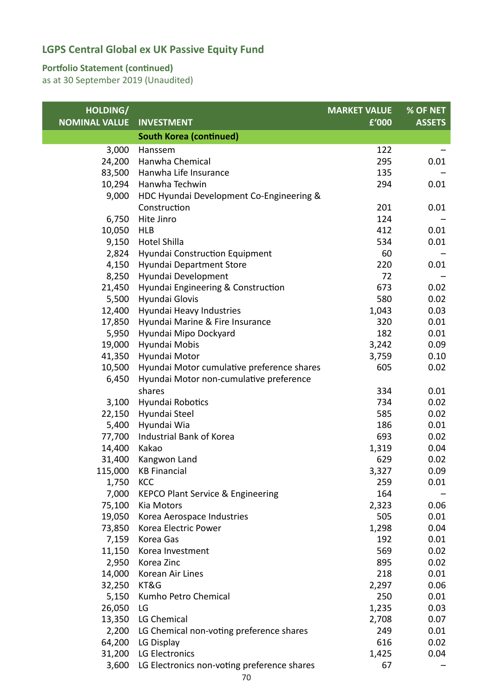### **Portfolio Statement (continued)**

| HOLDING/             |                                              | <b>MARKET VALUE</b> | % OF NET      |
|----------------------|----------------------------------------------|---------------------|---------------|
| <b>NOMINAL VALUE</b> | <b>INVESTMENT</b>                            | £'000               | <b>ASSETS</b> |
|                      | <b>South Korea (continued)</b>               |                     |               |
| 3,000                | Hanssem                                      | 122                 |               |
| 24,200               | Hanwha Chemical                              | 295                 | 0.01          |
| 83,500               | Hanwha Life Insurance                        | 135                 |               |
| 10,294               | Hanwha Techwin                               | 294                 | 0.01          |
| 9,000                | HDC Hyundai Development Co-Engineering &     |                     |               |
|                      | Construction                                 | 201                 | 0.01          |
| 6,750                | Hite Jinro                                   | 124                 |               |
| 10,050               | <b>HLB</b>                                   | 412                 | 0.01          |
| 9,150                | <b>Hotel Shilla</b>                          | 534                 | 0.01          |
| 2,824                | Hyundai Construction Equipment               | 60                  |               |
| 4,150                | Hyundai Department Store                     | 220                 | 0.01          |
| 8,250                | Hyundai Development                          | 72                  |               |
| 21,450               | Hyundai Engineering & Construction           | 673                 | 0.02          |
| 5,500                | Hyundai Glovis                               | 580                 | 0.02          |
| 12,400               | Hyundai Heavy Industries                     | 1,043               | 0.03          |
| 17,850               | Hyundai Marine & Fire Insurance              | 320                 | 0.01          |
| 5,950                | Hyundai Mipo Dockyard                        | 182                 | 0.01          |
| 19,000               | Hyundai Mobis                                | 3,242               | 0.09          |
| 41,350               | Hyundai Motor                                | 3,759               | 0.10          |
| 10,500               | Hyundai Motor cumulative preference shares   | 605                 | 0.02          |
| 6,450                | Hyundai Motor non-cumulative preference      |                     |               |
|                      | shares                                       | 334                 | 0.01          |
| 3,100                | Hyundai Robotics                             | 734                 | 0.02          |
| 22,150               | Hyundai Steel                                | 585                 | 0.02          |
| 5,400                | Hyundai Wia                                  | 186                 | 0.01          |
| 77,700               | Industrial Bank of Korea                     | 693                 | 0.02          |
| 14,400               | Kakao                                        | 1,319               | 0.04          |
| 31,400               | Kangwon Land                                 | 629                 | 0.02          |
| 115,000              | <b>KB Financial</b>                          | 3,327               | 0.09          |
| 1,750                | KCC                                          | 259                 | 0.01          |
| 7,000                | <b>KEPCO Plant Service &amp; Engineering</b> | 164                 |               |
| 75,100               | Kia Motors                                   | 2,323               | 0.06          |
| 19,050               | Korea Aerospace Industries                   | 505                 | 0.01          |
| 73,850               | Korea Electric Power                         | 1,298               | 0.04          |
| 7,159                | Korea Gas                                    | 192                 | 0.01          |
| 11,150               | Korea Investment                             | 569                 | 0.02          |
| 2,950                | Korea Zinc                                   | 895                 | 0.02          |
| 14,000               | Korean Air Lines                             | 218                 | 0.01          |
| 32,250               | KT&G                                         | 2,297               | 0.06          |
| 5,150                | Kumho Petro Chemical                         | 250                 | 0.01          |
| 26,050               | LG                                           | 1,235               | 0.03          |
| 13,350               | LG Chemical                                  | 2,708               | 0.07          |
| 2,200                | LG Chemical non-voting preference shares     | 249                 | 0.01          |
| 64,200               | LG Display                                   | 616                 | 0.02          |
| 31,200               | LG Electronics                               | 1,425               | 0.04          |
| 3,600                | LG Electronics non-voting preference shares  | 67                  |               |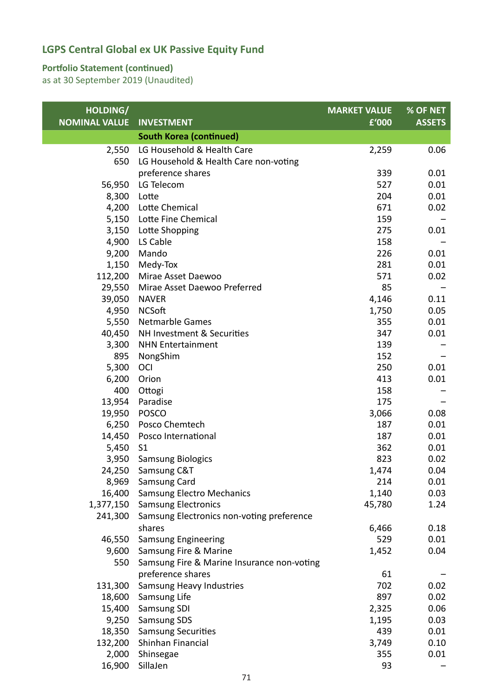### **Portfolio Statement (continued)**

| HOLDING/             |                                                | <b>MARKET VALUE</b> | % OF NET      |
|----------------------|------------------------------------------------|---------------------|---------------|
| <b>NOMINAL VALUE</b> | <b>INVESTMENT</b>                              | £'000               | <b>ASSETS</b> |
|                      | <b>South Korea (continued)</b>                 |                     |               |
| 2,550                | LG Household & Health Care                     | 2,259               | 0.06          |
| 650                  | LG Household & Health Care non-voting          |                     |               |
|                      | preference shares                              | 339                 | 0.01          |
| 56,950               | LG Telecom                                     | 527                 | 0.01          |
| 8,300                | Lotte                                          | 204                 | 0.01          |
| 4,200                | Lotte Chemical                                 | 671                 | 0.02          |
| 5,150                | Lotte Fine Chemical                            | 159                 |               |
| 3,150                | Lotte Shopping                                 | 275                 | 0.01          |
| 4,900                | LS Cable                                       | 158                 |               |
| 9,200                | Mando                                          | 226                 | 0.01          |
| 1,150                | Medy-Tox                                       | 281                 | 0.01          |
| 112,200              | Mirae Asset Daewoo                             | 571                 | 0.02          |
| 29,550               | Mirae Asset Daewoo Preferred                   | 85                  |               |
| 39,050               | <b>NAVER</b>                                   | 4,146               | 0.11          |
| 4,950                | <b>NCSoft</b>                                  | 1,750               | 0.05          |
| 5,550                | <b>Netmarble Games</b>                         | 355                 | 0.01          |
| 40,450               | NH Investment & Securities                     | 347                 | 0.01          |
| 3,300                | <b>NHN Entertainment</b>                       | 139                 |               |
| 895                  | NongShim                                       | 152                 |               |
| 5,300                | <b>OCI</b>                                     | 250                 | 0.01          |
| 6,200                | Orion                                          | 413                 | 0.01          |
| 400                  | Ottogi                                         | 158                 |               |
| 13,954               | Paradise                                       | 175                 |               |
| 19,950               | <b>POSCO</b>                                   | 3,066               | 0.08          |
| 6,250                | Posco Chemtech                                 | 187                 | 0.01          |
| 14,450               | Posco International                            | 187                 | 0.01          |
| 5,450                | S <sub>1</sub>                                 | 362                 | 0.01          |
| 3,950                | <b>Samsung Biologics</b>                       | 823                 | 0.02          |
|                      | 24,250 Samsung C&T                             | 1,474               | 0.04          |
|                      | 8,969 Samsung Card                             | 214                 | 0.01          |
| 16,400               | <b>Samsung Electro Mechanics</b>               | 1,140               | 0.03          |
| 1,377,150            | <b>Samsung Electronics</b>                     | 45,780              | 1.24          |
| 241,300              | Samsung Electronics non-voting preference      |                     |               |
|                      | shares                                         | 6,466               | 0.18          |
| 46,550               | <b>Samsung Engineering</b>                     | 529                 | 0.01          |
| 9,600                | Samsung Fire & Marine                          | 1,452               | 0.04          |
| 550                  | Samsung Fire & Marine Insurance non-voting     |                     |               |
|                      | preference shares                              | 61                  |               |
| 131,300              | Samsung Heavy Industries                       | 702<br>897          | 0.02          |
| 18,600               | Samsung Life                                   |                     | 0.02          |
| 15,400               | Samsung SDI                                    | 2,325               | 0.06          |
| 9,250<br>18,350      | <b>Samsung SDS</b>                             | 1,195<br>439        | 0.03<br>0.01  |
| 132,200              | <b>Samsung Securities</b><br>Shinhan Financial | 3,749               | 0.10          |
| 2,000                | Shinsegae                                      | 355                 | 0.01          |
| 16,900               | SillaJen                                       | 93                  |               |
|                      |                                                |                     |               |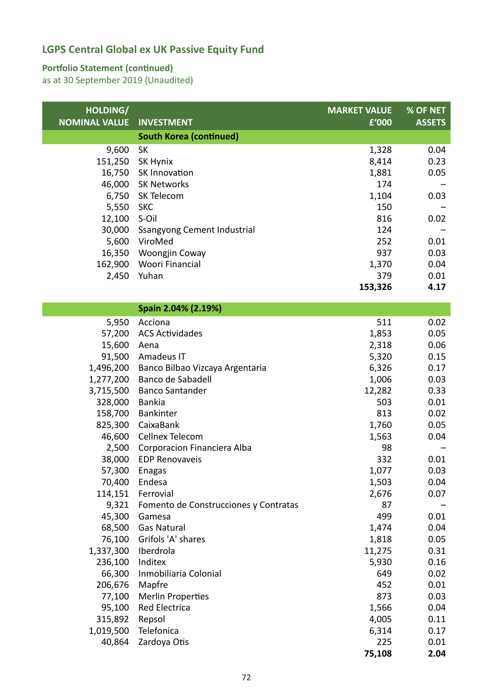### **Portfolio Statement (continued)**

| HOLDING/             |                                       | <b>MARKET VALUE</b> | % OF NET      |
|----------------------|---------------------------------------|---------------------|---------------|
| <b>NOMINAL VALUE</b> | <b>INVESTMENT</b>                     | £'000               | <b>ASSETS</b> |
|                      | <b>South Korea (continued)</b>        |                     |               |
| 9,600                | <b>SK</b>                             | 1,328               | 0.04          |
| 151,250              | SK Hynix                              | 8,414               | 0.23          |
| 16,750               | SK Innovation                         | 1,881               | 0.05          |
| 46,000               | <b>SK Networks</b>                    | 174                 |               |
| 6,750                | SK Telecom                            | 1,104               | 0.03          |
| 5,550                | <b>SKC</b>                            | 150                 |               |
| 12,100               | S-Oil                                 | 816                 | 0.02          |
| 30,000               | <b>Ssangyong Cement Industrial</b>    | 124                 |               |
| 5,600                | ViroMed                               | 252                 | 0.01          |
| 16,350               | Woongjin Coway                        | 937                 | 0.03          |
| 162,900              | Woori Financial                       | 1,370               | 0.04          |
| 2,450                | Yuhan                                 | 379                 | 0.01          |
|                      |                                       | 153,326             | 4.17          |
|                      | Spain 2.04% (2.19%)                   |                     |               |
| 5,950                | Acciona                               | 511                 | 0.02          |
| 57,200               | <b>ACS Actividades</b>                | 1,853               | 0.05          |
| 15,600               | Aena                                  | 2,318               | 0.06          |
| 91,500               | Amadeus IT                            | 5,320               | 0.15          |
| 1,496,200            | Banco Bilbao Vizcaya Argentaria       | 6,326               | 0.17          |
| 1,277,200            | Banco de Sabadell                     | 1,006               | 0.03          |
| 3,715,500            | <b>Banco Santander</b>                | 12,282              | 0.33          |
| 328,000              | <b>Bankia</b>                         | 503                 | 0.01          |
| 158,700              | Bankinter                             | 813                 | 0.02          |
| 825,300              | CaixaBank                             | 1,760               | 0.05          |
| 46,600               | Cellnex Telecom                       | 1,563               | 0.04          |
| 2,500                | Corporacion Financiera Alba           | 98                  |               |
| 38,000               | <b>EDP Renovaveis</b>                 | 332                 | 0.01          |
|                      | 57,300 Enagas                         | 1,077               | 0.03          |
| 70,400               | Endesa                                | 1,503               | 0.04          |
| 114,151              | Ferrovial                             | 2,676               | 0.07          |
| 9,321                | Fomento de Construcciones y Contratas | 87                  |               |
| 45,300               | Gamesa                                | 499                 | 0.01          |
| 68,500               | <b>Gas Natural</b>                    | 1,474               | 0.04          |
| 76,100               | Grifols 'A' shares                    | 1,818               | 0.05          |
| 1,337,300            | Iberdrola                             | 11,275              | 0.31          |
| 236,100              | Inditex                               | 5,930               | 0.16          |
| 66,300               | Inmobiliaria Colonial                 | 649                 | 0.02          |
| 206,676              | Mapfre                                | 452                 | 0.01          |
| 77,100               | <b>Merlin Properties</b>              | 873                 | 0.03          |
| 95,100               | <b>Red Electrica</b>                  | 1,566               | 0.04          |
| 315,892              | Repsol                                | 4,005               | 0.11          |
| 1,019,500            | Telefonica                            | 6,314               | 0.17          |
| 40,864               | Zardoya Otis                          | 225                 | 0.01<br>2.04  |
|                      |                                       | 75,108              |               |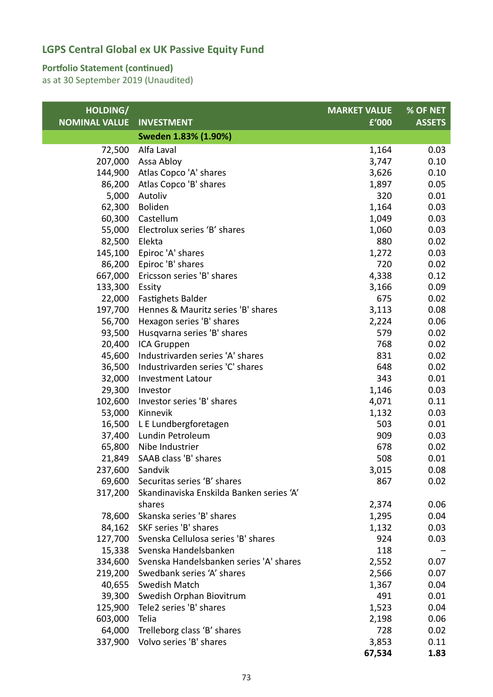### **Portfolio Statement (continued)**

| HOLDING/             |                                          | <b>MARKET VALUE</b> | % OF NET      |
|----------------------|------------------------------------------|---------------------|---------------|
| <b>NOMINAL VALUE</b> | <b>INVESTMENT</b>                        | £'000               | <b>ASSETS</b> |
|                      | Sweden 1.83% (1.90%)                     |                     |               |
| 72,500               | Alfa Laval                               | 1,164               | 0.03          |
| 207,000              | Assa Abloy                               | 3,747               | 0.10          |
| 144,900              | Atlas Copco 'A' shares                   | 3,626               | 0.10          |
| 86,200               | Atlas Copco 'B' shares                   | 1,897               | 0.05          |
| 5,000                | Autoliv                                  | 320                 | 0.01          |
| 62,300               | Boliden                                  | 1,164               | 0.03          |
| 60,300               | Castellum                                | 1,049               | 0.03          |
| 55,000               | Electrolux series 'B' shares             | 1,060               | 0.03          |
| 82,500               | Elekta                                   | 880                 | 0.02          |
| 145,100              | Epiroc 'A' shares                        | 1,272               | 0.03          |
| 86,200               | Epiroc 'B' shares                        | 720                 | 0.02          |
| 667,000              | Ericsson series 'B' shares               | 4,338               | 0.12          |
| 133,300 Essity       |                                          | 3,166               | 0.09          |
| 22,000               | <b>Fastighets Balder</b>                 | 675                 | 0.02          |
| 197,700              | Hennes & Mauritz series 'B' shares       | 3,113               | 0.08          |
| 56,700               | Hexagon series 'B' shares                | 2,224               | 0.06          |
| 93,500               | Husqvarna series 'B' shares              | 579                 | 0.02          |
| 20,400               | ICA Gruppen                              | 768                 | 0.02          |
| 45,600               | Industrivarden series 'A' shares         | 831                 | 0.02          |
| 36,500               | Industrivarden series 'C' shares         | 648                 | 0.02          |
| 32,000               | <b>Investment Latour</b>                 | 343                 | 0.01          |
| 29,300               | Investor                                 | 1,146               | 0.03          |
| 102,600              | Investor series 'B' shares               | 4,071               | 0.11          |
| 53,000               | Kinnevik                                 | 1,132               | 0.03          |
| 16,500               | L E Lundbergforetagen                    | 503                 | 0.01          |
| 37,400               | Lundin Petroleum                         | 909                 | 0.03          |
|                      | 65,800 Nibe Industrier                   | 678                 | 0.02          |
| 21,849               | SAAB class 'B' shares                    | 508                 | 0.01          |
| 237,600              | Sandvik                                  | 3,015               | 0.08          |
|                      | 69,600 Securitas series 'B' shares       | 867                 | 0.02          |
| 317,200              | Skandinaviska Enskilda Banken series 'A' |                     |               |
|                      | shares                                   | 2,374               | 0.06          |
| 78,600               | Skanska series 'B' shares                | 1,295               | 0.04          |
| 84,162               | SKF series 'B' shares                    | 1,132               | 0.03          |
| 127,700              | Svenska Cellulosa series 'B' shares      | 924                 | 0.03          |
|                      | 15,338 Svenska Handelsbanken             | 118                 |               |
| 334,600              | Svenska Handelsbanken series 'A' shares  | 2,552               | 0.07          |
| 219,200              | Swedbank series 'A' shares               | 2,566               | 0.07          |
| 40,655               | Swedish Match                            | 1,367               | 0.04          |
| 39,300               | Swedish Orphan Biovitrum                 | 491                 | 0.01          |
| 125,900              | Tele2 series 'B' shares                  | 1,523               | 0.04          |
| 603,000              | Telia                                    | 2,198               | 0.06          |
| 64,000               | Trelleborg class 'B' shares              | 728                 | 0.02          |
| 337,900              | Volvo series 'B' shares                  | 3,853               | 0.11          |
|                      |                                          | 67,534              | 1.83          |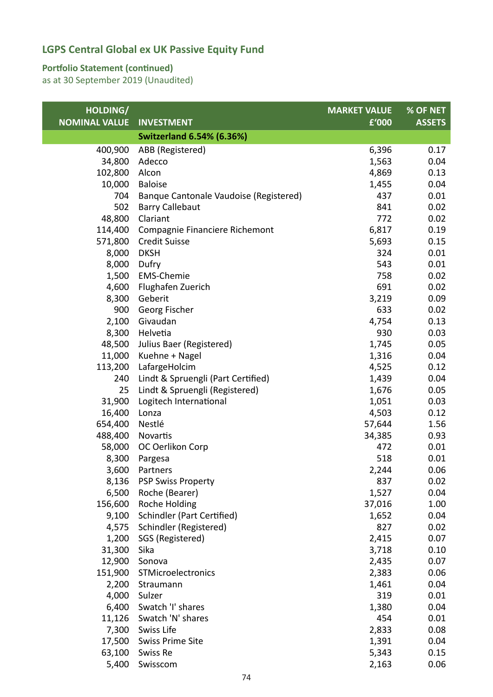#### **Portfolio Statement (continued)**

| HOLDING/             |                                        | <b>MARKET VALUE</b> | % OF NET      |
|----------------------|----------------------------------------|---------------------|---------------|
| <b>NOMINAL VALUE</b> | <b>INVESTMENT</b>                      | £'000               | <b>ASSETS</b> |
|                      | <b>Switzerland 6.54% (6.36%)</b>       |                     |               |
| 400,900              | ABB (Registered)                       | 6,396               | 0.17          |
| 34,800               | Adecco                                 | 1,563               | 0.04          |
| 102,800              | Alcon                                  | 4,869               | 0.13          |
| 10,000               | <b>Baloise</b>                         | 1,455               | 0.04          |
| 704                  | Banque Cantonale Vaudoise (Registered) | 437                 | 0.01          |
| 502                  | <b>Barry Callebaut</b>                 | 841                 | 0.02          |
| 48,800               | Clariant                               | 772                 | 0.02          |
| 114,400              | Compagnie Financiere Richemont         | 6,817               | 0.19          |
| 571,800              | <b>Credit Suisse</b>                   | 5,693               | 0.15          |
| 8,000                | <b>DKSH</b>                            | 324                 | 0.01          |
| 8,000                | Dufry                                  | 543                 | 0.01          |
| 1,500                | <b>EMS-Chemie</b>                      | 758                 | 0.02          |
| 4,600                | Flughafen Zuerich                      | 691                 | 0.02          |
| 8,300                | Geberit                                | 3,219               | 0.09          |
| 900                  | Georg Fischer                          | 633                 | 0.02          |
| 2,100                | Givaudan                               | 4,754               | 0.13          |
| 8,300                | Helvetia                               | 930                 | 0.03          |
| 48,500               | Julius Baer (Registered)               | 1,745               | 0.05          |
| 11,000               | Kuehne + Nagel                         | 1,316               | 0.04          |
| 113,200              | LafargeHolcim                          | 4,525               | 0.12          |
| 240                  | Lindt & Spruengli (Part Certified)     | 1,439               | 0.04          |
| 25                   | Lindt & Spruengli (Registered)         | 1,676               | 0.05          |
| 31,900               | Logitech International                 | 1,051               | 0.03          |
| 16,400               | Lonza                                  | 4,503               | 0.12          |
| 654,400              | Nestlé                                 | 57,644              | 1.56          |
| 488,400              | Novartis                               | 34,385              | 0.93          |
| 58,000               | OC Oerlikon Corp                       | 472                 | 0.01          |
| 8,300                | Pargesa                                | 518                 | 0.01          |
| 3,600                | Partners                               | 2,244               | 0.06          |
| 8,136                | <b>PSP Swiss Property</b>              | 837                 | 0.02          |
| 6,500                | Roche (Bearer)                         | 1,527               | 0.04          |
| 156,600              | Roche Holding                          | 37,016              | 1.00          |
| 9,100                | <b>Schindler (Part Certified)</b>      | 1,652               | 0.04          |
| 4,575                | Schindler (Registered)                 | 827                 | 0.02          |
| 1,200                | SGS (Registered)                       | 2,415               | 0.07          |
| 31,300               | Sika                                   | 3,718               | 0.10          |
| 12,900               | Sonova                                 | 2,435               | 0.07          |
| 151,900              | STMicroelectronics                     | 2,383               | 0.06          |
| 2,200                | Straumann                              | 1,461               | 0.04          |
| 4,000                | Sulzer                                 | 319                 | 0.01          |
| 6,400                | Swatch 'I' shares                      | 1,380               | 0.04          |
| 11,126               | Swatch 'N' shares                      | 454                 | 0.01          |
| 7,300                | Swiss Life                             | 2,833               | 0.08          |
| 17,500               | <b>Swiss Prime Site</b>                | 1,391               | 0.04          |
| 63,100               | Swiss Re                               | 5,343               | 0.15          |
| 5,400                | Swisscom                               | 2,163               | 0.06          |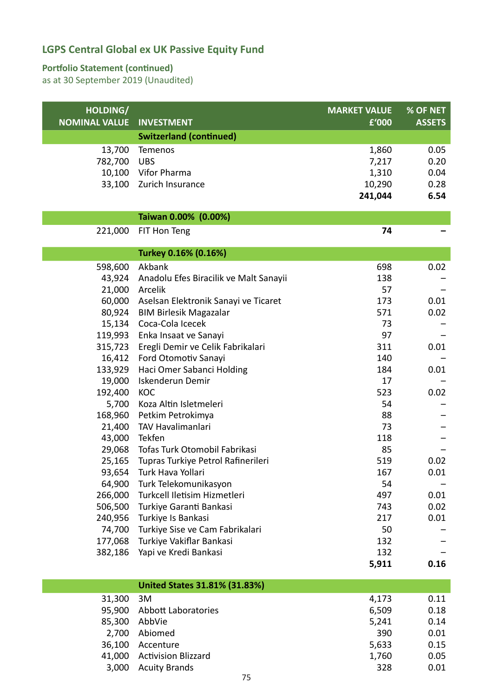#### **Portfolio Statement (continued)**

as at 30 September 2019 (Unaudited)

| HOLDING/             |                                               | <b>MARKET VALUE</b> | % OF NET      |
|----------------------|-----------------------------------------------|---------------------|---------------|
| <b>NOMINAL VALUE</b> | <b>INVESTMENT</b>                             | £'000               | <b>ASSETS</b> |
|                      | <b>Switzerland (continued)</b>                |                     |               |
| 13,700               | Temenos                                       | 1,860               | 0.05          |
| 782,700              | <b>UBS</b>                                    | 7,217               | 0.20          |
| 10,100               | Vifor Pharma                                  | 1,310               | 0.04          |
| 33,100               | Zurich Insurance                              | 10,290              | 0.28          |
|                      |                                               | 241,044             | 6.54          |
|                      | Taiwan 0.00% (0.00%)                          |                     |               |
| 221,000              | FIT Hon Teng                                  | 74                  |               |
|                      |                                               |                     |               |
|                      | Turkey 0.16% (0.16%)                          |                     |               |
| 598,600              | Akbank                                        | 698                 | 0.02          |
| 43,924               | Anadolu Efes Biracilik ve Malt Sanayii        | 138                 |               |
| 21,000               | Arcelik                                       | 57                  |               |
| 60,000               | Aselsan Elektronik Sanayi ve Ticaret          | 173                 | 0.01          |
| 80,924               | <b>BIM Birlesik Magazalar</b>                 | 571                 | 0.02          |
| 15,134               | Coca-Cola Icecek                              | 73                  |               |
| 119,993              | Enka Insaat ve Sanayi                         | 97                  |               |
| 315,723              | Eregli Demir ve Celik Fabrikalari             | 311                 | 0.01          |
| 16,412<br>133,929    | Ford Otomotiv Sanayi                          | 140<br>184          | 0.01          |
| 19,000               | Haci Omer Sabanci Holding<br>Iskenderun Demir | 17                  |               |
| 192,400              | <b>KOC</b>                                    | 523                 | 0.02          |
| 5,700                | Koza Altin Isletmeleri                        | 54                  |               |
| 168,960              | Petkim Petrokimya                             | 88                  |               |
| 21,400               | <b>TAV Havalimanlari</b>                      | 73                  |               |
| 43,000               | Tekfen                                        | 118                 |               |
| 29,068               | Tofas Turk Otomobil Fabrikasi                 | 85                  |               |
| 25,165               | Tupras Turkiye Petrol Rafinerileri            | 519                 | 0.02          |
| 93,654               | Turk Hava Yollari                             | 167                 | 0.01          |
| 64,900               | Turk Telekomunikasyon                         | 54                  |               |
| 266,000              | Turkcell Iletisim Hizmetleri                  | 497                 | 0.01          |
| 506,500              | Turkiye Garanti Bankasi                       | 743                 | 0.02          |
| 240,956              | Turkiye Is Bankasi                            | 217                 | 0.01          |
| 74,700               | Turkiye Sise ve Cam Fabrikalari               | 50                  |               |
| 177,068              | Turkiye Vakiflar Bankasi                      | 132                 |               |
| 382,186              | Yapi ve Kredi Bankasi                         | 132                 |               |
|                      |                                               | 5,911               | 0.16          |
|                      | <b>United States 31.81% (31.83%)</b>          |                     |               |
| 31,300               | 3M                                            | 4,173               | 0.11          |
| 95,900               | Abbott Laboratories                           | 6,509               | 0.18          |
| 85,300               | AbbVie                                        | 5,241               | 0.14          |
| 2,700                | Abiomed                                       | 390                 | 0.01          |

36,100 Accenture 5,633 0.15 41,000 Activision Blizzard 1,760 0.05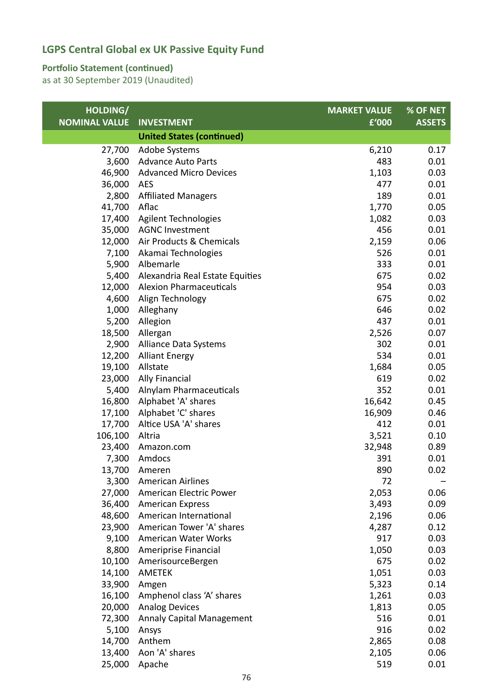#### **Portfolio Statement (continued)**

| HOLDING/             |                                  | <b>MARKET VALUE</b> | % OF NET      |
|----------------------|----------------------------------|---------------------|---------------|
| <b>NOMINAL VALUE</b> | <b>INVESTMENT</b>                | £'000               | <b>ASSETS</b> |
|                      | <b>United States (continued)</b> |                     |               |
| 27,700               | Adobe Systems                    | 6,210               | 0.17          |
| 3,600                | <b>Advance Auto Parts</b>        | 483                 | 0.01          |
| 46,900               | <b>Advanced Micro Devices</b>    | 1,103               | 0.03          |
| 36,000               | <b>AES</b>                       | 477                 | 0.01          |
| 2,800                | <b>Affiliated Managers</b>       | 189                 | 0.01          |
| 41,700               | Aflac                            | 1,770               | 0.05          |
| 17,400               | Agilent Technologies             | 1,082               | 0.03          |
| 35,000               | <b>AGNC Investment</b>           | 456                 | 0.01          |
| 12,000               | Air Products & Chemicals         | 2,159               | 0.06          |
| 7,100                | Akamai Technologies              | 526                 | 0.01          |
| 5,900                | Albemarle                        | 333                 | 0.01          |
| 5,400                | Alexandria Real Estate Equities  | 675                 | 0.02          |
| 12,000               | <b>Alexion Pharmaceuticals</b>   | 954                 | 0.03          |
| 4,600                | Align Technology                 | 675                 | 0.02          |
| 1,000                | Alleghany                        | 646                 | 0.02          |
| 5,200                | Allegion                         | 437                 | 0.01          |
| 18,500               | Allergan                         | 2,526               | 0.07          |
| 2,900                | Alliance Data Systems            | 302                 | 0.01          |
| 12,200               | <b>Alliant Energy</b>            | 534                 | 0.01          |
| 19,100               | Allstate                         | 1,684               | 0.05          |
| 23,000               | <b>Ally Financial</b>            | 619                 | 0.02          |
| 5,400                | Alnylam Pharmaceuticals          | 352                 | 0.01          |
| 16,800               | Alphabet 'A' shares              | 16,642              | 0.45          |
| 17,100               | Alphabet 'C' shares              | 16,909              | 0.46          |
| 17,700               | Altice USA 'A' shares            | 412                 | 0.01          |
| 106,100              | Altria                           | 3,521               | 0.10          |
| 23,400               | Amazon.com                       | 32,948              | 0.89          |
| 7,300                | Amdocs                           | 391                 | 0.01          |
|                      | 13,700 Ameren                    | 890                 | 0.02          |
|                      | 3,300 American Airlines          | 72                  |               |
| 27,000               | American Electric Power          | 2,053               | 0.06          |
| 36,400               | <b>American Express</b>          | 3,493               | 0.09          |
| 48,600               | American International           | 2,196               | 0.06          |
| 23,900               | American Tower 'A' shares        | 4,287               | 0.12          |
| 9,100                | American Water Works             | 917                 | 0.03          |
| 8,800                | Ameriprise Financial             | 1,050               | 0.03          |
| 10,100               | AmerisourceBergen                | 675                 | 0.02          |
| 14,100               | <b>AMETEK</b>                    | 1,051               | 0.03          |
| 33,900               | Amgen                            | 5,323               | 0.14          |
| 16,100               | Amphenol class 'A' shares        | 1,261               | 0.03          |
| 20,000               | <b>Analog Devices</b>            | 1,813               | 0.05          |
| 72,300               | <b>Annaly Capital Management</b> | 516                 | 0.01          |
| 5,100                | Ansys                            | 916                 | 0.02          |
| 14,700               | Anthem                           | 2,865               | 0.08          |
| 13,400               | Aon 'A' shares                   | 2,105               | 0.06          |
| 25,000               | Apache                           | 519                 | 0.01          |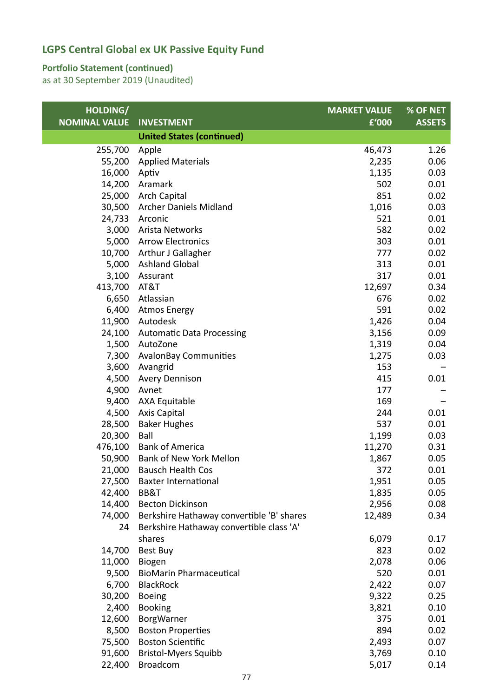#### **Portfolio Statement (continued)**

| HOLDING/             |                                           | <b>MARKET VALUE</b> | % OF NET      |
|----------------------|-------------------------------------------|---------------------|---------------|
| <b>NOMINAL VALUE</b> | <b>INVESTMENT</b>                         | £'000               | <b>ASSETS</b> |
|                      | <b>United States (continued)</b>          |                     |               |
| 255,700              | Apple                                     | 46,473              | 1.26          |
| 55,200               | <b>Applied Materials</b>                  | 2,235               | 0.06          |
| 16,000               | Aptiv                                     | 1,135               | 0.03          |
| 14,200               | Aramark                                   | 502                 | 0.01          |
| 25,000               | <b>Arch Capital</b>                       | 851                 | 0.02          |
|                      | 30,500 Archer Daniels Midland             | 1,016               | 0.03          |
| 24,733               | Arconic                                   | 521                 | 0.01          |
| 3,000                | Arista Networks                           | 582                 | 0.02          |
| 5,000                | <b>Arrow Electronics</b>                  | 303                 | 0.01          |
|                      | 10,700 Arthur J Gallagher                 | 777                 | 0.02          |
| 5,000                | <b>Ashland Global</b>                     | 313                 | 0.01          |
| 3,100                | Assurant                                  | 317                 | 0.01          |
| 413,700              | AT&T                                      | 12,697              | 0.34          |
| 6,650                | Atlassian                                 | 676                 | 0.02          |
| 6,400                | <b>Atmos Energy</b>                       | 591                 | 0.02          |
| 11,900               | Autodesk                                  | 1,426               | 0.04          |
| 24,100               | <b>Automatic Data Processing</b>          | 3,156               | 0.09          |
| 1,500                | AutoZone                                  | 1,319               | 0.04          |
| 7,300                | <b>AvalonBay Communities</b>              | 1,275               | 0.03          |
| 3,600                | Avangrid                                  | 153                 |               |
| 4,500                | <b>Avery Dennison</b>                     | 415                 | 0.01          |
| 4,900                | Avnet                                     | 177                 |               |
| 9,400                | <b>AXA Equitable</b>                      | 169                 |               |
| 4,500                | <b>Axis Capital</b>                       | 244                 | 0.01          |
| 28,500               | <b>Baker Hughes</b>                       | 537                 | 0.01          |
| 20,300               | Ball                                      | 1,199               | 0.03          |
| 476,100              | <b>Bank of America</b>                    | 11,270              | 0.31          |
| 50,900               | Bank of New York Mellon                   | 1,867               | 0.05          |
| 21,000               | Bausch Health Cos                         | 372                 | 0.01          |
| 27,500               | <b>Baxter International</b>               | 1,951               | 0.05          |
| 42,400               | BB&T                                      | 1,835               | 0.05          |
| 14,400               | <b>Becton Dickinson</b>                   | 2,956               | 0.08          |
| 74,000               | Berkshire Hathaway convertible 'B' shares | 12,489              | 0.34          |
| 24                   | Berkshire Hathaway convertible class 'A'  |                     |               |
|                      | shares                                    | 6,079               | 0.17          |
| 14,700               | Best Buy                                  | 823                 | 0.02          |
| 11,000               | Biogen                                    | 2,078               | 0.06          |
| 9,500                | <b>BioMarin Pharmaceutical</b>            | 520                 | 0.01          |
| 6,700                | <b>BlackRock</b>                          | 2,422               | 0.07          |
| 30,200               | <b>Boeing</b>                             | 9,322               | 0.25          |
| 2,400                | <b>Booking</b>                            | 3,821               | 0.10          |
| 12,600               | BorgWarner                                | 375                 | 0.01          |
| 8,500                | <b>Boston Properties</b>                  | 894                 | 0.02          |
| 75,500               | <b>Boston Scientific</b>                  | 2,493               | 0.07          |
| 91,600               | <b>Bristol-Myers Squibb</b>               | 3,769               | 0.10          |
| 22,400               | Broadcom                                  | 5,017               | 0.14          |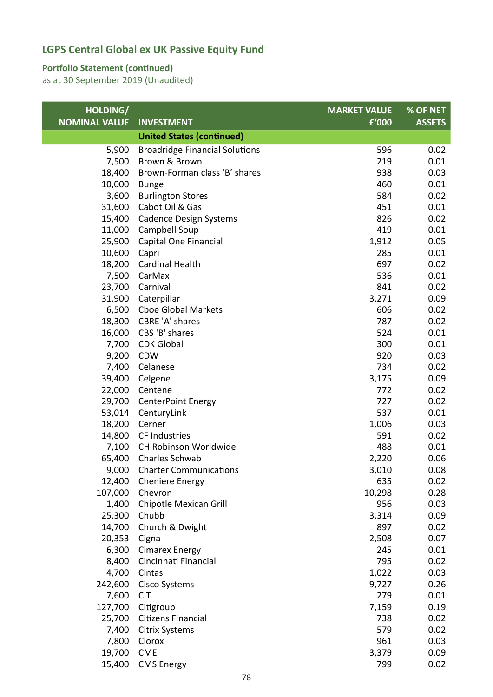### **Portfolio Statement (continued)**

| HOLDING/             |                                       | <b>MARKET VALUE</b> | % OF NET      |
|----------------------|---------------------------------------|---------------------|---------------|
| <b>NOMINAL VALUE</b> | <b>INVESTMENT</b>                     | £'000               | <b>ASSETS</b> |
|                      | <b>United States (continued)</b>      |                     |               |
| 5,900                | <b>Broadridge Financial Solutions</b> | 596                 | 0.02          |
| 7,500                | Brown & Brown                         | 219                 | 0.01          |
| 18,400               | Brown-Forman class 'B' shares         | 938                 | 0.03          |
| 10,000               | <b>Bunge</b>                          | 460                 | 0.01          |
| 3,600                | <b>Burlington Stores</b>              | 584                 | 0.02          |
| 31,600               | Cabot Oil & Gas                       | 451                 | 0.01          |
| 15,400               | <b>Cadence Design Systems</b>         | 826                 | 0.02          |
| 11,000               | Campbell Soup                         | 419                 | 0.01          |
| 25,900               | Capital One Financial                 | 1,912               | 0.05          |
| 10,600               | Capri                                 | 285                 | 0.01          |
| 18,200               | <b>Cardinal Health</b>                | 697                 | 0.02          |
| 7,500                | CarMax                                | 536                 | 0.01          |
| 23,700               | Carnival                              | 841                 | 0.02          |
| 31,900               | Caterpillar                           | 3,271               | 0.09          |
| 6,500                | Cboe Global Markets                   | 606                 | 0.02          |
| 18,300               | CBRE 'A' shares                       | 787                 | 0.02          |
| 16,000               | CBS 'B' shares                        | 524                 | 0.01          |
| 7,700                | <b>CDK Global</b>                     | 300                 | 0.01          |
| 9,200                | <b>CDW</b>                            | 920                 | 0.03          |
| 7,400                | Celanese                              | 734                 | 0.02          |
| 39,400               | Celgene                               | 3,175               | 0.09          |
| 22,000               | Centene                               | 772                 | 0.02          |
| 29,700               | CenterPoint Energy                    | 727                 | 0.02          |
| 53,014               | CenturyLink                           | 537                 | 0.01          |
| 18,200               | Cerner                                | 1,006               | 0.03          |
| 14,800               | CF Industries                         | 591                 | 0.02          |
| 7,100                | CH Robinson Worldwide                 | 488                 | 0.01          |
| 65,400               | Charles Schwab                        | 2,220               | 0.06          |
| 9,000                | <b>Charter Communications</b>         | 3,010               | 0.08          |
| 12,400               | <b>Cheniere Energy</b>                | 635                 | 0.02          |
| 107,000              | Chevron                               | 10,298              | 0.28          |
| 1,400                | Chipotle Mexican Grill                | 956                 | 0.03          |
| 25,300<br>14,700     | Chubb                                 | 3,314<br>897        | 0.09          |
| 20,353               | Church & Dwight<br>Cigna              | 2,508               | 0.02<br>0.07  |
| 6,300                | <b>Cimarex Energy</b>                 | 245                 | 0.01          |
| 8,400                | Cincinnati Financial                  | 795                 | 0.02          |
| 4,700                | Cintas                                | 1,022               | 0.03          |
| 242,600              | <b>Cisco Systems</b>                  | 9,727               | 0.26          |
| 7,600                | <b>CIT</b>                            | 279                 | 0.01          |
| 127,700              | Citigroup                             | 7,159               | 0.19          |
| 25,700               | Citizens Financial                    | 738                 | 0.02          |
| 7,400                | <b>Citrix Systems</b>                 | 579                 | 0.02          |
| 7,800                | Clorox                                | 961                 | 0.03          |
| 19,700               | <b>CME</b>                            | 3,379               | 0.09          |
| 15,400               | <b>CMS Energy</b>                     | 799                 | 0.02          |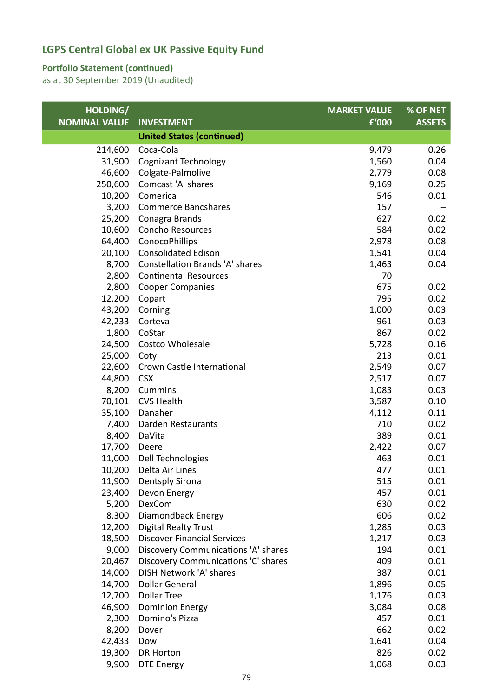### **Portfolio Statement (continued)**

| HOLDING/             |                                        | <b>MARKET VALUE</b> | % OF NET      |
|----------------------|----------------------------------------|---------------------|---------------|
| <b>NOMINAL VALUE</b> | <b>INVESTMENT</b>                      | £'000               | <b>ASSETS</b> |
|                      | <b>United States (continued)</b>       |                     |               |
| 214,600              | Coca-Cola                              | 9,479               | 0.26          |
| 31,900               | Cognizant Technology                   | 1,560               | 0.04          |
| 46,600               | Colgate-Palmolive                      | 2,779               | 0.08          |
| 250,600              | Comcast 'A' shares                     | 9,169               | 0.25          |
| 10,200               | Comerica                               | 546                 | 0.01          |
| 3,200                | <b>Commerce Bancshares</b>             | 157                 |               |
|                      | 25,200 Conagra Brands                  | 627                 | 0.02          |
| 10,600               | <b>Concho Resources</b>                | 584                 | 0.02          |
| 64,400               | ConocoPhillips                         | 2,978               | 0.08          |
| 20,100               | <b>Consolidated Edison</b>             | 1,541               | 0.04          |
| 8,700                | <b>Constellation Brands 'A' shares</b> | 1,463               | 0.04          |
| 2,800                | <b>Continental Resources</b>           | 70                  |               |
| 2,800                | <b>Cooper Companies</b>                | 675                 | 0.02          |
|                      | 12,200 Copart                          | 795                 | 0.02          |
| 43,200               | Corning                                | 1,000               | 0.03          |
| 42,233               | Corteva                                | 961                 | 0.03          |
| 1,800                | CoStar                                 | 867                 | 0.02          |
| 24,500               | Costco Wholesale                       | 5,728               | 0.16          |
| 25,000               | Coty                                   | 213                 | 0.01          |
| 22,600               | Crown Castle International             | 2,549               | 0.07          |
| 44,800               | <b>CSX</b>                             | 2,517               | 0.07          |
| 8,200                | <b>Cummins</b>                         | 1,083               | 0.03          |
| 70,101               | <b>CVS Health</b>                      | 3,587               | 0.10          |
| 35,100               | Danaher                                | 4,112               | 0.11          |
| 7,400                | Darden Restaurants                     | 710                 | 0.02          |
| 8,400                | DaVita                                 | 389                 | 0.01          |
| 17,700               | Deere                                  | 2,422               | 0.07          |
| 11,000               | Dell Technologies                      | 463                 | 0.01          |
| 10,200               | Delta Air Lines                        | 477                 | 0.01          |
| 11,900               | Dentsply Sirona                        | 515                 | 0.01          |
| 23,400               | Devon Energy                           | 457                 | 0.01          |
| 5,200                | <b>DexCom</b>                          | 630                 | 0.02          |
| 8,300                | Diamondback Energy                     | 606                 | 0.02          |
| 12,200               | <b>Digital Realty Trust</b>            | 1,285               | 0.03          |
| 18,500               | <b>Discover Financial Services</b>     | 1,217               | 0.03          |
| 9,000                | Discovery Communications 'A' shares    | 194                 | 0.01          |
| 20,467               | Discovery Communications 'C' shares    | 409                 | 0.01          |
| 14,000               | DISH Network 'A' shares                | 387                 | 0.01          |
| 14,700               | <b>Dollar General</b>                  | 1,896               | 0.05          |
| 12,700               | <b>Dollar Tree</b>                     | 1,176               | 0.03          |
| 46,900               | <b>Dominion Energy</b>                 | 3,084               | 0.08          |
| 2,300                | Domino's Pizza                         | 457                 | 0.01          |
| 8,200                | Dover                                  | 662                 | 0.02          |
| 42,433               | Dow                                    | 1,641               | 0.04          |
| 19,300               | <b>DR Horton</b>                       | 826                 | 0.02          |
| 9,900                | <b>DTE Energy</b>                      | 1,068               | 0.03          |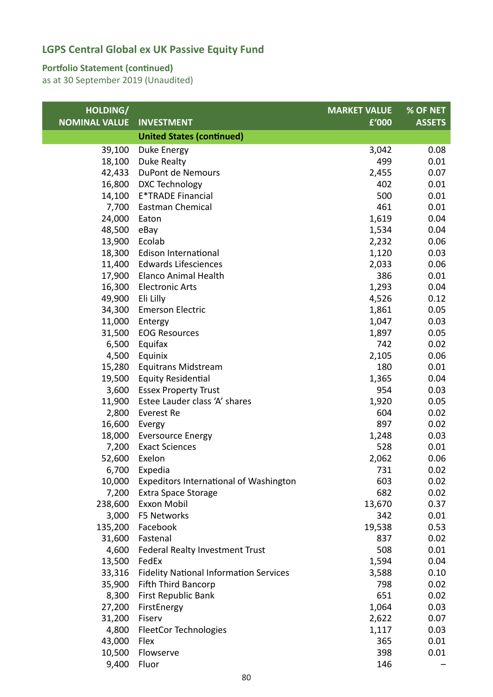#### **Portfolio Statement (continued)**

| HOLDING/             |                                               | <b>MARKET VALUE</b> | % OF NET      |
|----------------------|-----------------------------------------------|---------------------|---------------|
| <b>NOMINAL VALUE</b> | <b>INVESTMENT</b>                             | £'000               | <b>ASSETS</b> |
|                      | <b>United States (continued)</b>              |                     |               |
| 39,100               | Duke Energy                                   | 3,042               | 0.08          |
| 18,100               | Duke Realty                                   | 499                 | 0.01          |
| 42,433               | DuPont de Nemours                             | 2,455               | 0.07          |
| 16,800               | DXC Technology                                | 402                 | 0.01          |
| 14,100               | <b>E*TRADE Financial</b>                      | 500                 | 0.01          |
| 7,700                | Eastman Chemical                              | 461                 | 0.01          |
| 24,000               | Eaton                                         | 1,619               | 0.04          |
| 48,500               | eBay                                          | 1,534               | 0.04          |
| 13,900               | Ecolab                                        | 2,232               | 0.06          |
| 18,300               | Edison International                          | 1,120               | 0.03          |
| 11,400               | <b>Edwards Lifesciences</b>                   | 2,033               | 0.06          |
| 17,900               | <b>Elanco Animal Health</b>                   | 386                 | 0.01          |
| 16,300               | <b>Electronic Arts</b>                        | 1,293               | 0.04          |
| 49,900               | Eli Lilly                                     | 4,526               | 0.12          |
| 34,300               | <b>Emerson Electric</b>                       | 1,861               | 0.05          |
| 11,000               | Entergy                                       | 1,047               | 0.03          |
| 31,500               | <b>EOG Resources</b>                          | 1,897               | 0.05          |
| 6,500                | Equifax                                       | 742                 | 0.02          |
| 4,500                | Equinix                                       | 2,105               | 0.06          |
| 15,280               | Equitrans Midstream                           | 180                 | 0.01          |
| 19,500               | <b>Equity Residential</b>                     | 1,365               | 0.04          |
| 3,600                | <b>Essex Property Trust</b>                   | 954                 | 0.03          |
| 11,900               | Estee Lauder class 'A' shares                 | 1,920               | 0.05          |
| 2,800                | Everest Re                                    | 604                 | 0.02          |
| 16,600               | Evergy                                        | 897                 | 0.02          |
| 18,000               | <b>Eversource Energy</b>                      | 1,248               | 0.03          |
| 7,200                | <b>Exact Sciences</b>                         | 528                 | 0.01          |
| 52,600               | Exelon                                        | 2,062               | 0.06          |
| 6,700                | Expedia                                       | 731                 | 0.02          |
|                      | 10,000 Expeditors International of Washington | 603                 | 0.02          |
| 7,200                | <b>Extra Space Storage</b>                    | 682                 | 0.02          |
| 238,600              | Exxon Mobil                                   | 13,670              | 0.37          |
| 3,000                | F5 Networks                                   | 342                 | 0.01          |
| 135,200              | Facebook                                      | 19,538              | 0.53          |
| 31,600               | Fastenal                                      | 837                 | 0.02          |
| 4,600                | Federal Realty Investment Trust               | 508                 | 0.01          |
| 13,500               | FedEx                                         | 1,594               | 0.04          |
|                      |                                               | 3,588               | 0.10          |
| 33,316               | <b>Fidelity National Information Services</b> |                     |               |
| 35,900               | <b>Fifth Third Bancorp</b>                    | 798                 | 0.02          |
| 8,300                | First Republic Bank                           | 651                 | 0.02          |
| 27,200               | FirstEnergy                                   | 1,064               | 0.03          |
| 31,200               | Fiserv                                        | 2,622               | 0.07          |
| 4,800                | <b>FleetCor Technologies</b>                  | 1,117               | 0.03          |
| 43,000               | Flex                                          | 365                 | 0.01          |
| 10,500               | Flowserve                                     | 398                 | 0.01          |
| 9,400                | Fluor                                         | 146                 |               |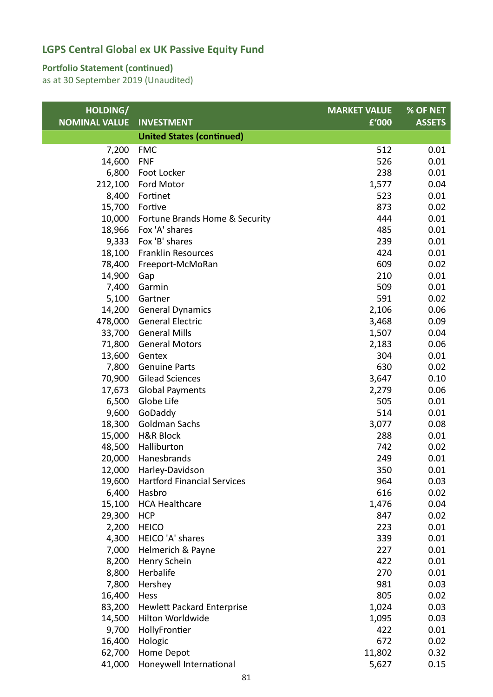#### **Portfolio Statement (continued)**

| HOLDING/             |                                    | <b>MARKET VALUE</b> | % OF NET      |
|----------------------|------------------------------------|---------------------|---------------|
| <b>NOMINAL VALUE</b> | <b>INVESTMENT</b>                  | £'000               | <b>ASSETS</b> |
|                      | <b>United States (continued)</b>   |                     |               |
| 7,200                | <b>FMC</b>                         | 512                 | 0.01          |
| 14,600               | <b>FNF</b>                         | 526                 | 0.01          |
| 6,800                | Foot Locker                        | 238                 | 0.01          |
| 212,100              | Ford Motor                         | 1,577               | 0.04          |
| 8,400                | Fortinet                           | 523                 | 0.01          |
| 15,700               | Fortive                            | 873                 | 0.02          |
| 10,000               | Fortune Brands Home & Security     | 444                 | 0.01          |
| 18,966               | Fox 'A' shares                     | 485                 | 0.01          |
| 9,333                | Fox 'B' shares                     | 239                 | 0.01          |
| 18,100               | <b>Franklin Resources</b>          | 424                 | 0.01          |
| 78,400               | Freeport-McMoRan                   | 609                 | 0.02          |
| 14,900               | Gap                                | 210                 | 0.01          |
| 7,400                | Garmin                             | 509                 | 0.01          |
| 5,100                | Gartner                            | 591                 | 0.02          |
| 14,200               | <b>General Dynamics</b>            | 2,106               | 0.06          |
| 478,000              | <b>General Electric</b>            | 3,468               | 0.09          |
| 33,700               | <b>General Mills</b>               | 1,507               | 0.04          |
| 71,800               | <b>General Motors</b>              | 2,183               | 0.06          |
| 13,600               | Gentex                             | 304                 | 0.01          |
| 7,800                | <b>Genuine Parts</b>               | 630                 | 0.02          |
| 70,900               | <b>Gilead Sciences</b>             | 3,647               | 0.10          |
| 17,673               | <b>Global Payments</b>             | 2,279               | 0.06          |
| 6,500                | Globe Life                         | 505                 | 0.01          |
| 9,600                | GoDaddy                            | 514                 | 0.01          |
| 18,300               | <b>Goldman Sachs</b>               | 3,077               | 0.08          |
| 15,000               | <b>H&amp;R Block</b>               | 288                 | 0.01          |
| 48,500               | Halliburton                        | 742                 | 0.02          |
| 20,000               | Hanesbrands                        | 249                 | 0.01          |
| 12,000               | Harley-Davidson                    | 350                 | 0.01          |
| 19,600               | <b>Hartford Financial Services</b> | 964                 | 0.03          |
| 6,400                | Hasbro                             | 616                 | 0.02          |
| 15,100               | <b>HCA Healthcare</b>              | 1,476               | 0.04          |
| 29,300               | <b>HCP</b>                         | 847                 | 0.02          |
| 2,200                | <b>HEICO</b>                       | 223                 | 0.01          |
| 4,300                | HEICO 'A' shares                   | 339                 | 0.01          |
| 7,000                | Helmerich & Payne                  | 227                 | 0.01          |
| 8,200                | Henry Schein                       | 422                 | 0.01          |
| 8,800                | Herbalife                          | 270                 | 0.01          |
| 7,800                | Hershey                            | 981                 | 0.03          |
| 16,400               | Hess                               | 805                 | 0.02          |
| 83,200               | <b>Hewlett Packard Enterprise</b>  | 1,024               | 0.03          |
| 14,500               | Hilton Worldwide                   | 1,095               | 0.03          |
| 9,700                | HollyFrontier                      | 422                 | 0.01          |
| 16,400               | Hologic                            | 672                 | 0.02          |
| 62,700               | Home Depot                         | 11,802              | 0.32          |
| 41,000               | Honeywell International            | 5,627               | 0.15          |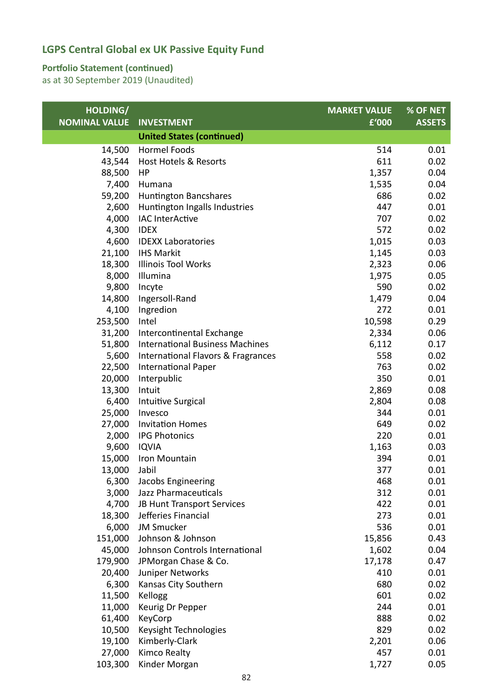#### **Portfolio Statement (continued)**

| HOLDING/             |                                        | <b>MARKET VALUE</b> | % OF NET      |
|----------------------|----------------------------------------|---------------------|---------------|
| <b>NOMINAL VALUE</b> | <b>INVESTMENT</b>                      | £'000               | <b>ASSETS</b> |
|                      | <b>United States (continued)</b>       |                     |               |
| 14,500               | <b>Hormel Foods</b>                    | 514                 | 0.01          |
| 43,544               | Host Hotels & Resorts                  | 611                 | 0.02          |
| 88,500               | HP                                     | 1,357               | 0.04          |
| 7,400                | Humana                                 | 1,535               | 0.04          |
| 59,200               | <b>Huntington Bancshares</b>           | 686                 | 0.02          |
| 2,600                | Huntington Ingalls Industries          | 447                 | 0.01          |
| 4,000                | <b>IAC InterActive</b>                 | 707                 | 0.02          |
| 4,300                | <b>IDEX</b>                            | 572                 | 0.02          |
| 4,600                | <b>IDEXX Laboratories</b>              | 1,015               | 0.03          |
| 21,100               | <b>IHS Markit</b>                      | 1,145               | 0.03          |
| 18,300               | <b>Illinois Tool Works</b>             | 2,323               | 0.06          |
| 8,000                | Illumina                               | 1,975               | 0.05          |
| 9,800                | Incyte                                 | 590                 | 0.02          |
| 14,800               | Ingersoll-Rand                         | 1,479               | 0.04          |
| 4,100                | Ingredion                              | 272                 | 0.01          |
| 253,500              | Intel                                  | 10,598              | 0.29          |
| 31,200               | Intercontinental Exchange              | 2,334               | 0.06          |
| 51,800               | <b>International Business Machines</b> | 6,112               | 0.17          |
| 5,600                | International Flavors & Fragrances     | 558                 | 0.02          |
| 22,500               | <b>International Paper</b>             | 763                 | 0.02          |
| 20,000               | Interpublic                            | 350                 | 0.01          |
| 13,300               | Intuit                                 | 2,869               | 0.08          |
| 6,400                | Intuitive Surgical                     | 2,804               | 0.08          |
| 25,000               | Invesco                                | 344                 | 0.01          |
| 27,000               | <b>Invitation Homes</b>                | 649                 | 0.02          |
| 2,000                | <b>IPG Photonics</b>                   | 220                 | 0.01          |
| 9,600                | <b>IQVIA</b>                           | 1,163               | 0.03          |
| 15,000               | Iron Mountain                          | 394                 | 0.01          |
| 13,000               | Jabil                                  | 377                 | 0.01          |
| 6,300                | Jacobs Engineering                     | 468                 | 0.01          |
| 3,000                | Jazz Pharmaceuticals                   | 312                 | 0.01          |
| 4,700                | JB Hunt Transport Services             | 422                 | 0.01          |
| 18,300               | Jefferies Financial                    | 273                 | 0.01          |
| 6,000                | <b>JM Smucker</b>                      | 536                 | 0.01          |
| 151,000              | Johnson & Johnson                      | 15,856              | 0.43          |
| 45,000               | Johnson Controls International         | 1,602               | 0.04          |
| 179,900              | JPMorgan Chase & Co.                   | 17,178              | 0.47          |
| 20,400               | Juniper Networks                       | 410                 | 0.01          |
| 6,300                | Kansas City Southern                   | 680                 | 0.02          |
| 11,500               | Kellogg                                | 601                 | 0.02          |
| 11,000               | Keurig Dr Pepper                       | 244                 | 0.01          |
| 61,400               | KeyCorp                                | 888                 | 0.02          |
| 10,500               | Keysight Technologies                  | 829                 | 0.02          |
| 19,100               | Kimberly-Clark                         | 2,201               | 0.06          |
| 27,000               | <b>Kimco Realty</b>                    | 457                 | 0.01          |
| 103,300              | Kinder Morgan                          | 1,727               | 0.05          |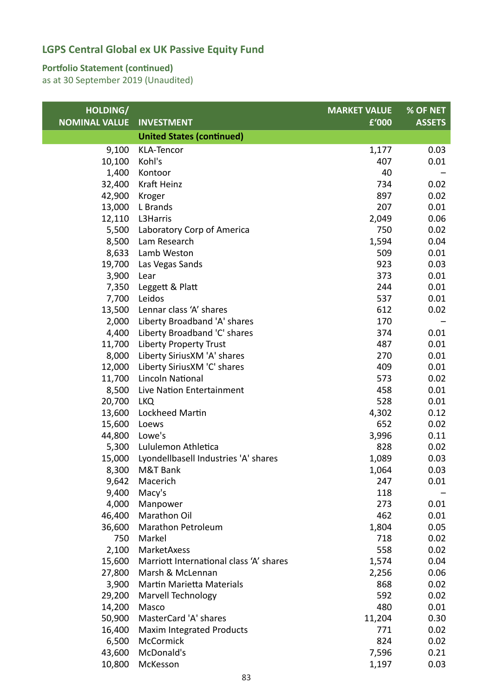#### **Portfolio Statement (continued)**

| HOLDING/             |                                         | <b>MARKET VALUE</b> | % OF NET      |
|----------------------|-----------------------------------------|---------------------|---------------|
| <b>NOMINAL VALUE</b> | <b>INVESTMENT</b>                       | £'000               | <b>ASSETS</b> |
|                      | <b>United States (continued)</b>        |                     |               |
| 9,100                | KLA-Tencor                              | 1,177               | 0.03          |
| 10,100               | Kohl's                                  | 407                 | 0.01          |
| 1,400                | Kontoor                                 | 40                  |               |
| 32,400               | Kraft Heinz                             | 734                 | 0.02          |
| 42,900               | Kroger                                  | 897                 | 0.02          |
| 13,000               | L Brands                                | 207                 | 0.01          |
| 12,110               | L3Harris                                | 2,049               | 0.06          |
| 5,500                | Laboratory Corp of America              | 750                 | 0.02          |
| 8,500                | Lam Research                            | 1,594               | 0.04          |
| 8,633                | Lamb Weston                             | 509                 | 0.01          |
| 19,700               | Las Vegas Sands                         | 923                 | 0.03          |
| 3,900                | Lear                                    | 373                 | 0.01          |
| 7,350                | Leggett & Platt                         | 244                 | 0.01          |
| 7,700                | Leidos                                  | 537                 | 0.01          |
| 13,500               | Lennar class 'A' shares                 | 612                 | 0.02          |
| 2,000                | Liberty Broadband 'A' shares            | 170                 |               |
| 4,400                | Liberty Broadband 'C' shares            | 374                 | 0.01          |
| 11,700               | <b>Liberty Property Trust</b>           | 487                 | 0.01          |
| 8,000                | Liberty SiriusXM 'A' shares             | 270                 | 0.01          |
| 12,000               | Liberty Sirius XM 'C' shares            | 409                 | 0.01          |
| 11,700               | <b>Lincoln National</b>                 | 573                 | 0.02          |
| 8,500                | Live Nation Entertainment               | 458                 | 0.01          |
| 20,700               | <b>LKQ</b>                              | 528                 | 0.01          |
| 13,600               | Lockheed Martin                         | 4,302               | 0.12          |
| 15,600               | Loews                                   | 652                 | 0.02          |
| 44,800               | Lowe's                                  | 3,996               | 0.11          |
| 5,300                | Lululemon Athletica                     | 828                 | 0.02          |
| 15,000               | Lyondellbasell Industries 'A' shares    | 1,089               | 0.03          |
| 8,300                | M&T Bank                                | 1,064               | 0.03          |
| 9,642                | Macerich                                | 247                 | 0.01          |
| 9,400                | Macy's                                  | 118                 |               |
| 4,000                | Manpower                                | 273                 | 0.01          |
| 46,400               | Marathon Oil                            | 462                 | 0.01          |
| 36,600               | Marathon Petroleum                      | 1,804               | 0.05          |
| 750                  | Markel                                  | 718                 | 0.02          |
| 2,100                | MarketAxess                             | 558                 | 0.02          |
| 15,600               | Marriott International class 'A' shares | 1,574               | 0.04          |
| 27,800               | Marsh & McLennan                        | 2,256               | 0.06          |
| 3,900                | Martin Marietta Materials               | 868                 | 0.02          |
| 29,200               | Marvell Technology                      | 592                 | 0.02          |
| 14,200               | Masco                                   | 480                 | 0.01          |
| 50,900               | MasterCard 'A' shares                   | 11,204              | 0.30          |
| 16,400               | <b>Maxim Integrated Products</b>        | 771                 | 0.02          |
| 6,500                | McCormick                               | 824                 | 0.02          |
| 43,600               | McDonald's                              | 7,596               | 0.21          |
| 10,800               | McKesson                                | 1,197               | 0.03          |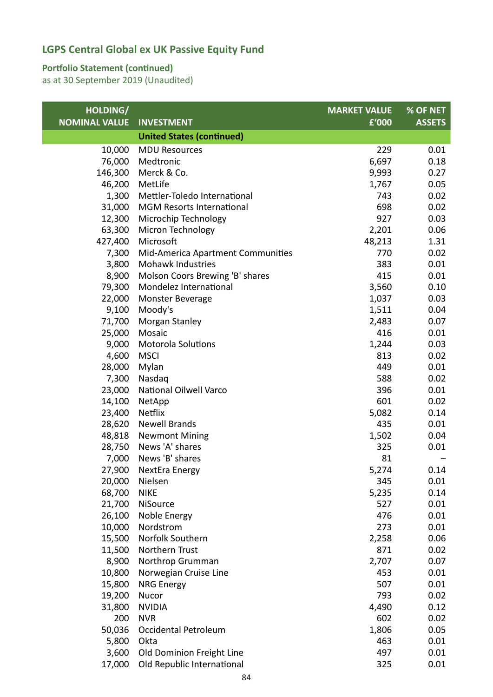#### **Portfolio Statement (continued)**

| HOLDING/             |                                   | <b>MARKET VALUE</b> | % OF NET      |
|----------------------|-----------------------------------|---------------------|---------------|
| <b>NOMINAL VALUE</b> | <b>INVESTMENT</b>                 | £'000               | <b>ASSETS</b> |
|                      | <b>United States (continued)</b>  |                     |               |
| 10,000               | <b>MDU Resources</b>              | 229                 | 0.01          |
| 76,000               | Medtronic                         | 6,697               | 0.18          |
| 146,300              | Merck & Co.                       | 9,993               | 0.27          |
| 46,200               | MetLife                           | 1,767               | 0.05          |
| 1,300                | Mettler-Toledo International      | 743                 | 0.02          |
| 31,000               | <b>MGM Resorts International</b>  | 698                 | 0.02          |
| 12,300               | Microchip Technology              | 927                 | 0.03          |
| 63,300               | Micron Technology                 | 2,201               | 0.06          |
| 427,400              | Microsoft                         | 48,213              | 1.31          |
| 7,300                | Mid-America Apartment Communities | 770                 | 0.02          |
| 3,800                | Mohawk Industries                 | 383                 | 0.01          |
| 8,900                | Molson Coors Brewing 'B' shares   | 415                 | 0.01          |
| 79,300               | Mondelez International            | 3,560               | 0.10          |
| 22,000               | Monster Beverage                  | 1,037               | 0.03          |
| 9,100                | Moody's                           | 1,511               | 0.04          |
| 71,700               | Morgan Stanley                    | 2,483               | 0.07          |
| 25,000               | Mosaic                            | 416                 | 0.01          |
| 9,000                | <b>Motorola Solutions</b>         | 1,244               | 0.03          |
| 4,600                | <b>MSCI</b>                       | 813                 | 0.02          |
| 28,000               | Mylan                             | 449                 | 0.01          |
| 7,300                | Nasdaq                            | 588                 | 0.02          |
| 23,000               | National Oilwell Varco            | 396                 | 0.01          |
| 14,100               | NetApp                            | 601                 | 0.02          |
| 23,400               | <b>Netflix</b>                    | 5,082               | 0.14          |
| 28,620               | <b>Newell Brands</b>              | 435                 | 0.01          |
| 48,818               | <b>Newmont Mining</b>             | 1,502               | 0.04          |
| 28,750               | News 'A' shares                   | 325                 | 0.01          |
| 7,000                | News 'B' shares                   | 81                  |               |
| 27,900               | NextEra Energy                    | 5,274               | 0.14          |
| 20,000               | Nielsen                           | 345                 | 0.01          |
| 68,700               | <b>NIKE</b>                       | 5,235               | 0.14          |
| 21,700               | NiSource                          | 527                 | 0.01          |
| 26,100               | Noble Energy                      | 476                 | 0.01          |
| 10,000               | Nordstrom                         | 273                 | 0.01          |
| 15,500               | Norfolk Southern                  | 2,258               | 0.06          |
| 11,500               | Northern Trust                    | 871                 | 0.02          |
| 8,900                | Northrop Grumman                  | 2,707               | 0.07          |
| 10,800               | Norwegian Cruise Line             | 453                 | 0.01          |
| 15,800               | <b>NRG Energy</b>                 | 507                 | 0.01          |
| 19,200               | Nucor                             | 793                 | 0.02          |
| 31,800               | <b>NVIDIA</b>                     | 4,490               | 0.12          |
| 200                  | <b>NVR</b>                        | 602                 | 0.02          |
| 50,036               | Occidental Petroleum              | 1,806               | 0.05          |
| 5,800                | Okta                              | 463                 | 0.01          |
| 3,600                | Old Dominion Freight Line         | 497                 | 0.01          |
| 17,000               | Old Republic International        | 325                 | 0.01          |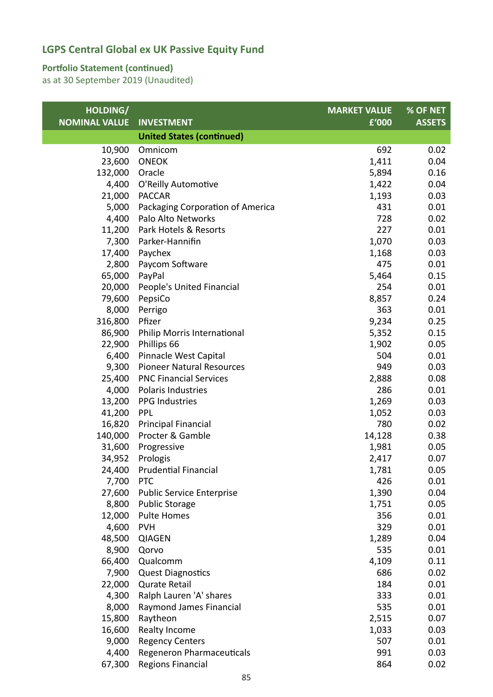#### **Portfolio Statement (continued)**

| HOLDING/             |                                                | <b>MARKET VALUE</b> | % OF NET      |
|----------------------|------------------------------------------------|---------------------|---------------|
| <b>NOMINAL VALUE</b> | <b>INVESTMENT</b>                              | £'000               | <b>ASSETS</b> |
|                      | <b>United States (continued)</b>               |                     |               |
| 10,900               | Omnicom                                        | 692                 | 0.02          |
| 23,600               | <b>ONEOK</b>                                   | 1,411               | 0.04          |
| 132,000              | Oracle                                         | 5,894               | 0.16          |
| 4,400                | O'Reilly Automotive                            | 1,422               | 0.04          |
| 21,000               | <b>PACCAR</b>                                  | 1,193               | 0.03          |
| 5,000                | Packaging Corporation of America               | 431                 | 0.01          |
| 4,400                | Palo Alto Networks                             | 728                 | 0.02          |
| 11,200               | Park Hotels & Resorts                          | 227                 | 0.01          |
| 7,300                | Parker-Hannifin                                | 1,070               | 0.03          |
| 17,400               | Paychex                                        | 1,168               | 0.03          |
| 2,800                | Paycom Software                                | 475                 | 0.01          |
| 65,000               | PayPal                                         | 5,464               | 0.15          |
| 20,000               | People's United Financial                      | 254                 | 0.01          |
| 79,600               | PepsiCo                                        | 8,857               | 0.24          |
| 8,000                | Perrigo                                        | 363                 | 0.01          |
| 316,800              | Pfizer                                         | 9,234               | 0.25          |
| 86,900               | Philip Morris International                    | 5,352               | 0.15          |
| 22,900               | Phillips 66                                    | 1,902               | 0.05          |
| 6,400                | Pinnacle West Capital                          | 504                 | 0.01          |
| 9,300                | <b>Pioneer Natural Resources</b>               | 949                 | 0.03          |
| 25,400               | <b>PNC Financial Services</b>                  | 2,888               | 0.08          |
| 4,000                | Polaris Industries                             | 286                 | 0.01          |
| 13,200               | <b>PPG Industries</b>                          | 1,269               | 0.03          |
| 41,200               | <b>PPL</b>                                     | 1,052               | 0.03          |
| 16,820               | <b>Principal Financial</b><br>Procter & Gamble | 780                 | 0.02          |
| 140,000              |                                                | 14,128              | 0.38          |
| 31,600<br>34,952     | Progressive<br>Prologis                        | 1,981<br>2,417      | 0.05<br>0.07  |
|                      |                                                |                     |               |
| 24,400<br>7,700      | <b>Prudential Financial</b><br><b>PTC</b>      | 1,781<br>426        | 0.05<br>0.01  |
| 27,600               | <b>Public Service Enterprise</b>               | 1,390               | 0.04          |
| 8,800                | <b>Public Storage</b>                          | 1,751               | 0.05          |
| 12,000               | <b>Pulte Homes</b>                             | 356                 | 0.01          |
| 4,600                | <b>PVH</b>                                     | 329                 | 0.01          |
| 48,500               | <b>QIAGEN</b>                                  | 1,289               | 0.04          |
| 8,900                | Qorvo                                          | 535                 | 0.01          |
| 66,400               | Qualcomm                                       | 4,109               | 0.11          |
| 7,900                | <b>Quest Diagnostics</b>                       | 686                 | 0.02          |
| 22,000               | Qurate Retail                                  | 184                 | 0.01          |
| 4,300                | Ralph Lauren 'A' shares                        | 333                 | 0.01          |
| 8,000                | Raymond James Financial                        | 535                 | 0.01          |
| 15,800               | Raytheon                                       | 2,515               | 0.07          |
| 16,600               | Realty Income                                  | 1,033               | 0.03          |
| 9,000                | <b>Regency Centers</b>                         | 507                 | 0.01          |
| 4,400                | <b>Regeneron Pharmaceuticals</b>               | 991                 | 0.03          |
| 67,300               | Regions Financial                              | 864                 | 0.02          |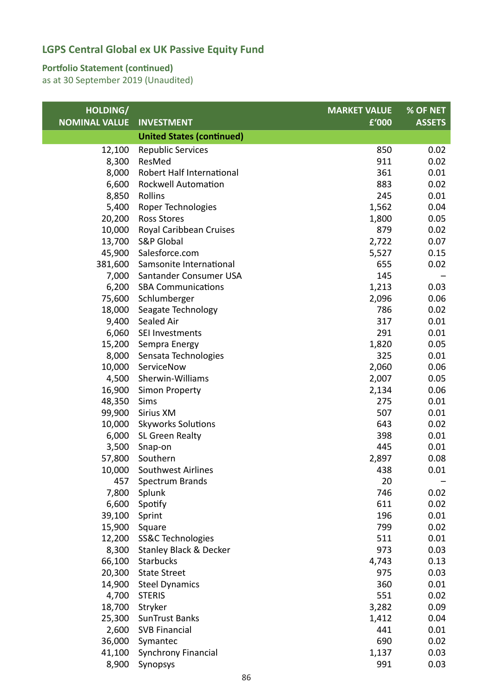#### **Portfolio Statement (continued)**

| HOLDING/             |                                  | <b>MARKET VALUE</b> | % OF NET      |
|----------------------|----------------------------------|---------------------|---------------|
| <b>NOMINAL VALUE</b> | <b>INVESTMENT</b>                | £'000               | <b>ASSETS</b> |
|                      | <b>United States (continued)</b> |                     |               |
| 12,100               | <b>Republic Services</b>         | 850                 | 0.02          |
| 8,300                | ResMed                           | 911                 | 0.02          |
| 8,000                | Robert Half International        | 361                 | 0.01          |
| 6,600                | <b>Rockwell Automation</b>       | 883                 | 0.02          |
| 8,850                | Rollins                          | 245                 | 0.01          |
| 5,400                | Roper Technologies               | 1,562               | 0.04          |
| 20,200               | <b>Ross Stores</b>               | 1,800               | 0.05          |
| 10,000               | Royal Caribbean Cruises          | 879                 | 0.02          |
| 13,700               | <b>S&amp;P Global</b>            | 2,722               | 0.07          |
| 45,900               | Salesforce.com                   | 5,527               | 0.15          |
| 381,600              | Samsonite International          | 655                 | 0.02          |
| 7,000                | Santander Consumer USA           | 145                 |               |
| 6,200                | <b>SBA Communications</b>        | 1,213               | 0.03          |
| 75,600               | Schlumberger                     | 2,096               | 0.06          |
| 18,000               | Seagate Technology               | 786                 | 0.02          |
| 9,400                | Sealed Air                       | 317                 | 0.01          |
| 6,060                | SEI Investments                  | 291                 | 0.01          |
| 15,200               | Sempra Energy                    | 1,820               | 0.05          |
| 8,000                | Sensata Technologies             | 325                 | 0.01          |
| 10,000               | ServiceNow                       | 2,060               | 0.06          |
| 4,500                | Sherwin-Williams                 | 2,007               | 0.05          |
| 16,900               | <b>Simon Property</b>            | 2,134               | 0.06          |
| 48,350               | Sims                             | 275                 | 0.01          |
| 99,900               | Sirius XM                        | 507                 | 0.01          |
| 10,000               | <b>Skyworks Solutions</b>        | 643                 | 0.02          |
| 6,000                | SL Green Realty                  | 398                 | 0.01          |
| 3,500                | Snap-on                          | 445                 | 0.01          |
| 57,800               | Southern                         | 2,897               | 0.08          |
| 10,000               | Southwest Airlines               | 438                 | 0.01          |
| 457                  | Spectrum Brands                  | 20                  |               |
| 7,800                | Splunk                           | 746<br>611          | 0.02<br>0.02  |
| 6,600<br>39,100      | Spotify                          | 196                 | 0.01          |
| 15,900               | Sprint<br>Square                 | 799                 | 0.02          |
| 12,200               | SS&C Technologies                | 511                 | 0.01          |
| 8,300                | Stanley Black & Decker           | 973                 | 0.03          |
| 66,100               | Starbucks                        | 4,743               | 0.13          |
| 20,300               | <b>State Street</b>              | 975                 | 0.03          |
| 14,900               | <b>Steel Dynamics</b>            | 360                 | 0.01          |
| 4,700                | <b>STERIS</b>                    | 551                 | 0.02          |
| 18,700               | Stryker                          | 3,282               | 0.09          |
| 25,300               | <b>SunTrust Banks</b>            | 1,412               | 0.04          |
| 2,600                | <b>SVB Financial</b>             | 441                 | 0.01          |
| 36,000               | Symantec                         | 690                 | 0.02          |
| 41,100               | Synchrony Financial              | 1,137               | 0.03          |
| 8,900                | Synopsys                         | 991                 | 0.03          |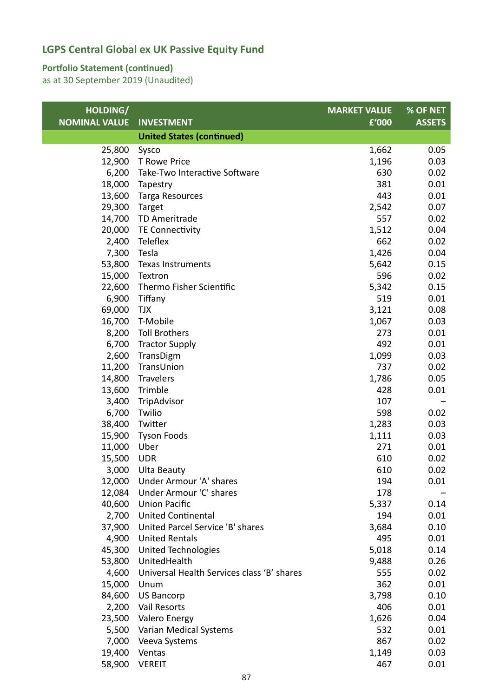### **Portfolio Statement (continued)**

| HOLDING/             |                                            | <b>MARKET VALUE</b> | % OF NET      |
|----------------------|--------------------------------------------|---------------------|---------------|
| <b>NOMINAL VALUE</b> | <b>INVESTMENT</b>                          | £'000               | <b>ASSETS</b> |
|                      | <b>United States (continued)</b>           |                     |               |
| 25,800               | Sysco                                      | 1,662               | 0.05          |
| 12,900               | T Rowe Price                               | 1,196               | 0.03          |
| 6,200                | Take-Two Interactive Software              | 630                 | 0.02          |
| 18,000               | Tapestry                                   | 381                 | 0.01          |
| 13,600               | Targa Resources                            | 443                 | 0.01          |
| 29,300               | Target                                     | 2,542               | 0.07          |
| 14,700               | TD Ameritrade                              | 557                 | 0.02          |
| 20,000               | TE Connectivity                            | 1,512               | 0.04          |
| 2,400                | Teleflex                                   | 662                 | 0.02          |
| 7,300                | Tesla                                      | 1,426               | 0.04          |
| 53,800               | Texas Instruments                          | 5,642               | 0.15          |
| 15,000               | Textron                                    | 596                 | 0.02          |
| 22,600               | Thermo Fisher Scientific                   | 5,342               | 0.15          |
| 6,900                | Tiffany                                    | 519                 | 0.01          |
| 69,000               | <b>TJX</b>                                 | 3,121               | 0.08          |
| 16,700               | T-Mobile                                   | 1,067               | 0.03          |
| 8,200                | <b>Toll Brothers</b>                       | 273                 | 0.01          |
| 6,700                | <b>Tractor Supply</b>                      | 492                 | 0.01          |
| 2,600                | TransDigm                                  | 1,099               | 0.03          |
| 11,200               | TransUnion                                 | 737                 | 0.02          |
| 14,800               | <b>Travelers</b>                           | 1,786               | 0.05          |
| 13,600               | Trimble                                    | 428                 | 0.01          |
| 3,400                | TripAdvisor                                | 107                 |               |
| 6,700                | Twilio                                     | 598                 | 0.02          |
| 38,400               | Twitter                                    | 1,283               | 0.03          |
| 15,900               | <b>Tyson Foods</b>                         | 1,111               | 0.03          |
| 11,000               | Uber                                       | 271                 | 0.01          |
| 15,500               | <b>UDR</b>                                 | 610                 | 0.02          |
| 3,000                | <b>Ulta Beauty</b>                         | 610                 | 0.02          |
|                      | 12,000 Under Armour 'A' shares             | 194                 | 0.01          |
| 12,084               | Under Armour 'C' shares                    | 178                 |               |
| 40,600               | <b>Union Pacific</b>                       | 5,337               | 0.14          |
| 2,700                | <b>United Continental</b>                  | 194                 | 0.01          |
| 37,900               | United Parcel Service 'B' shares           | 3,684               | 0.10          |
| 4,900                | <b>United Rentals</b>                      | 495                 | 0.01          |
| 45,300               | <b>United Technologies</b>                 | 5,018               | 0.14          |
| 53,800               | UnitedHealth                               | 9,488               | 0.26          |
| 4,600                | Universal Health Services class 'B' shares | 555                 | 0.02          |
| 15,000               | Unum                                       | 362                 | 0.01          |
| 84,600               | <b>US Bancorp</b>                          | 3,798               | 0.10          |
| 2,200                | Vail Resorts                               | 406                 | 0.01          |
| 23,500               | <b>Valero Energy</b>                       | 1,626               | 0.04          |
| 5,500                | Varian Medical Systems                     | 532                 | 0.01          |
| 7,000                | Veeva Systems                              | 867                 | 0.02          |
| 19,400               | Ventas                                     | 1,149               | 0.03          |
| 58,900               | <b>VEREIT</b>                              | 467                 | 0.01          |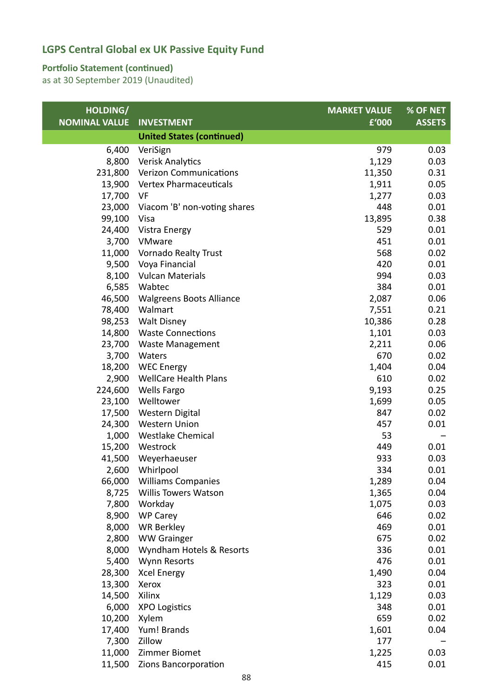#### **Portfolio Statement (continued)**

| HOLDING/             |                                  | <b>MARKET VALUE</b> | % OF NET      |
|----------------------|----------------------------------|---------------------|---------------|
| <b>NOMINAL VALUE</b> | <b>INVESTMENT</b>                | £'000               | <b>ASSETS</b> |
|                      | <b>United States (continued)</b> |                     |               |
| 6,400                | VeriSign                         | 979                 | 0.03          |
| 8,800                | Verisk Analytics                 | 1,129               | 0.03          |
| 231,800              | <b>Verizon Communications</b>    | 11,350              | 0.31          |
| 13,900               | Vertex Pharmaceuticals           | 1,911               | 0.05          |
| 17,700               | VF                               | 1,277               | 0.03          |
| 23,000               | Viacom 'B' non-voting shares     | 448                 | 0.01          |
| 99,100               | Visa                             | 13,895              | 0.38          |
| 24,400               | Vistra Energy                    | 529                 | 0.01          |
| 3,700                | VMware                           | 451                 | 0.01          |
| 11,000               | <b>Vornado Realty Trust</b>      | 568                 | 0.02          |
| 9,500                | Voya Financial                   | 420                 | 0.01          |
| 8,100                | <b>Vulcan Materials</b>          | 994                 | 0.03          |
| 6,585                | Wabtec                           | 384                 | 0.01          |
| 46,500               | <b>Walgreens Boots Alliance</b>  | 2,087               | 0.06          |
| 78,400               | Walmart                          | 7,551               | 0.21          |
| 98,253               | <b>Walt Disney</b>               | 10,386              | 0.28          |
| 14,800               | <b>Waste Connections</b>         | 1,101               | 0.03          |
| 23,700               | <b>Waste Management</b>          | 2,211               | 0.06          |
| 3,700                | Waters                           | 670                 | 0.02          |
| 18,200               | <b>WEC Energy</b>                | 1,404               | 0.04          |
| 2,900                | <b>WellCare Health Plans</b>     | 610                 | 0.02          |
| 224,600              | <b>Wells Fargo</b>               | 9,193               | 0.25          |
| 23,100               | Welltower                        | 1,699               | 0.05          |
| 17,500               | <b>Western Digital</b>           | 847                 | 0.02          |
| 24,300               | <b>Western Union</b>             | 457                 | 0.01          |
| 1,000                | <b>Westlake Chemical</b>         | 53                  |               |
| 15,200               | Westrock                         | 449                 | 0.01          |
| 41,500               | Weyerhaeuser                     | 933                 | 0.03          |
| 2,600                | Whirlpool                        | 334                 | 0.01          |
|                      | 66,000 Williams Companies        | 1,289               | 0.04          |
| 8,725                | <b>Willis Towers Watson</b>      | 1,365               | 0.04          |
| 7,800                | Workday                          | 1,075               | 0.03          |
| 8,900                | <b>WP Carey</b>                  | 646                 | 0.02          |
| 8,000                | <b>WR Berkley</b>                | 469                 | 0.01          |
| 2,800                | <b>WW Grainger</b>               | 675                 | 0.02          |
| 8,000                | Wyndham Hotels & Resorts         | 336                 | 0.01          |
| 5,400                | <b>Wynn Resorts</b>              | 476                 | 0.01          |
| 28,300               | <b>Xcel Energy</b>               | 1,490               | 0.04          |
| 13,300               | Xerox                            | 323                 | 0.01          |
| 14,500               | Xilinx                           | 1,129               | 0.03          |
| 6,000                | <b>XPO Logistics</b>             | 348                 | 0.01          |
| 10,200               | Xylem                            | 659                 | 0.02          |
| 17,400               | Yum! Brands                      | 1,601               | 0.04          |
| 7,300                | Zillow                           | 177                 |               |
| 11,000               | <b>Zimmer Biomet</b>             | 1,225               | 0.03          |
| 11,500               | Zions Bancorporation             | 415                 | 0.01          |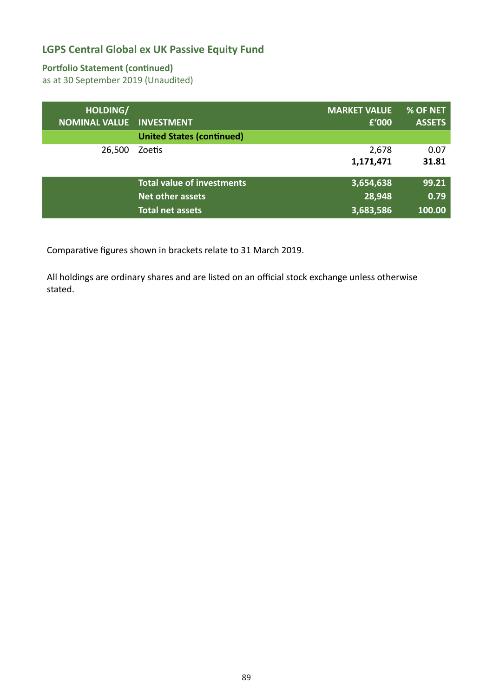#### **Portfolio Statement (continued)**

as at 30 September 2019 (Unaudited)

| HOLDING/             | <b>INVESTMENT</b>                 | <b>MARKET VALUE</b> | % OF NET      |
|----------------------|-----------------------------------|---------------------|---------------|
| <b>NOMINAL VALUE</b> | <b>United States (continued)</b>  | £'000               | <b>ASSETS</b> |
| 26,500               | Zoetis                            | 2,678<br>1,171,471  | 0.07<br>31.81 |
|                      | <b>Total value of investments</b> | 3,654,638           | 99.21         |
|                      | <b>Net other assets</b>           | 28,948              | 0.79          |
|                      | <b>Total net assets</b>           | 3,683,586           | 100.00        |

Comparative figures shown in brackets relate to 31 March 2019.

All holdings are ordinary shares and are listed on an official stock exchange unless otherwise stated.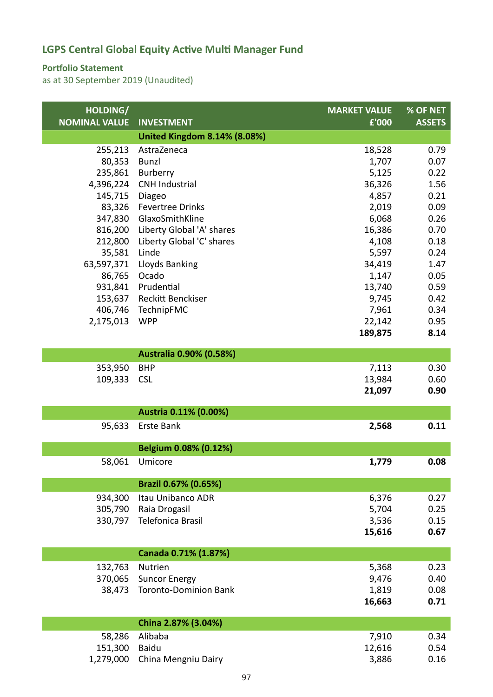### **Portfolio Statement**

| HOLDING/             |                                                        | <b>MARKET VALUE</b> | % OF NET      |
|----------------------|--------------------------------------------------------|---------------------|---------------|
| <b>NOMINAL VALUE</b> | <b>INVESTMENT</b>                                      | £'000               | <b>ASSETS</b> |
|                      | <b>United Kingdom 8.14% (8.08%)</b>                    |                     |               |
| 255,213              | AstraZeneca                                            | 18,528              | 0.79          |
| 80,353               | <b>Bunzl</b>                                           | 1,707               | 0.07          |
| 235,861              | Burberry                                               | 5,125               | 0.22          |
| 4,396,224            | <b>CNH Industrial</b>                                  | 36,326              | 1.56          |
| 145,715              | Diageo                                                 | 4,857               | 0.21          |
| 83,326               | <b>Fevertree Drinks</b>                                | 2,019               | 0.09          |
| 347,830              | GlaxoSmithKline                                        | 6,068               | 0.26          |
| 816,200<br>212,800   | Liberty Global 'A' shares<br>Liberty Global 'C' shares | 16,386<br>4,108     | 0.70<br>0.18  |
| 35,581               | Linde                                                  | 5,597               | 0.24          |
| 63,597,371           | <b>Lloyds Banking</b>                                  | 34,419              | 1.47          |
| 86,765               | Ocado                                                  | 1,147               | 0.05          |
| 931,841              | Prudential                                             | 13,740              | 0.59          |
| 153,637              | Reckitt Benckiser                                      | 9,745               | 0.42          |
| 406,746              | TechnipFMC                                             | 7,961               | 0.34          |
| 2,175,013            | <b>WPP</b>                                             | 22,142              | 0.95          |
|                      |                                                        | 189,875             | 8.14          |
|                      |                                                        |                     |               |
|                      | Australia 0.90% (0.58%)                                |                     |               |
| 353,950              | <b>BHP</b>                                             | 7,113               | 0.30          |
| 109,333              | <b>CSL</b>                                             | 13,984              | 0.60          |
|                      |                                                        | 21,097              | 0.90          |
|                      | Austria 0.11% (0.00%)                                  |                     |               |
| 95,633               | <b>Erste Bank</b>                                      | 2,568               | 0.11          |
|                      |                                                        |                     |               |
|                      | Belgium 0.08% (0.12%)                                  |                     |               |
| 58,061               | Umicore                                                | 1,779               | 0.08          |
|                      | Brazil 0.67% (0.65%)                                   |                     |               |
|                      |                                                        |                     |               |
| 934,300<br>305,790   | Itau Unibanco ADR<br>Raia Drogasil                     | 6,376<br>5,704      | 0.27<br>0.25  |
| 330,797              | Telefonica Brasil                                      | 3,536               | 0.15          |
|                      |                                                        | 15,616              | 0.67          |
|                      |                                                        |                     |               |
|                      | Canada 0.71% (1.87%)                                   |                     |               |
| 132,763              | <b>Nutrien</b>                                         | 5,368               | 0.23          |
| 370,065              | <b>Suncor Energy</b>                                   | 9,476               | 0.40          |
| 38,473               | <b>Toronto-Dominion Bank</b>                           | 1,819               | 0.08          |
|                      |                                                        | 16,663              | 0.71          |
|                      | China 2.87% (3.04%)                                    |                     |               |
| 58,286               | Alibaba                                                | 7,910               | 0.34          |
| 151,300              | <b>Baidu</b>                                           | 12,616              | 0.54          |
| 1,279,000            | China Mengniu Dairy                                    | 3,886               | 0.16          |
|                      |                                                        |                     |               |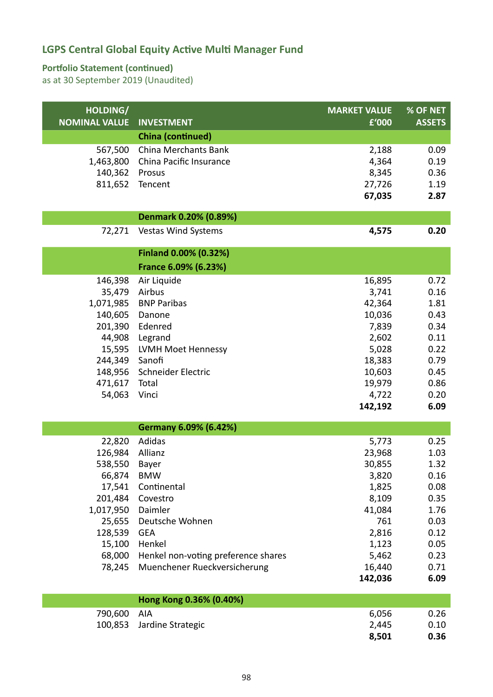### **Portfolio Statement (continued)**

| HOLDING/<br><b>NOMINAL VALUE</b> | <b>INVESTMENT</b>                   | <b>MARKET VALUE</b><br>£'000 | % OF NET<br><b>ASSETS</b> |
|----------------------------------|-------------------------------------|------------------------------|---------------------------|
|                                  | <b>China (continued)</b>            |                              |                           |
| 567,500                          | China Merchants Bank                | 2,188                        | 0.09                      |
| 1,463,800                        | China Pacific Insurance             | 4,364                        | 0.19                      |
| 140,362                          | Prosus                              | 8,345                        | 0.36                      |
| 811,652                          | Tencent                             | 27,726                       | 1.19                      |
|                                  |                                     | 67,035                       | 2.87                      |
|                                  | Denmark 0.20% (0.89%)               |                              |                           |
| 72,271                           | <b>Vestas Wind Systems</b>          | 4,575                        | 0.20                      |
|                                  | Finland 0.00% (0.32%)               |                              |                           |
|                                  | France 6.09% (6.23%)                |                              |                           |
| 146,398                          | Air Liquide                         | 16,895                       | 0.72                      |
| 35,479                           | Airbus                              | 3,741                        | 0.16                      |
| 1,071,985                        | <b>BNP Paribas</b>                  | 42,364                       | 1.81                      |
| 140,605                          | Danone                              | 10,036                       | 0.43                      |
| 201,390<br>44,908                | Edenred<br>Legrand                  | 7,839<br>2,602               | 0.34<br>0.11              |
| 15,595                           | LVMH Moet Hennessy                  | 5,028                        | 0.22                      |
| 244,349                          | Sanofi                              | 18,383                       | 0.79                      |
| 148,956                          | Schneider Electric                  | 10,603                       | 0.45                      |
| 471,617                          | Total                               | 19,979                       | 0.86                      |
| 54,063                           | Vinci                               | 4,722                        | 0.20                      |
|                                  |                                     | 142,192                      | 6.09                      |
|                                  | Germany 6.09% (6.42%)               |                              |                           |
| 22,820                           | <b>Adidas</b>                       | 5,773                        | 0.25                      |
| 126,984                          | Allianz                             | 23,968                       | 1.03                      |
| 538,550                          | Bayer                               | 30,855                       | 1.32                      |
| 66,874                           | <b>BMW</b>                          | 3,820                        | 0.16                      |
| 17,541                           | Continental                         | 1,825                        | 0.08                      |
| 201,484                          | Covestro                            | 8,109                        | 0.35                      |
| 1,017,950<br>25,655              | Daimler<br>Deutsche Wohnen          | 41,084<br>761                | 1.76<br>0.03              |
| 128,539                          | <b>GEA</b>                          | 2,816                        | 0.12                      |
| 15,100                           | Henkel                              | 1,123                        | 0.05                      |
| 68,000                           | Henkel non-voting preference shares | 5,462                        | 0.23                      |
| 78,245                           | Muenchener Rueckversicherung        | 16,440                       | 0.71                      |
|                                  |                                     | 142,036                      | 6.09                      |
|                                  | Hong Kong 0.36% (0.40%)             |                              |                           |
| 790,600                          | AIA                                 | 6,056                        | 0.26                      |
| 100,853                          | Jardine Strategic                   | 2,445                        | 0.10                      |
|                                  |                                     | 8,501                        | 0.36                      |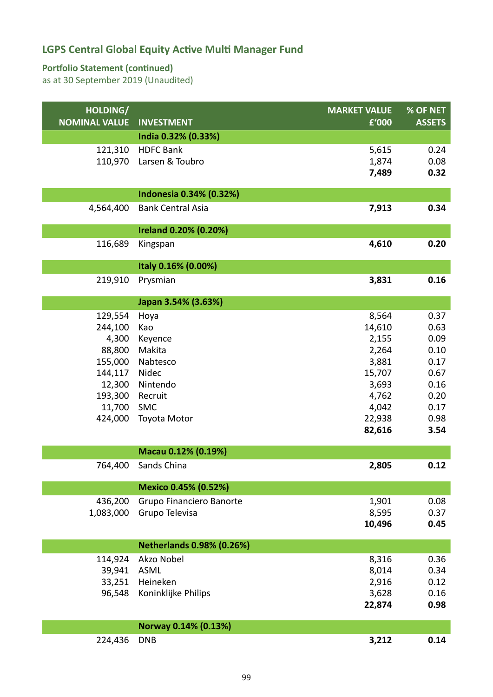### **Portfolio Statement (continued)**

| HOLDING/             |                                  | <b>MARKET VALUE</b> | % OF NET      |
|----------------------|----------------------------------|---------------------|---------------|
| <b>NOMINAL VALUE</b> | <b>INVESTMENT</b>                | £'000               | <b>ASSETS</b> |
|                      | India 0.32% (0.33%)              |                     |               |
| 121,310              | <b>HDFC Bank</b>                 | 5,615               | 0.24          |
| 110,970              | Larsen & Toubro                  | 1,874               | 0.08          |
|                      |                                  | 7,489               | 0.32          |
|                      | Indonesia 0.34% (0.32%)          |                     |               |
| 4,564,400            | <b>Bank Central Asia</b>         | 7,913               | 0.34          |
|                      | Ireland 0.20% (0.20%)            |                     |               |
| 116,689              | Kingspan                         | 4,610               | 0.20          |
|                      |                                  |                     |               |
|                      | Italy 0.16% (0.00%)              |                     |               |
| 219,910              | Prysmian                         | 3,831               | 0.16          |
|                      | Japan 3.54% (3.63%)              |                     |               |
| 129,554              | Hoya                             | 8,564               | 0.37          |
| 244,100              | Kao                              | 14,610              | 0.63          |
| 4,300                | Keyence                          | 2,155               | 0.09          |
| 88,800               | Makita                           | 2,264               | 0.10          |
| 155,000              | Nabtesco                         | 3,881               | 0.17          |
| 144,117              | Nidec                            | 15,707              | 0.67          |
| 12,300               | Nintendo                         | 3,693               | 0.16          |
| 193,300              | Recruit                          | 4,762               | 0.20          |
| 11,700               | SMC                              | 4,042               | 0.17          |
| 424,000              | Toyota Motor                     | 22,938              | 0.98          |
|                      |                                  | 82,616              | 3.54          |
|                      | Macau 0.12% (0.19%)              |                     |               |
| 764,400              | Sands China                      | 2,805               | 0.12          |
|                      | Mexico 0.45% (0.52%)             |                     |               |
| 436,200              | Grupo Financiero Banorte         | 1,901               | 0.08          |
| 1,083,000            | Grupo Televisa                   | 8,595               | 0.37          |
|                      |                                  | 10,496              | 0.45          |
|                      |                                  |                     |               |
|                      | <b>Netherlands 0.98% (0.26%)</b> |                     |               |
| 114,924              | Akzo Nobel                       | 8,316               | 0.36          |
| 39,941               | <b>ASML</b>                      | 8,014               | 0.34          |
| 33,251<br>96,548     | Heineken                         | 2,916               | 0.12<br>0.16  |
|                      | Koninklijke Philips              | 3,628<br>22,874     | 0.98          |
|                      |                                  |                     |               |
|                      | Norway 0.14% (0.13%)             |                     |               |
| 224,436              | <b>DNB</b>                       | 3,212               | 0.14          |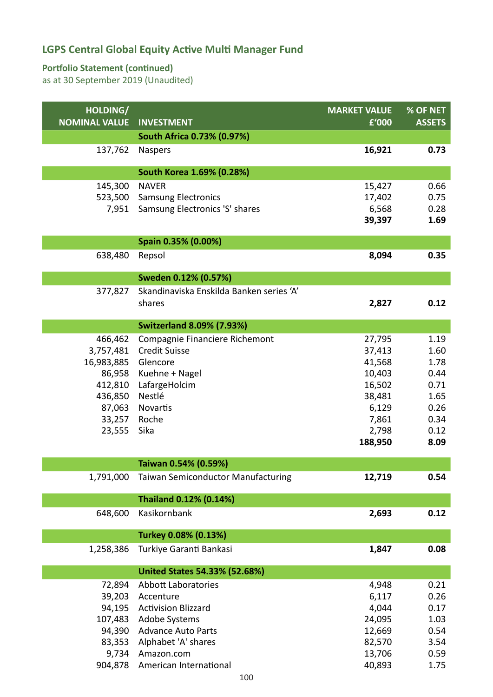### **Portfolio Statement (continued)**

| HOLDING/<br><b>NOMINAL VALUE</b> | <b>INVESTMENT</b>                         | <b>MARKET VALUE</b><br>£'000 | % OF NET<br><b>ASSETS</b> |
|----------------------------------|-------------------------------------------|------------------------------|---------------------------|
|                                  | South Africa 0.73% (0.97%)                |                              |                           |
| 137,762                          | <b>Naspers</b>                            | 16,921                       | 0.73                      |
|                                  | South Korea 1.69% (0.28%)                 |                              |                           |
| 145,300                          | <b>NAVER</b>                              | 15,427                       | 0.66                      |
| 523,500                          | <b>Samsung Electronics</b>                | 17,402                       | 0.75                      |
| 7,951                            | Samsung Electronics 'S' shares            | 6,568                        | 0.28                      |
|                                  |                                           | 39,397                       | 1.69                      |
|                                  | Spain 0.35% (0.00%)                       |                              |                           |
| 638,480                          | Repsol                                    | 8,094                        | 0.35                      |
|                                  | Sweden 0.12% (0.57%)                      |                              |                           |
| 377,827                          | Skandinaviska Enskilda Banken series 'A'  |                              |                           |
|                                  | shares                                    | 2,827                        | 0.12                      |
|                                  | <b>Switzerland 8.09% (7.93%)</b>          |                              |                           |
| 466,462                          | Compagnie Financiere Richemont            | 27,795                       | 1.19                      |
| 3,757,481                        | <b>Credit Suisse</b>                      | 37,413                       | 1.60                      |
| 16,983,885                       | Glencore                                  | 41,568                       | 1.78                      |
| 86,958                           | Kuehne + Nagel                            | 10,403                       | 0.44                      |
| 412,810                          | LafargeHolcim                             | 16,502                       | 0.71                      |
| 436,850                          | Nestlé                                    | 38,481                       | 1.65                      |
| 87,063                           | Novartis                                  | 6,129                        | 0.26                      |
| 33,257                           | Roche                                     | 7,861                        | 0.34                      |
| 23,555                           | Sika                                      | 2,798<br>188,950             | 0.12<br>8.09              |
|                                  |                                           |                              |                           |
|                                  | Taiwan 0.54% (0.59%)                      |                              |                           |
| 1,791,000                        | <b>Taiwan Semiconductor Manufacturing</b> | 12,719                       | 0.54                      |
|                                  | Thailand 0.12% (0.14%)                    |                              |                           |
| 648,600                          | Kasikornbank                              | 2,693                        | 0.12                      |
|                                  | Turkey 0.08% (0.13%)                      |                              |                           |
| 1,258,386                        | Turkiye Garanti Bankasi                   | 1,847                        | 0.08                      |
|                                  | <b>United States 54.33% (52.68%)</b>      |                              |                           |
| 72,894                           | <b>Abbott Laboratories</b>                | 4,948                        | 0.21                      |
| 39,203                           | Accenture                                 | 6,117                        | 0.26                      |
| 94,195                           | <b>Activision Blizzard</b>                | 4,044                        | 0.17                      |
| 107,483                          | <b>Adobe Systems</b>                      | 24,095                       | 1.03                      |
| 94,390                           | <b>Advance Auto Parts</b>                 | 12,669                       | 0.54                      |
| 83,353                           | Alphabet 'A' shares                       | 82,570                       | 3.54                      |
| 9,734                            | Amazon.com                                | 13,706                       | 0.59                      |
| 904,878                          | American International                    | 40,893                       | 1.75                      |
|                                  | 100                                       |                              |                           |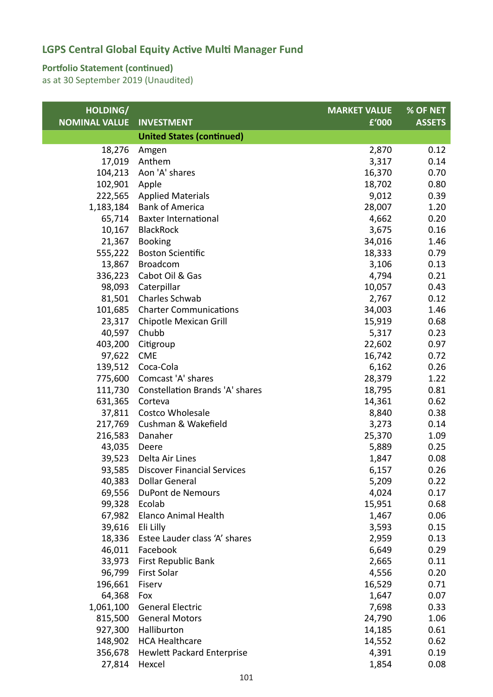### **Portfolio Statement (continued)**

| HOLDING/             |                                        | <b>MARKET VALUE</b> | % OF NET      |
|----------------------|----------------------------------------|---------------------|---------------|
| <b>NOMINAL VALUE</b> | <b>INVESTMENT</b>                      | £'000               | <b>ASSETS</b> |
|                      | <b>United States (continued)</b>       |                     |               |
| 18,276               | Amgen                                  | 2,870               | 0.12          |
| 17,019               | Anthem                                 | 3,317               | 0.14          |
| 104,213              | Aon 'A' shares                         | 16,370              | 0.70          |
| 102,901              | Apple                                  | 18,702              | 0.80          |
| 222,565              | <b>Applied Materials</b>               | 9,012               | 0.39          |
| 1,183,184            | <b>Bank of America</b>                 | 28,007              | 1.20          |
| 65,714               | <b>Baxter International</b>            | 4,662               | 0.20          |
| 10,167               | <b>BlackRock</b>                       | 3,675               | 0.16          |
| 21,367               | <b>Booking</b>                         | 34,016              | 1.46          |
| 555,222              | <b>Boston Scientific</b>               | 18,333              | 0.79          |
| 13,867               | <b>Broadcom</b>                        | 3,106               | 0.13          |
| 336,223              | Cabot Oil & Gas                        | 4,794               | 0.21          |
| 98,093               | Caterpillar                            | 10,057              | 0.43          |
| 81,501               | Charles Schwab                         | 2,767               | 0.12          |
| 101,685              | <b>Charter Communications</b>          | 34,003              | 1.46          |
| 23,317               | Chipotle Mexican Grill                 | 15,919              | 0.68          |
| 40,597               | Chubb                                  | 5,317               | 0.23          |
| 403,200              | Citigroup                              | 22,602              | 0.97          |
| 97,622               | <b>CME</b>                             | 16,742              | 0.72          |
| 139,512              | Coca-Cola                              | 6,162               | 0.26          |
| 775,600              | Comcast 'A' shares                     | 28,379              | 1.22          |
| 111,730              | <b>Constellation Brands 'A' shares</b> | 18,795              | 0.81          |
| 631,365              | Corteva                                | 14,361              | 0.62          |
| 37,811               | Costco Wholesale                       | 8,840               | 0.38          |
| 217,769              | Cushman & Wakefield                    | 3,273               | 0.14          |
| 216,583              | Danaher                                | 25,370              | 1.09          |
| 43,035               | Deere                                  | 5,889               | 0.25          |
| 39,523               | Delta Air Lines                        | 1,847               | 0.08          |
| 93,585               | <b>Discover Financial Services</b>     | 6,157               | 0.26          |
| 40,383               | <b>Dollar General</b>                  | 5,209               | 0.22          |
| 69,556               | DuPont de Nemours                      | 4,024               | 0.17          |
| 99,328               | Ecolab                                 | 15,951              | 0.68          |
| 67,982               | <b>Elanco Animal Health</b>            | 1,467               | 0.06          |
| 39,616               | Eli Lilly                              | 3,593               | 0.15          |
| 18,336               | Estee Lauder class 'A' shares          | 2,959               | 0.13          |
| 46,011               | Facebook                               | 6,649               | 0.29          |
| 33,973               | First Republic Bank                    | 2,665               | 0.11          |
| 96,799               | First Solar                            | 4,556               | 0.20          |
| 196,661              | Fiserv                                 | 16,529              | 0.71          |
| 64,368               | Fox                                    | 1,647               | 0.07          |
| 1,061,100            | <b>General Electric</b>                | 7,698               | 0.33          |
| 815,500              | <b>General Motors</b>                  | 24,790              | 1.06          |
| 927,300              | Halliburton                            | 14,185              | 0.61          |
| 148,902              | <b>HCA Healthcare</b>                  | 14,552              | 0.62          |
| 356,678              | <b>Hewlett Packard Enterprise</b>      | 4,391               | 0.19          |
| 27,814               | Hexcel                                 | 1,854               | 0.08          |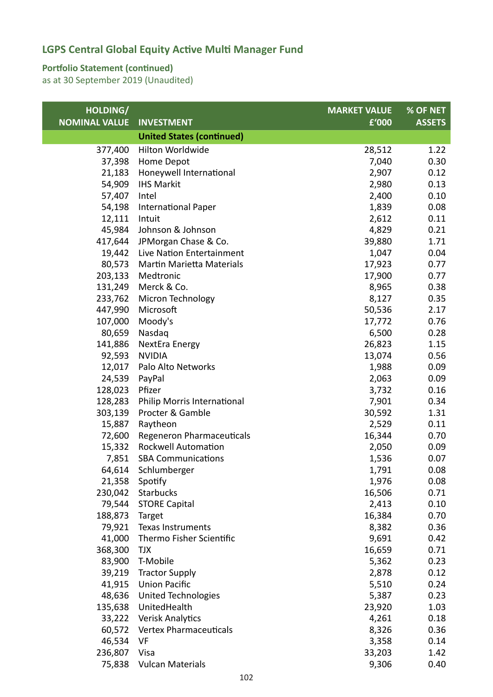### **Portfolio Statement (continued)**

| HOLDING/             |                                  | <b>MARKET VALUE</b> | % OF NET      |
|----------------------|----------------------------------|---------------------|---------------|
| <b>NOMINAL VALUE</b> | <b>INVESTMENT</b>                | £'000               | <b>ASSETS</b> |
|                      | <b>United States (continued)</b> |                     |               |
| 377,400              | Hilton Worldwide                 | 28,512              | 1.22          |
| 37,398               | Home Depot                       | 7,040               | 0.30          |
| 21,183               | Honeywell International          | 2,907               | 0.12          |
| 54,909               | <b>IHS Markit</b>                | 2,980               | 0.13          |
| 57,407               | Intel                            | 2,400               | 0.10          |
| 54,198               | <b>International Paper</b>       | 1,839               | 0.08          |
| 12,111               | Intuit                           | 2,612               | 0.11          |
| 45,984               | Johnson & Johnson                | 4,829               | 0.21          |
| 417,644              | JPMorgan Chase & Co.             | 39,880              | 1.71          |
| 19,442               | Live Nation Entertainment        | 1,047               | 0.04          |
| 80,573               | Martin Marietta Materials        | 17,923              | 0.77          |
| 203,133              | Medtronic                        | 17,900              | 0.77          |
| 131,249              | Merck & Co.                      | 8,965               | 0.38          |
| 233,762              | Micron Technology                | 8,127               | 0.35          |
| 447,990              | Microsoft                        | 50,536              | 2.17          |
| 107,000              | Moody's                          | 17,772              | 0.76          |
| 80,659               | Nasdaq                           | 6,500               | 0.28          |
| 141,886              | NextEra Energy                   | 26,823              | 1.15          |
| 92,593               | <b>NVIDIA</b>                    | 13,074              | 0.56          |
| 12,017               | Palo Alto Networks               | 1,988               | 0.09          |
| 24,539               | PayPal                           | 2,063               | 0.09          |
| 128,023              | Pfizer                           | 3,732               | 0.16          |
| 128,283              | Philip Morris International      | 7,901               | 0.34          |
| 303,139              | Procter & Gamble                 | 30,592              | 1.31          |
| 15,887               | Raytheon                         | 2,529               | 0.11          |
| 72,600               | Regeneron Pharmaceuticals        | 16,344              | 0.70          |
| 15,332               | <b>Rockwell Automation</b>       | 2,050               | 0.09          |
| 7,851                | <b>SBA Communications</b>        | 1,536               | 0.07          |
| 64,614               | Schlumberger                     | 1,791               | 0.08          |
|                      | 21,358 Spotify                   | 1,976               | 0.08          |
| 230,042              | <b>Starbucks</b>                 | 16,506              | 0.71          |
| 79,544               | <b>STORE Capital</b>             | 2,413               | 0.10          |
| 188,873              | Target                           | 16,384              | 0.70          |
| 79,921               | Texas Instruments                | 8,382               | 0.36          |
| 41,000               | Thermo Fisher Scientific         | 9,691               | 0.42          |
| 368,300              | <b>TJX</b>                       | 16,659              | 0.71          |
| 83,900               | T-Mobile                         | 5,362               | 0.23          |
| 39,219               | <b>Tractor Supply</b>            | 2,878               | 0.12          |
| 41,915               | <b>Union Pacific</b>             | 5,510               | 0.24          |
| 48,636               | <b>United Technologies</b>       | 5,387               | 0.23          |
| 135,638              | UnitedHealth                     | 23,920              | 1.03          |
| 33,222               | Verisk Analytics                 | 4,261               | 0.18          |
|                      | 60,572 Vertex Pharmaceuticals    | 8,326               | 0.36          |
| 46,534               | VF                               | 3,358               | 0.14          |
| 236,807              | Visa                             | 33,203              | 1.42          |
| 75,838               | <b>Vulcan Materials</b>          | 9,306               | 0.40          |